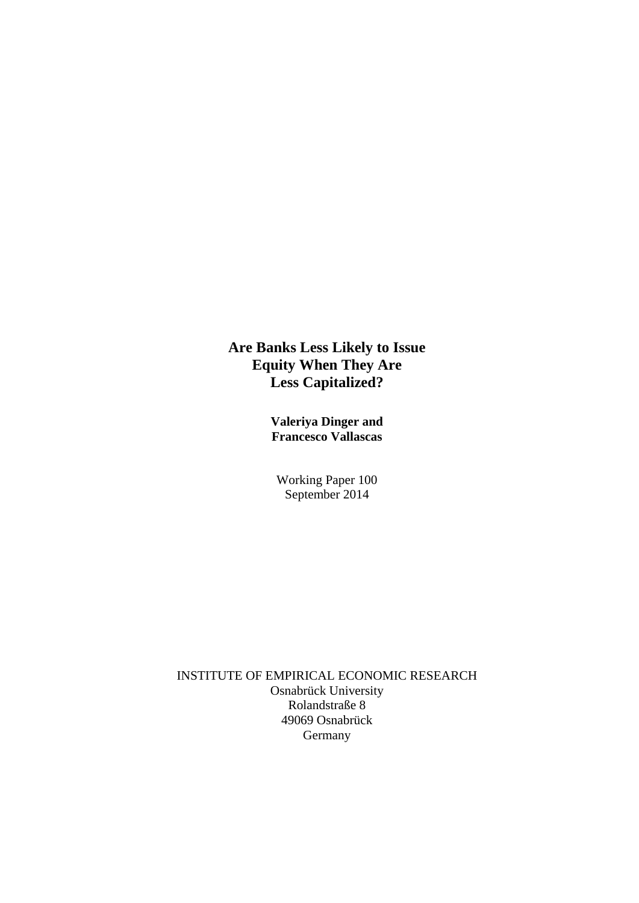**Are Banks Less Likely to Issue Equity When They Are Less Capitalized?** 

> **Valeriya Dinger and Francesco Vallascas**

Working Paper 100 September 2014

INSTITUTE OF EMPIRICAL ECONOMIC RESEARCH Osnabrück University Rolandstraße 8 49069 Osnabrück Germany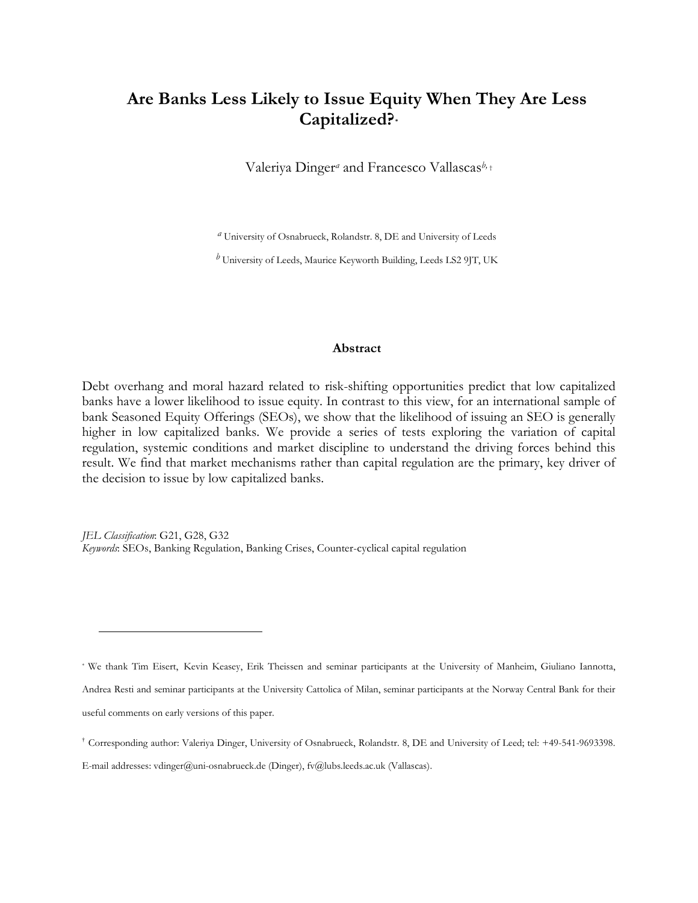## **Are Banks Less Likely to Issue Equity When They Are Less Capitalized? [\\*](#page-1-0)**

Valeriya Dinger*<sup>a</sup>* and Francesco Vallascas*b,* [†](#page-1-1)

*a* University of Osnabrueck, Rolandstr. 8, DE and University of Leeds

*b* University of Leeds, Maurice Keyworth Building, Leeds LS2 9JT, UK

## **Abstract**

Debt overhang and moral hazard related to risk-shifting opportunities predict that low capitalized banks have a lower likelihood to issue equity. In contrast to this view, for an international sample of bank Seasoned Equity Offerings (SEOs), we show that the likelihood of issuing an SEO is generally higher in low capitalized banks. We provide a series of tests exploring the variation of capital regulation, systemic conditions and market discipline to understand the driving forces behind this result. We find that market mechanisms rather than capital regulation are the primary, key driver of the decision to issue by low capitalized banks.

*JEL Classification*: G21, G28, G32 *Keywords*: SEOs, Banking Regulation, Banking Crises, Counter-cyclical capital regulation

 $\overline{a}$ 

<span id="page-1-0"></span><sup>\*</sup> We thank Tim Eisert, Kevin Keasey, Erik Theissen and seminar participants at the University of Manheim, Giuliano Iannotta, Andrea Resti and seminar participants at the University Cattolica of Milan, seminar participants at the Norway Central Bank for their useful comments on early versions of this paper.

<span id="page-1-1"></span><sup>†</sup> Corresponding author: Valeriya Dinger, University of Osnabrueck, Rolandstr. 8, DE and University of Leed; tel: +49-541-9693398.

E-mail addresses: vdinger@uni-osnabrueck.de (Dinger), fv@lubs.leeds.ac.uk (Vallascas).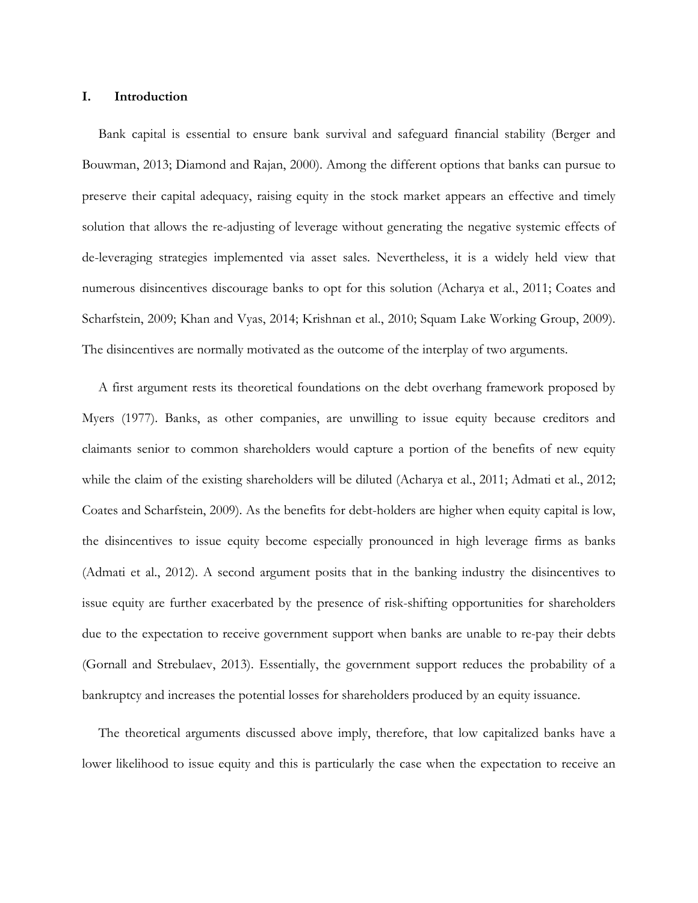### **I. Introduction**

Bank capital is essential to ensure bank survival and safeguard financial stability (Berger and Bouwman, 2013; Diamond and Rajan, 2000). Among the different options that banks can pursue to preserve their capital adequacy, raising equity in the stock market appears an effective and timely solution that allows the re-adjusting of leverage without generating the negative systemic effects of de-leveraging strategies implemented via asset sales. Nevertheless, it is a widely held view that numerous disincentives discourage banks to opt for this solution (Acharya et al., 2011; Coates and Scharfstein, 2009; Khan and Vyas, 2014; Krishnan et al., 2010; Squam Lake Working Group, 2009). The disincentives are normally motivated as the outcome of the interplay of two arguments.

A first argument rests its theoretical foundations on the debt overhang framework proposed by Myers (1977). Banks, as other companies, are unwilling to issue equity because creditors and claimants senior to common shareholders would capture a portion of the benefits of new equity while the claim of the existing shareholders will be diluted (Acharya et al., 2011; Admati et al., 2012; Coates and Scharfstein, 2009). As the benefits for debt-holders are higher when equity capital is low, the disincentives to issue equity become especially pronounced in high leverage firms as banks (Admati et al., 2012). A second argument posits that in the banking industry the disincentives to issue equity are further exacerbated by the presence of risk-shifting opportunities for shareholders due to the expectation to receive government support when banks are unable to re-pay their debts (Gornall and Strebulaev, 2013). Essentially, the government support reduces the probability of a bankruptcy and increases the potential losses for shareholders produced by an equity issuance.

The theoretical arguments discussed above imply, therefore, that low capitalized banks have a lower likelihood to issue equity and this is particularly the case when the expectation to receive an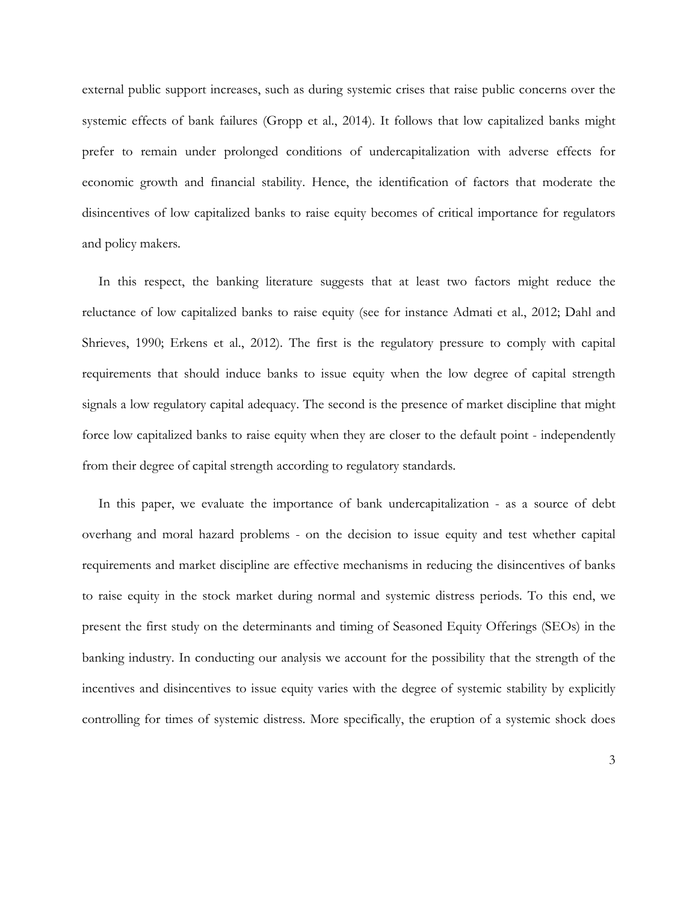external public support increases, such as during systemic crises that raise public concerns over the systemic effects of bank failures (Gropp et al., 2014). It follows that low capitalized banks might prefer to remain under prolonged conditions of undercapitalization with adverse effects for economic growth and financial stability. Hence, the identification of factors that moderate the disincentives of low capitalized banks to raise equity becomes of critical importance for regulators and policy makers.

In this respect, the banking literature suggests that at least two factors might reduce the reluctance of low capitalized banks to raise equity (see for instance Admati et al., 2012; Dahl and Shrieves, 1990; Erkens et al., 2012). The first is the regulatory pressure to comply with capital requirements that should induce banks to issue equity when the low degree of capital strength signals a low regulatory capital adequacy. The second is the presence of market discipline that might force low capitalized banks to raise equity when they are closer to the default point - independently from their degree of capital strength according to regulatory standards.

In this paper, we evaluate the importance of bank undercapitalization - as a source of debt overhang and moral hazard problems - on the decision to issue equity and test whether capital requirements and market discipline are effective mechanisms in reducing the disincentives of banks to raise equity in the stock market during normal and systemic distress periods. To this end, we present the first study on the determinants and timing of Seasoned Equity Offerings (SEOs) in the banking industry. In conducting our analysis we account for the possibility that the strength of the incentives and disincentives to issue equity varies with the degree of systemic stability by explicitly controlling for times of systemic distress. More specifically, the eruption of a systemic shock does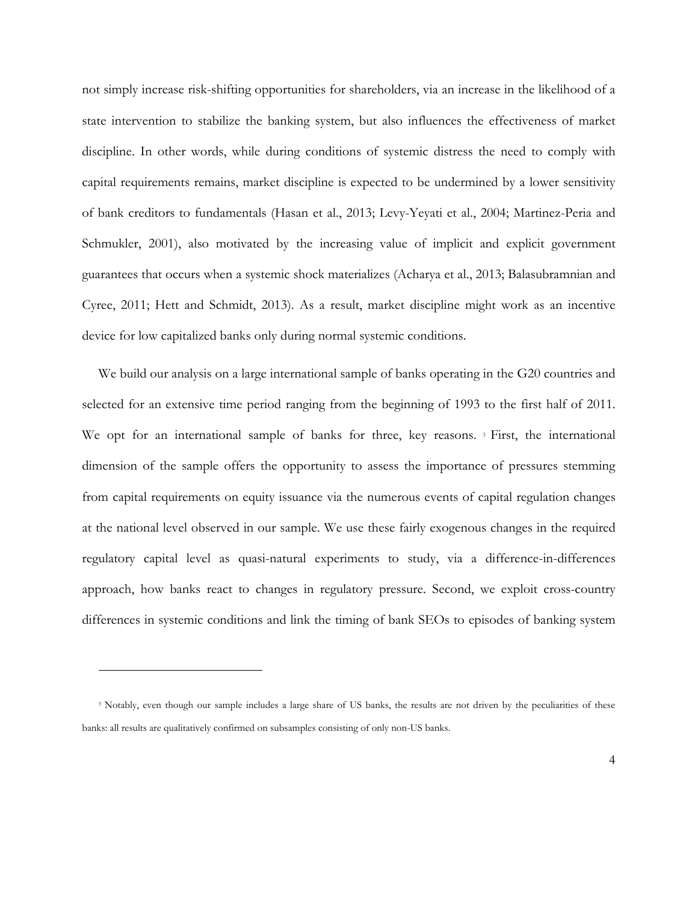not simply increase risk-shifting opportunities for shareholders, via an increase in the likelihood of a state intervention to stabilize the banking system, but also influences the effectiveness of market discipline. In other words, while during conditions of systemic distress the need to comply with capital requirements remains, market discipline is expected to be undermined by a lower sensitivity of bank creditors to fundamentals (Hasan et al., 2013; Levy-Yeyati et al., 2004; Martinez-Peria and Schmukler, 2001), also motivated by the increasing value of implicit and explicit government guarantees that occurs when a systemic shock materializes (Acharya et al., 2013; Balasubramnian and Cyree, 2011; Hett and Schmidt, 2013). As a result, market discipline might work as an incentive device for low capitalized banks only during normal systemic conditions.

We build our analysis on a large international sample of banks operating in the G20 countries and selected for an extensive time period ranging from the beginning of 1993 to the first half of 2011. We opt for an international sample of banks for three, key reasons.<sup>[3](#page-4-0)</sup> First, the international dimension of the sample offers the opportunity to assess the importance of pressures stemming from capital requirements on equity issuance via the numerous events of capital regulation changes at the national level observed in our sample. We use these fairly exogenous changes in the required regulatory capital level as quasi-natural experiments to study, via a difference-in-differences approach, how banks react to changes in regulatory pressure. Second, we exploit cross-country differences in systemic conditions and link the timing of bank SEOs to episodes of banking system

 $\overline{a}$ 

<span id="page-4-0"></span><sup>&</sup>lt;sup>3</sup> Notably, even though our sample includes a large share of US banks, the results are not driven by the peculiarities of these banks: all results are qualitatively confirmed on subsamples consisting of only non-US banks.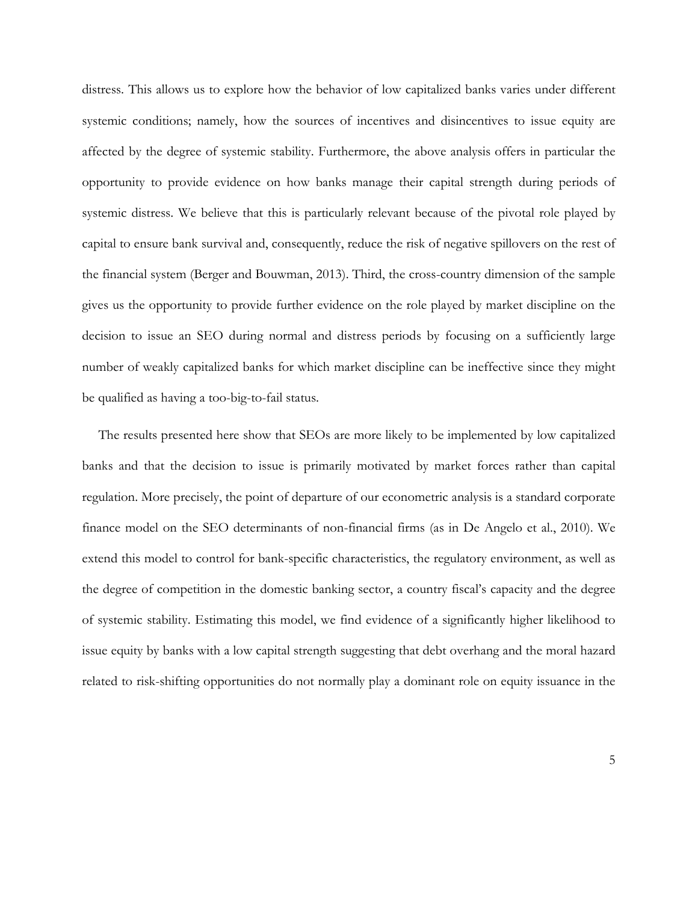distress. This allows us to explore how the behavior of low capitalized banks varies under different systemic conditions; namely, how the sources of incentives and disincentives to issue equity are affected by the degree of systemic stability. Furthermore, the above analysis offers in particular the opportunity to provide evidence on how banks manage their capital strength during periods of systemic distress. We believe that this is particularly relevant because of the pivotal role played by capital to ensure bank survival and, consequently, reduce the risk of negative spillovers on the rest of the financial system (Berger and Bouwman, 2013). Third, the cross-country dimension of the sample gives us the opportunity to provide further evidence on the role played by market discipline on the decision to issue an SEO during normal and distress periods by focusing on a sufficiently large number of weakly capitalized banks for which market discipline can be ineffective since they might be qualified as having a too-big-to-fail status.

The results presented here show that SEOs are more likely to be implemented by low capitalized banks and that the decision to issue is primarily motivated by market forces rather than capital regulation. More precisely, the point of departure of our econometric analysis is a standard corporate finance model on the SEO determinants of non-financial firms (as in De Angelo et al., 2010). We extend this model to control for bank-specific characteristics, the regulatory environment, as well as the degree of competition in the domestic banking sector, a country fiscal's capacity and the degree of systemic stability. Estimating this model, we find evidence of a significantly higher likelihood to issue equity by banks with a low capital strength suggesting that debt overhang and the moral hazard related to risk-shifting opportunities do not normally play a dominant role on equity issuance in the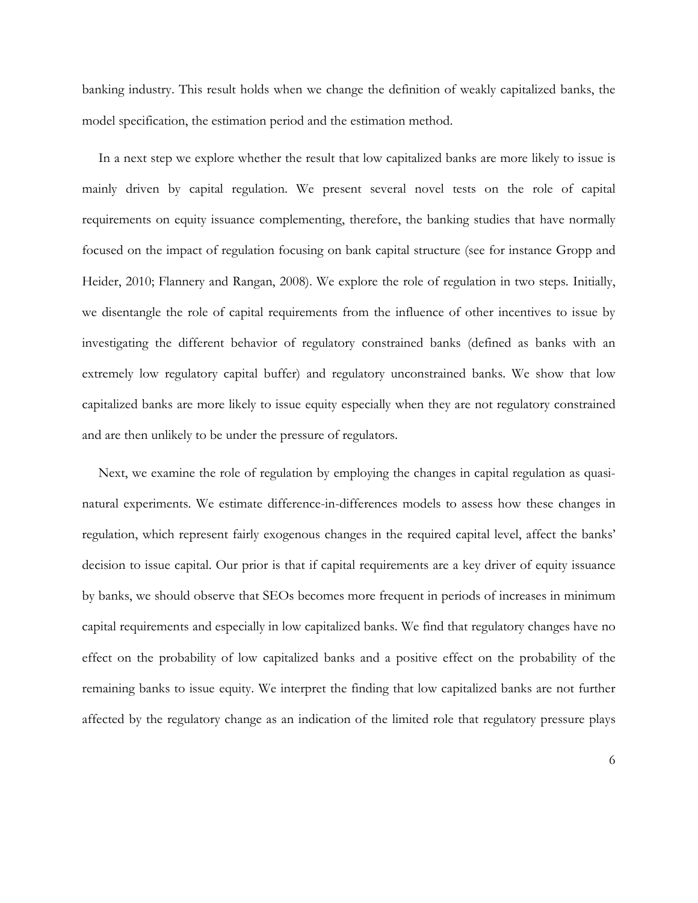banking industry. This result holds when we change the definition of weakly capitalized banks, the model specification, the estimation period and the estimation method.

In a next step we explore whether the result that low capitalized banks are more likely to issue is mainly driven by capital regulation. We present several novel tests on the role of capital requirements on equity issuance complementing, therefore, the banking studies that have normally focused on the impact of regulation focusing on bank capital structure (see for instance Gropp and Heider, 2010; Flannery and Rangan, 2008). We explore the role of regulation in two steps. Initially, we disentangle the role of capital requirements from the influence of other incentives to issue by investigating the different behavior of regulatory constrained banks (defined as banks with an extremely low regulatory capital buffer) and regulatory unconstrained banks. We show that low capitalized banks are more likely to issue equity especially when they are not regulatory constrained and are then unlikely to be under the pressure of regulators.

Next, we examine the role of regulation by employing the changes in capital regulation as quasinatural experiments. We estimate difference-in-differences models to assess how these changes in regulation, which represent fairly exogenous changes in the required capital level, affect the banks' decision to issue capital. Our prior is that if capital requirements are a key driver of equity issuance by banks, we should observe that SEOs becomes more frequent in periods of increases in minimum capital requirements and especially in low capitalized banks. We find that regulatory changes have no effect on the probability of low capitalized banks and a positive effect on the probability of the remaining banks to issue equity. We interpret the finding that low capitalized banks are not further affected by the regulatory change as an indication of the limited role that regulatory pressure plays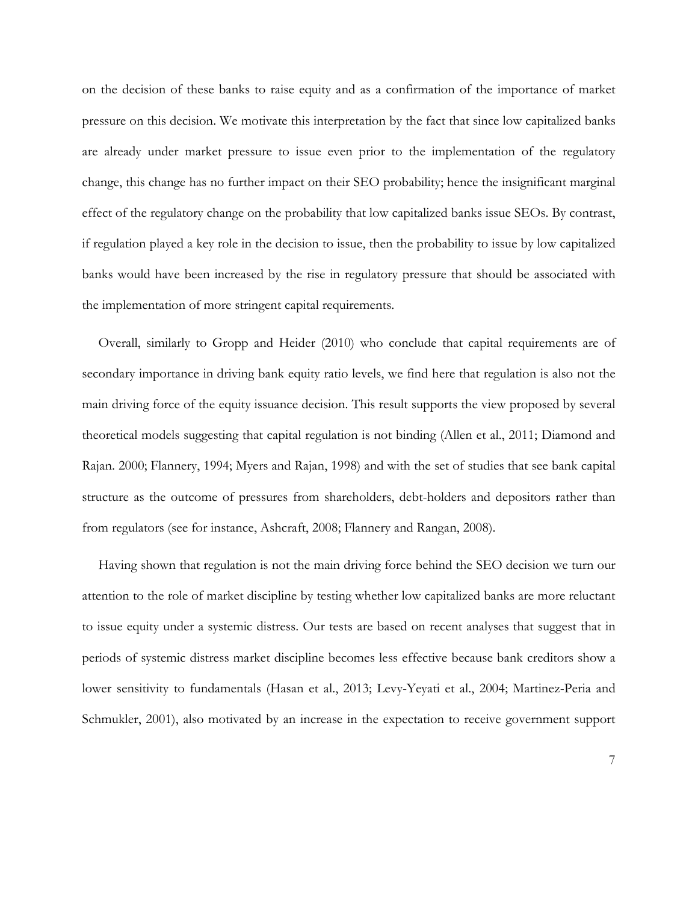on the decision of these banks to raise equity and as a confirmation of the importance of market pressure on this decision. We motivate this interpretation by the fact that since low capitalized banks are already under market pressure to issue even prior to the implementation of the regulatory change, this change has no further impact on their SEO probability; hence the insignificant marginal effect of the regulatory change on the probability that low capitalized banks issue SEOs. By contrast, if regulation played a key role in the decision to issue, then the probability to issue by low capitalized banks would have been increased by the rise in regulatory pressure that should be associated with the implementation of more stringent capital requirements.

Overall, similarly to Gropp and Heider (2010) who conclude that capital requirements are of secondary importance in driving bank equity ratio levels, we find here that regulation is also not the main driving force of the equity issuance decision. This result supports the view proposed by several theoretical models suggesting that capital regulation is not binding (Allen et al., 2011; Diamond and Rajan. 2000; Flannery, 1994; Myers and Rajan, 1998) and with the set of studies that see bank capital structure as the outcome of pressures from shareholders, debt-holders and depositors rather than from regulators (see for instance, Ashcraft, 2008; Flannery and Rangan, 2008).

Having shown that regulation is not the main driving force behind the SEO decision we turn our attention to the role of market discipline by testing whether low capitalized banks are more reluctant to issue equity under a systemic distress. Our tests are based on recent analyses that suggest that in periods of systemic distress market discipline becomes less effective because bank creditors show a lower sensitivity to fundamentals (Hasan et al., 2013; Levy-Yeyati et al., 2004; Martinez-Peria and Schmukler, 2001), also motivated by an increase in the expectation to receive government support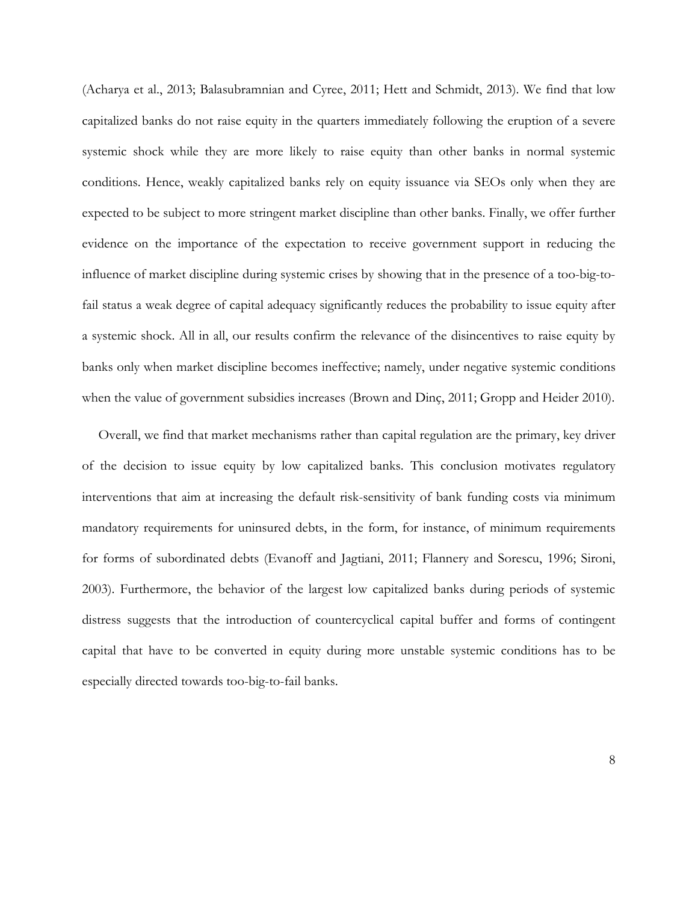(Acharya et al., 2013; Balasubramnian and Cyree, 2011; Hett and Schmidt, 2013). We find that low capitalized banks do not raise equity in the quarters immediately following the eruption of a severe systemic shock while they are more likely to raise equity than other banks in normal systemic conditions. Hence, weakly capitalized banks rely on equity issuance via SEOs only when they are expected to be subject to more stringent market discipline than other banks. Finally, we offer further evidence on the importance of the expectation to receive government support in reducing the influence of market discipline during systemic crises by showing that in the presence of a too-big-tofail status a weak degree of capital adequacy significantly reduces the probability to issue equity after a systemic shock. All in all, our results confirm the relevance of the disincentives to raise equity by banks only when market discipline becomes ineffective; namely, under negative systemic conditions when the value of government subsidies increases (Brown and Dinç, 2011; Gropp and Heider 2010).

Overall, we find that market mechanisms rather than capital regulation are the primary, key driver of the decision to issue equity by low capitalized banks. This conclusion motivates regulatory interventions that aim at increasing the default risk-sensitivity of bank funding costs via minimum mandatory requirements for uninsured debts, in the form, for instance, of minimum requirements for forms of subordinated debts (Evanoff and Jagtiani, 2011; Flannery and Sorescu, 1996; Sironi, 2003). Furthermore, the behavior of the largest low capitalized banks during periods of systemic distress suggests that the introduction of countercyclical capital buffer and forms of contingent capital that have to be converted in equity during more unstable systemic conditions has to be especially directed towards too-big-to-fail banks.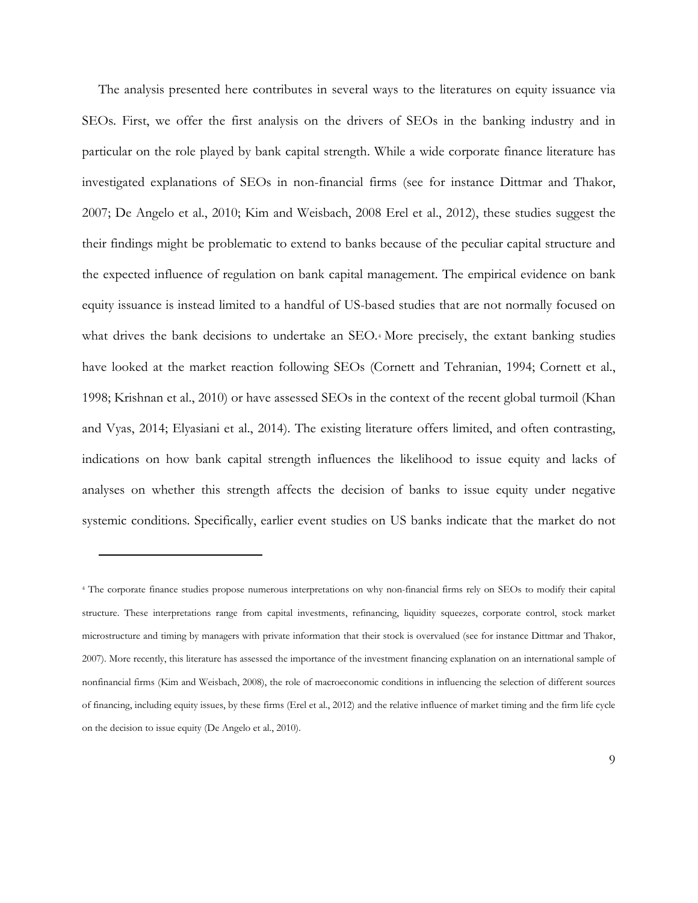The analysis presented here contributes in several ways to the literatures on equity issuance via SEOs. First, we offer the first analysis on the drivers of SEOs in the banking industry and in particular on the role played by bank capital strength. While a wide corporate finance literature has investigated explanations of SEOs in non-financial firms (see for instance Dittmar and Thakor, 2007; De Angelo et al., 2010; Kim and Weisbach, 2008 Erel et al., 2012), these studies suggest the their findings might be problematic to extend to banks because of the peculiar capital structure and the expected influence of regulation on bank capital management. The empirical evidence on bank equity issuance is instead limited to a handful of US-based studies that are not normally focused on what drives the bank decisions to undertake an SEO.<sup>[4](#page-9-0)</sup> More precisely, the extant banking studies have looked at the market reaction following SEOs (Cornett and Tehranian, 1994; Cornett et al., 1998; Krishnan et al., 2010) or have assessed SEOs in the context of the recent global turmoil (Khan and Vyas, 2014; Elyasiani et al., 2014). The existing literature offers limited, and often contrasting, indications on how bank capital strength influences the likelihood to issue equity and lacks of analyses on whether this strength affects the decision of banks to issue equity under negative systemic conditions. Specifically, earlier event studies on US banks indicate that the market do not

 $\overline{a}$ 

<span id="page-9-0"></span><sup>4</sup> The corporate finance studies propose numerous interpretations on why non-financial firms rely on SEOs to modify their capital structure. These interpretations range from capital investments, refinancing, liquidity squeezes, corporate control, stock market microstructure and timing by managers with private information that their stock is overvalued (see for instance Dittmar and Thakor, 2007). More recently, this literature has assessed the importance of the investment financing explanation on an international sample of nonfinancial firms (Kim and Weisbach, 2008), the role of macroeconomic conditions in influencing the selection of different sources of financing, including equity issues, by these firms (Erel et al., 2012) and the relative influence of market timing and the firm life cycle on the decision to issue equity (De Angelo et al., 2010).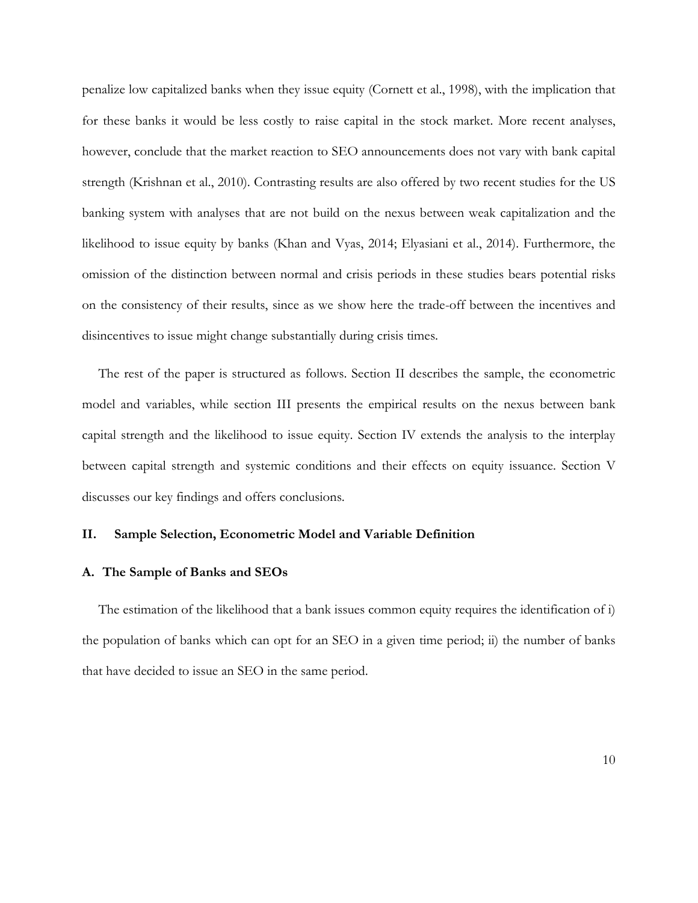penalize low capitalized banks when they issue equity (Cornett et al., 1998), with the implication that for these banks it would be less costly to raise capital in the stock market. More recent analyses, however, conclude that the market reaction to SEO announcements does not vary with bank capital strength (Krishnan et al., 2010). Contrasting results are also offered by two recent studies for the US banking system with analyses that are not build on the nexus between weak capitalization and the likelihood to issue equity by banks (Khan and Vyas, 2014; Elyasiani et al., 2014). Furthermore, the omission of the distinction between normal and crisis periods in these studies bears potential risks on the consistency of their results, since as we show here the trade-off between the incentives and disincentives to issue might change substantially during crisis times.

The rest of the paper is structured as follows. Section II describes the sample, the econometric model and variables, while section III presents the empirical results on the nexus between bank capital strength and the likelihood to issue equity. Section IV extends the analysis to the interplay between capital strength and systemic conditions and their effects on equity issuance. Section V discusses our key findings and offers conclusions.

### **II. Sample Selection, Econometric Model and Variable Definition**

### **A. The Sample of Banks and SEOs**

The estimation of the likelihood that a bank issues common equity requires the identification of i) the population of banks which can opt for an SEO in a given time period; ii) the number of banks that have decided to issue an SEO in the same period.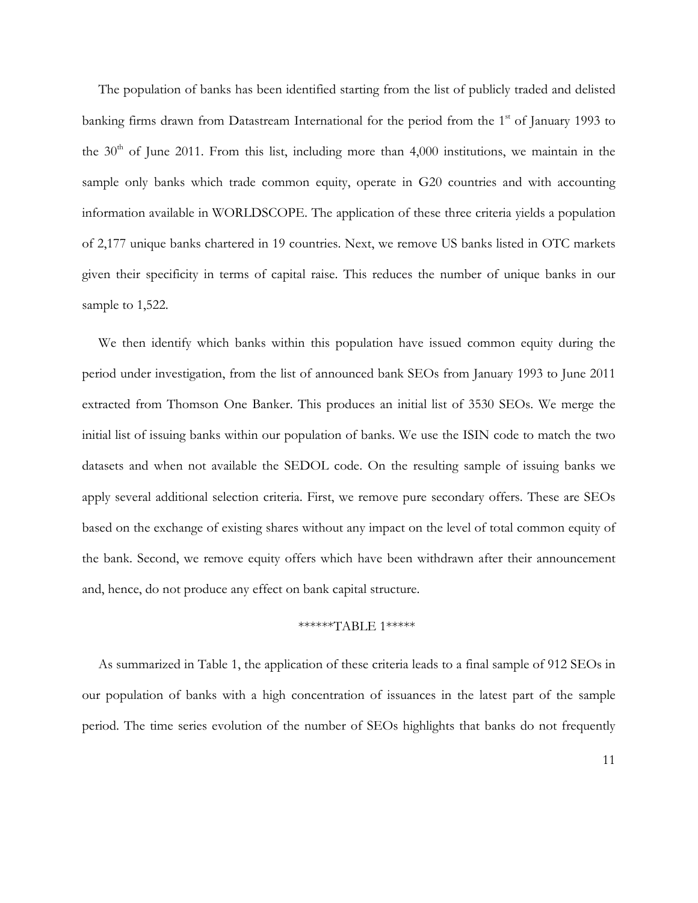The population of banks has been identified starting from the list of publicly traded and delisted banking firms drawn from Datastream International for the period from the 1<sup>st</sup> of January 1993 to the  $30<sup>th</sup>$  of June 2011. From this list, including more than 4,000 institutions, we maintain in the sample only banks which trade common equity, operate in G20 countries and with accounting information available in WORLDSCOPE. The application of these three criteria yields a population of 2,177 unique banks chartered in 19 countries. Next, we remove US banks listed in OTC markets given their specificity in terms of capital raise. This reduces the number of unique banks in our sample to 1,522.

We then identify which banks within this population have issued common equity during the period under investigation, from the list of announced bank SEOs from January 1993 to June 2011 extracted from Thomson One Banker. This produces an initial list of 3530 SEOs. We merge the initial list of issuing banks within our population of banks. We use the ISIN code to match the two datasets and when not available the SEDOL code. On the resulting sample of issuing banks we apply several additional selection criteria. First, we remove pure secondary offers. These are SEOs based on the exchange of existing shares without any impact on the level of total common equity of the bank. Second, we remove equity offers which have been withdrawn after their announcement and, hence, do not produce any effect on bank capital structure.

### \*\*\*\*\*\*TABLE 1\*\*\*\*\*

As summarized in Table 1, the application of these criteria leads to a final sample of 912 SEOs in our population of banks with a high concentration of issuances in the latest part of the sample period. The time series evolution of the number of SEOs highlights that banks do not frequently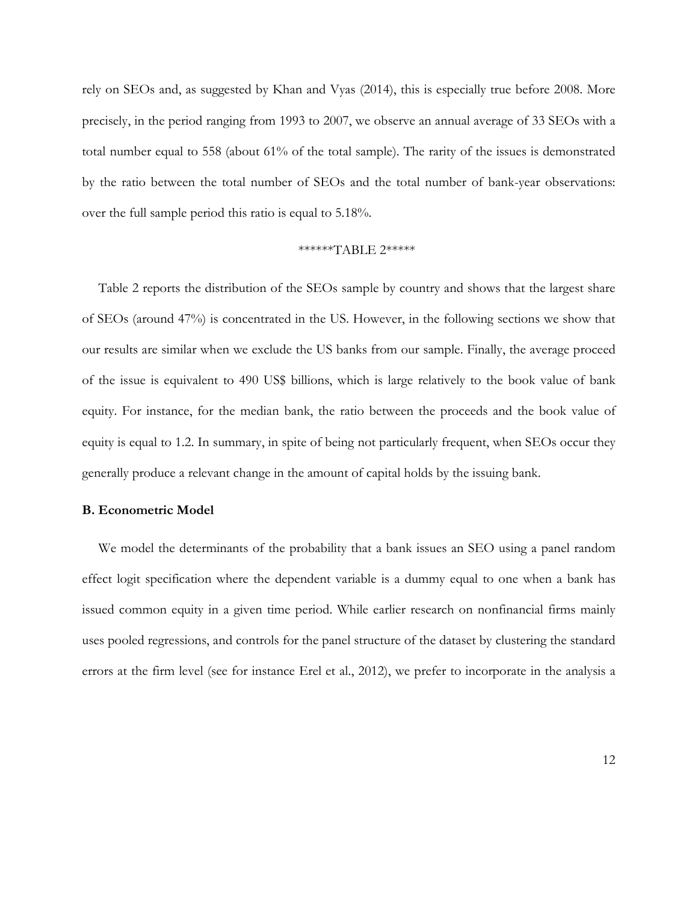rely on SEOs and, as suggested by Khan and Vyas (2014), this is especially true before 2008. More precisely, in the period ranging from 1993 to 2007, we observe an annual average of 33 SEOs with a total number equal to 558 (about 61% of the total sample). The rarity of the issues is demonstrated by the ratio between the total number of SEOs and the total number of bank-year observations: over the full sample period this ratio is equal to 5.18%.

### \*\*\*\*\*\*TABLE 2\*\*\*\*\*

Table 2 reports the distribution of the SEOs sample by country and shows that the largest share of SEOs (around 47%) is concentrated in the US. However, in the following sections we show that our results are similar when we exclude the US banks from our sample. Finally, the average proceed of the issue is equivalent to 490 US\$ billions, which is large relatively to the book value of bank equity. For instance, for the median bank, the ratio between the proceeds and the book value of equity is equal to 1.2. In summary, in spite of being not particularly frequent, when SEOs occur they generally produce a relevant change in the amount of capital holds by the issuing bank.

### **B. Econometric Model**

We model the determinants of the probability that a bank issues an SEO using a panel random effect logit specification where the dependent variable is a dummy equal to one when a bank has issued common equity in a given time period. While earlier research on nonfinancial firms mainly uses pooled regressions, and controls for the panel structure of the dataset by clustering the standard errors at the firm level (see for instance Erel et al., 2012), we prefer to incorporate in the analysis a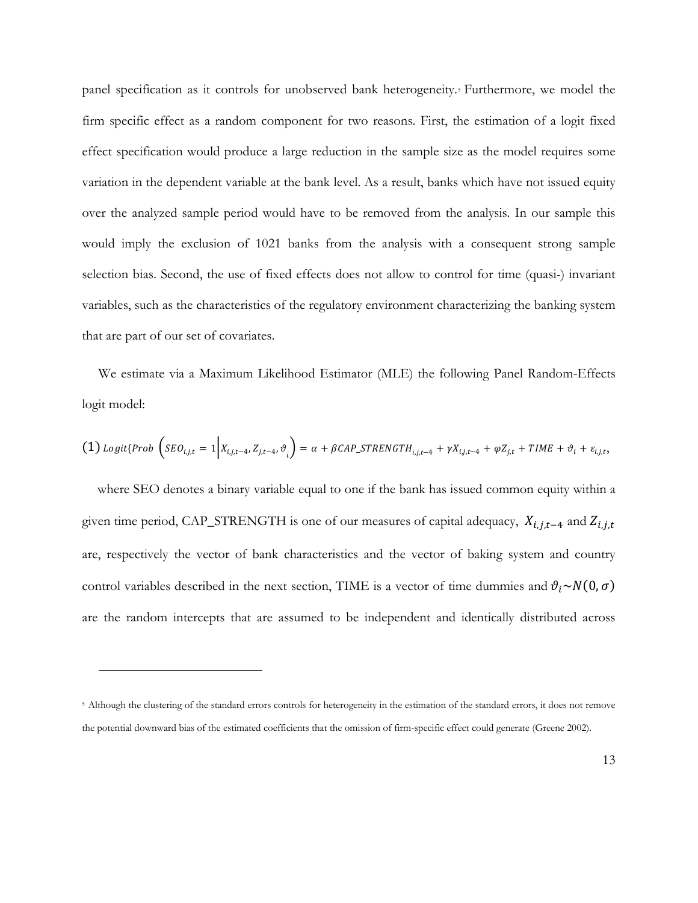panel specification as it controls for unobserved bank heterogeneity.[5](#page-13-0) Furthermore, we model the firm specific effect as a random component for two reasons. First, the estimation of a logit fixed effect specification would produce a large reduction in the sample size as the model requires some variation in the dependent variable at the bank level. As a result, banks which have not issued equity over the analyzed sample period would have to be removed from the analysis. In our sample this would imply the exclusion of 1021 banks from the analysis with a consequent strong sample selection bias. Second, the use of fixed effects does not allow to control for time (quasi-) invariant variables, such as the characteristics of the regulatory environment characterizing the banking system that are part of our set of covariates.

We estimate via a Maximum Likelihood Estimator (MLE) the following Panel Random-Effects logit model:

(1) { �,, = 1�,,−4, ,−4, � <sup>=</sup> <sup>+</sup> \_,,−<sup>4</sup> <sup>+</sup> ,,−<sup>4</sup> <sup>+</sup> , <sup>+</sup> <sup>+</sup> <sup>+</sup> ,,,

where SEO denotes a binary variable equal to one if the bank has issued common equity within a given time period, CAP\_STRENGTH is one of our measures of capital adequacy,  $X_{i,j,t-4}$  and  $Z_{i,j,t}$ are, respectively the vector of bank characteristics and the vector of baking system and country control variables described in the next section, TIME is a vector of time dummies and  $\vartheta_i \sim N(0, \sigma)$ are the random intercepts that are assumed to be independent and identically distributed across

 $\overline{a}$ 

<span id="page-13-0"></span><sup>&</sup>lt;sup>5</sup> Although the clustering of the standard errors controls for heterogeneity in the estimation of the standard errors, it does not remove the potential downward bias of the estimated coefficients that the omission of firm-specific effect could generate (Greene 2002).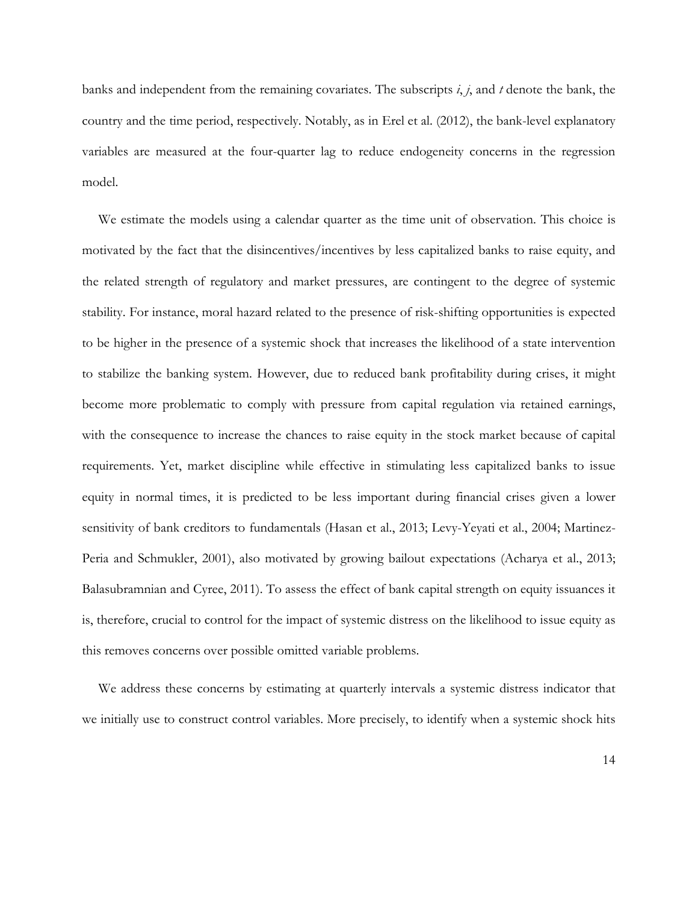banks and independent from the remaining covariates. The subscripts *i*, *j*, and *t* denote the bank, the country and the time period, respectively. Notably, as in Erel et al. (2012), the bank-level explanatory variables are measured at the four-quarter lag to reduce endogeneity concerns in the regression model.

We estimate the models using a calendar quarter as the time unit of observation. This choice is motivated by the fact that the disincentives/incentives by less capitalized banks to raise equity, and the related strength of regulatory and market pressures, are contingent to the degree of systemic stability. For instance, moral hazard related to the presence of risk-shifting opportunities is expected to be higher in the presence of a systemic shock that increases the likelihood of a state intervention to stabilize the banking system. However, due to reduced bank profitability during crises, it might become more problematic to comply with pressure from capital regulation via retained earnings, with the consequence to increase the chances to raise equity in the stock market because of capital requirements. Yet, market discipline while effective in stimulating less capitalized banks to issue equity in normal times, it is predicted to be less important during financial crises given a lower sensitivity of bank creditors to fundamentals (Hasan et al., 2013; Levy-Yeyati et al., 2004; Martinez-Peria and Schmukler, 2001), also motivated by growing bailout expectations (Acharya et al., 2013; Balasubramnian and Cyree, 2011). To assess the effect of bank capital strength on equity issuances it is, therefore, crucial to control for the impact of systemic distress on the likelihood to issue equity as this removes concerns over possible omitted variable problems.

We address these concerns by estimating at quarterly intervals a systemic distress indicator that we initially use to construct control variables. More precisely, to identify when a systemic shock hits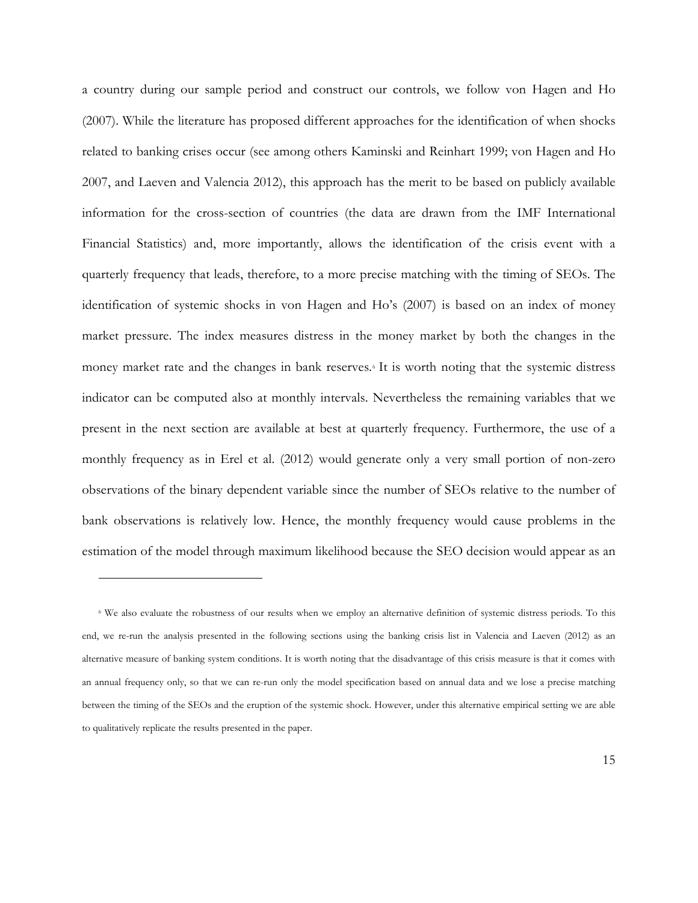a country during our sample period and construct our controls, we follow von Hagen and Ho (2007). While the literature has proposed different approaches for the identification of when shocks related to banking crises occur (see among others Kaminski and Reinhart 1999; von Hagen and Ho 2007, and Laeven and Valencia 2012), this approach has the merit to be based on publicly available information for the cross-section of countries (the data are drawn from the IMF International Financial Statistics) and, more importantly, allows the identification of the crisis event with a quarterly frequency that leads, therefore, to a more precise matching with the timing of SEOs. The identification of systemic shocks in von Hagen and Ho's (2007) is based on an index of money market pressure. The index measures distress in the money market by both the changes in the money market rate and the changes in bank reserves.[6](#page-15-0) It is worth noting that the systemic distress indicator can be computed also at monthly intervals. Nevertheless the remaining variables that we present in the next section are available at best at quarterly frequency. Furthermore, the use of a monthly frequency as in Erel et al. (2012) would generate only a very small portion of non-zero observations of the binary dependent variable since the number of SEOs relative to the number of bank observations is relatively low. Hence, the monthly frequency would cause problems in the estimation of the model through maximum likelihood because the SEO decision would appear as an

 $\overline{a}$ 

<span id="page-15-0"></span><sup>6</sup> We also evaluate the robustness of our results when we employ an alternative definition of systemic distress periods. To this end, we re-run the analysis presented in the following sections using the banking crisis list in Valencia and Laeven (2012) as an alternative measure of banking system conditions. It is worth noting that the disadvantage of this crisis measure is that it comes with an annual frequency only, so that we can re-run only the model specification based on annual data and we lose a precise matching between the timing of the SEOs and the eruption of the systemic shock. However, under this alternative empirical setting we are able to qualitatively replicate the results presented in the paper.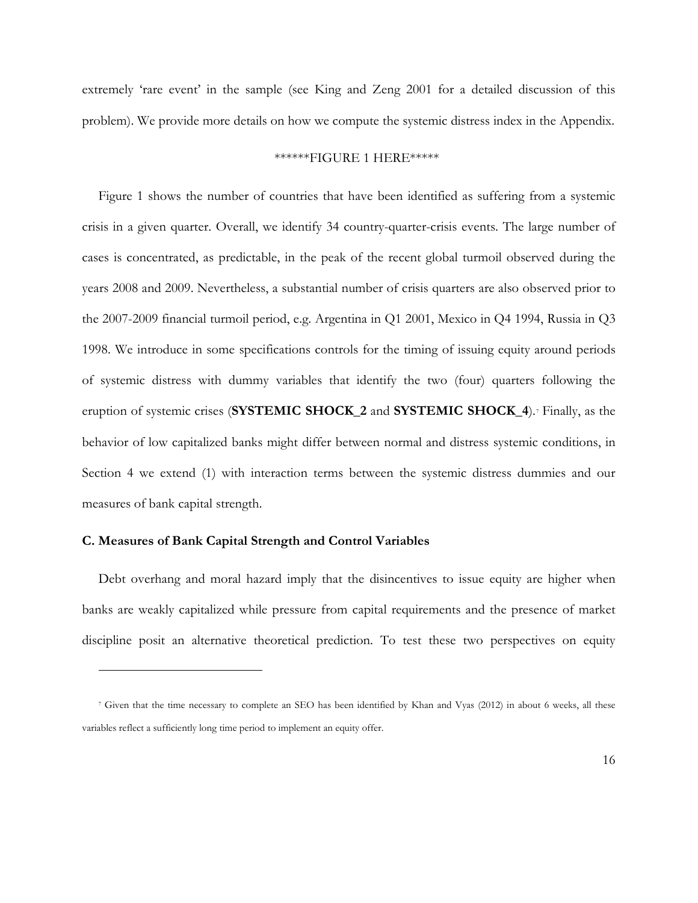extremely 'rare event' in the sample (see King and Zeng 2001 for a detailed discussion of this problem). We provide more details on how we compute the systemic distress index in the Appendix.

## \*\*\*\*\*\*FIGURE 1 HERE\*\*\*\*\*

Figure 1 shows the number of countries that have been identified as suffering from a systemic crisis in a given quarter. Overall, we identify 34 country-quarter-crisis events. The large number of cases is concentrated, as predictable, in the peak of the recent global turmoil observed during the years 2008 and 2009. Nevertheless, a substantial number of crisis quarters are also observed prior to the 2007-2009 financial turmoil period, e.g. Argentina in Q1 2001, Mexico in Q4 1994, Russia in Q3 1998. We introduce in some specifications controls for the timing of issuing equity around periods of systemic distress with dummy variables that identify the two (four) quarters following the eruption of systemic crises (**SYSTEMIC SHOCK\_2** and **SYSTEMIC SHOCK\_4**).[7](#page-16-0) Finally, as the behavior of low capitalized banks might differ between normal and distress systemic conditions, in Section 4 we extend (1) with interaction terms between the systemic distress dummies and our measures of bank capital strength.

### **C. Measures of Bank Capital Strength and Control Variables**

 $\overline{a}$ 

Debt overhang and moral hazard imply that the disincentives to issue equity are higher when banks are weakly capitalized while pressure from capital requirements and the presence of market discipline posit an alternative theoretical prediction. To test these two perspectives on equity

<span id="page-16-0"></span><sup>7</sup> Given that the time necessary to complete an SEO has been identified by Khan and Vyas (2012) in about 6 weeks, all these variables reflect a sufficiently long time period to implement an equity offer.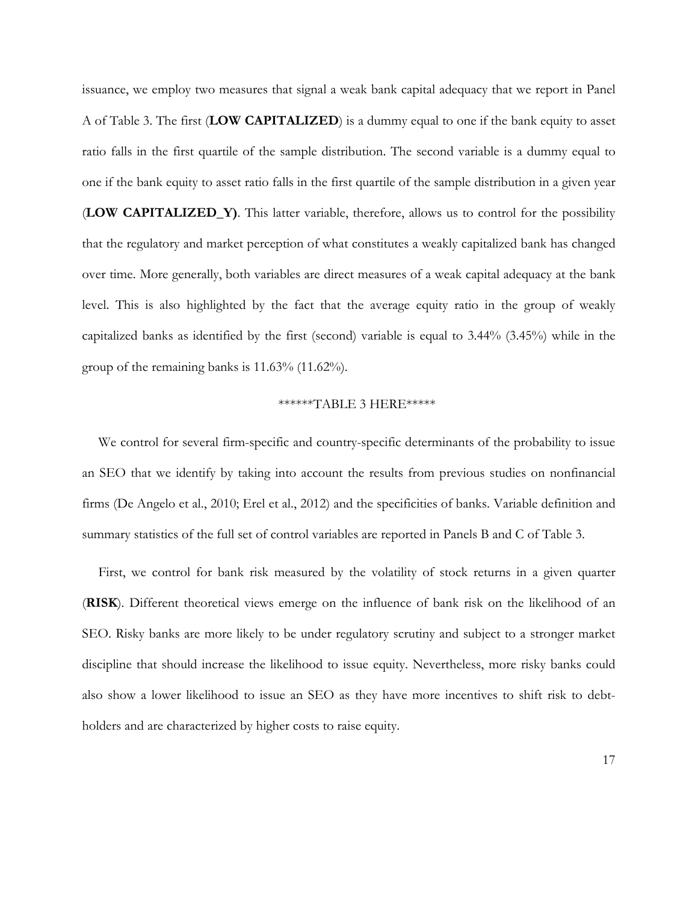issuance, we employ two measures that signal a weak bank capital adequacy that we report in Panel A of Table 3. The first (**LOW CAPITALIZED**) is a dummy equal to one if the bank equity to asset ratio falls in the first quartile of the sample distribution. The second variable is a dummy equal to one if the bank equity to asset ratio falls in the first quartile of the sample distribution in a given year (**LOW CAPITALIZED\_Y)**. This latter variable, therefore, allows us to control for the possibility that the regulatory and market perception of what constitutes a weakly capitalized bank has changed over time. More generally, both variables are direct measures of a weak capital adequacy at the bank level. This is also highlighted by the fact that the average equity ratio in the group of weakly capitalized banks as identified by the first (second) variable is equal to 3.44% (3.45%) while in the group of the remaining banks is 11.63% (11.62%).

## \*\*\*\*\*\*TABLE 3 HERE\*\*\*\*\*

We control for several firm-specific and country-specific determinants of the probability to issue an SEO that we identify by taking into account the results from previous studies on nonfinancial firms (De Angelo et al., 2010; Erel et al., 2012) and the specificities of banks. Variable definition and summary statistics of the full set of control variables are reported in Panels B and C of Table 3.

First, we control for bank risk measured by the volatility of stock returns in a given quarter (**RISK**). Different theoretical views emerge on the influence of bank risk on the likelihood of an SEO. Risky banks are more likely to be under regulatory scrutiny and subject to a stronger market discipline that should increase the likelihood to issue equity. Nevertheless, more risky banks could also show a lower likelihood to issue an SEO as they have more incentives to shift risk to debtholders and are characterized by higher costs to raise equity.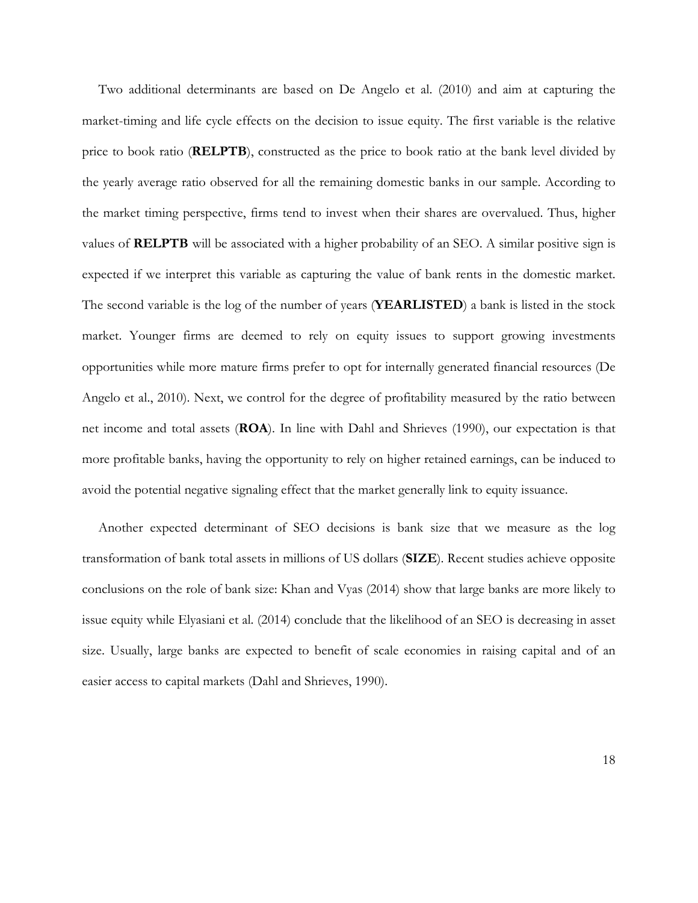Two additional determinants are based on De Angelo et al. (2010) and aim at capturing the market-timing and life cycle effects on the decision to issue equity. The first variable is the relative price to book ratio (**RELPTB**), constructed as the price to book ratio at the bank level divided by the yearly average ratio observed for all the remaining domestic banks in our sample. According to the market timing perspective, firms tend to invest when their shares are overvalued. Thus, higher values of **RELPTB** will be associated with a higher probability of an SEO. A similar positive sign is expected if we interpret this variable as capturing the value of bank rents in the domestic market. The second variable is the log of the number of years (**YEARLISTED**) a bank is listed in the stock market. Younger firms are deemed to rely on equity issues to support growing investments opportunities while more mature firms prefer to opt for internally generated financial resources (De Angelo et al., 2010). Next, we control for the degree of profitability measured by the ratio between net income and total assets (**ROA**). In line with Dahl and Shrieves (1990), our expectation is that more profitable banks, having the opportunity to rely on higher retained earnings, can be induced to avoid the potential negative signaling effect that the market generally link to equity issuance.

Another expected determinant of SEO decisions is bank size that we measure as the log transformation of bank total assets in millions of US dollars (**SIZE**). Recent studies achieve opposite conclusions on the role of bank size: Khan and Vyas (2014) show that large banks are more likely to issue equity while Elyasiani et al. (2014) conclude that the likelihood of an SEO is decreasing in asset size. Usually, large banks are expected to benefit of scale economies in raising capital and of an easier access to capital markets (Dahl and Shrieves, 1990).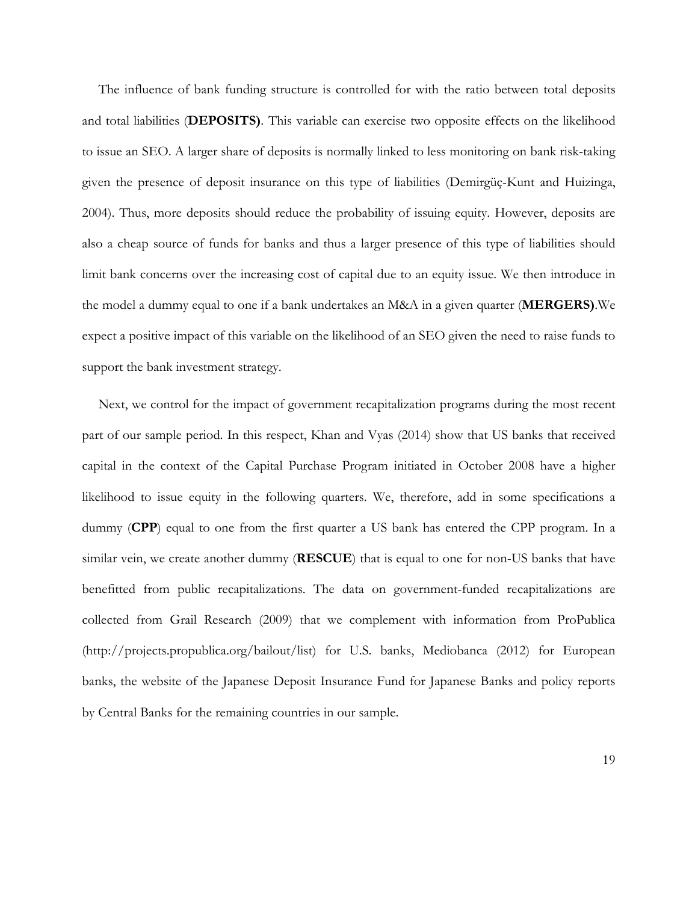The influence of bank funding structure is controlled for with the ratio between total deposits and total liabilities (**DEPOSITS)**. This variable can exercise two opposite effects on the likelihood to issue an SEO. A larger share of deposits is normally linked to less monitoring on bank risk-taking given the presence of deposit insurance on this type of liabilities (Demirgüç-Kunt and Huizinga, 2004). Thus, more deposits should reduce the probability of issuing equity. However, deposits are also a cheap source of funds for banks and thus a larger presence of this type of liabilities should limit bank concerns over the increasing cost of capital due to an equity issue. We then introduce in the model a dummy equal to one if a bank undertakes an M&A in a given quarter (**MERGERS)**.We expect a positive impact of this variable on the likelihood of an SEO given the need to raise funds to support the bank investment strategy.

Next, we control for the impact of government recapitalization programs during the most recent part of our sample period. In this respect, Khan and Vyas (2014) show that US banks that received capital in the context of the Capital Purchase Program initiated in October 2008 have a higher likelihood to issue equity in the following quarters. We, therefore, add in some specifications a dummy (**CPP**) equal to one from the first quarter a US bank has entered the CPP program. In a similar vein, we create another dummy (**RESCUE**) that is equal to one for non-US banks that have benefitted from public recapitalizations. The data on government-funded recapitalizations are collected from Grail Research (2009) that we complement with information from ProPublica [\(http://projects.propublica.org/bailout/list\)](http://projects.propublica.org/bailout/list) for U.S. banks, Mediobanca (2012) for European banks, the website of the Japanese Deposit Insurance Fund for Japanese Banks and policy reports by Central Banks for the remaining countries in our sample.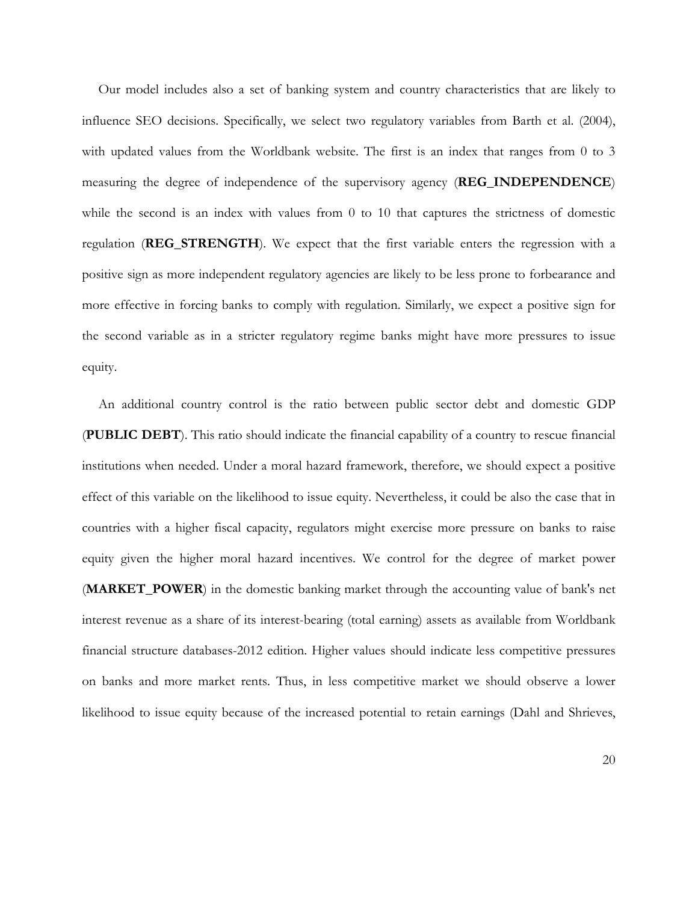Our model includes also a set of banking system and country characteristics that are likely to influence SEO decisions. Specifically, we select two regulatory variables from Barth et al. (2004), with updated values from the Worldbank website. The first is an index that ranges from 0 to 3 measuring the degree of independence of the supervisory agency (**REG\_INDEPENDENCE**) while the second is an index with values from  $0$  to  $10$  that captures the strictness of domestic regulation (**REG\_STRENGTH**). We expect that the first variable enters the regression with a positive sign as more independent regulatory agencies are likely to be less prone to forbearance and more effective in forcing banks to comply with regulation. Similarly, we expect a positive sign for the second variable as in a stricter regulatory regime banks might have more pressures to issue equity.

An additional country control is the ratio between public sector debt and domestic GDP (**PUBLIC DEBT**). This ratio should indicate the financial capability of a country to rescue financial institutions when needed. Under a moral hazard framework, therefore, we should expect a positive effect of this variable on the likelihood to issue equity. Nevertheless, it could be also the case that in countries with a higher fiscal capacity, regulators might exercise more pressure on banks to raise equity given the higher moral hazard incentives. We control for the degree of market power (**MARKET\_POWER**) in the domestic banking market through the accounting value of bank's net interest revenue as a share of its interest-bearing (total earning) assets as available from Worldbank financial structure databases-2012 edition. Higher values should indicate less competitive pressures on banks and more market rents. Thus, in less competitive market we should observe a lower likelihood to issue equity because of the increased potential to retain earnings (Dahl and Shrieves,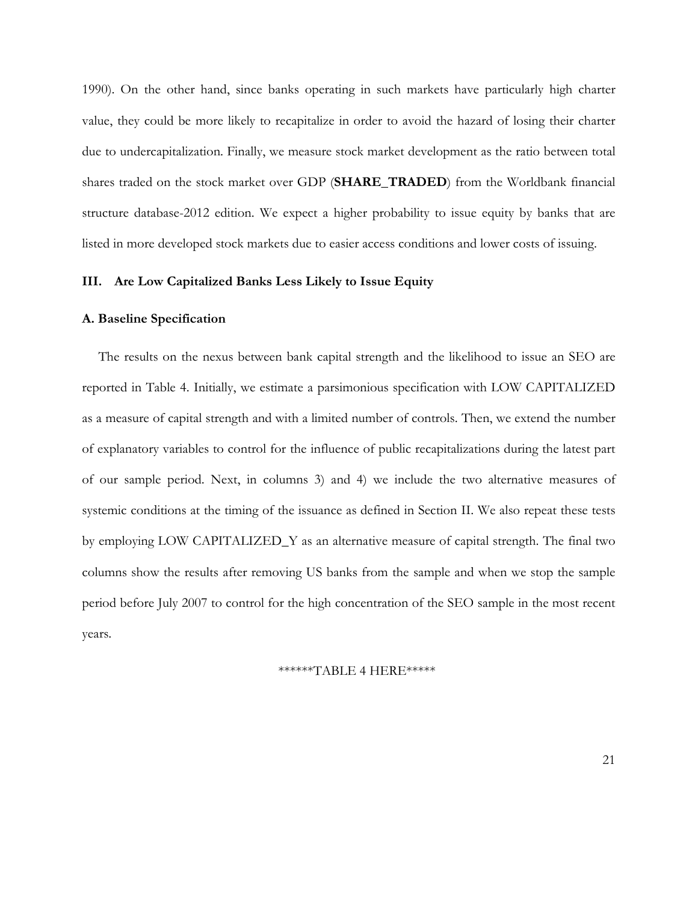1990). On the other hand, since banks operating in such markets have particularly high charter value, they could be more likely to recapitalize in order to avoid the hazard of losing their charter due to undercapitalization. Finally, we measure stock market development as the ratio between total shares traded on the stock market over GDP (**SHARE\_TRADED**) from the Worldbank financial structure database-2012 edition. We expect a higher probability to issue equity by banks that are listed in more developed stock markets due to easier access conditions and lower costs of issuing.

## **III. Are Low Capitalized Banks Less Likely to Issue Equity**

### **A. Baseline Specification**

The results on the nexus between bank capital strength and the likelihood to issue an SEO are reported in Table 4. Initially, we estimate a parsimonious specification with LOW CAPITALIZED as a measure of capital strength and with a limited number of controls. Then, we extend the number of explanatory variables to control for the influence of public recapitalizations during the latest part of our sample period. Next, in columns 3) and 4) we include the two alternative measures of systemic conditions at the timing of the issuance as defined in Section II. We also repeat these tests by employing LOW CAPITALIZED\_Y as an alternative measure of capital strength. The final two columns show the results after removing US banks from the sample and when we stop the sample period before July 2007 to control for the high concentration of the SEO sample in the most recent years.

## \*\*\*\*\*\*TABLE 4 HERE\*\*\*\*\*

21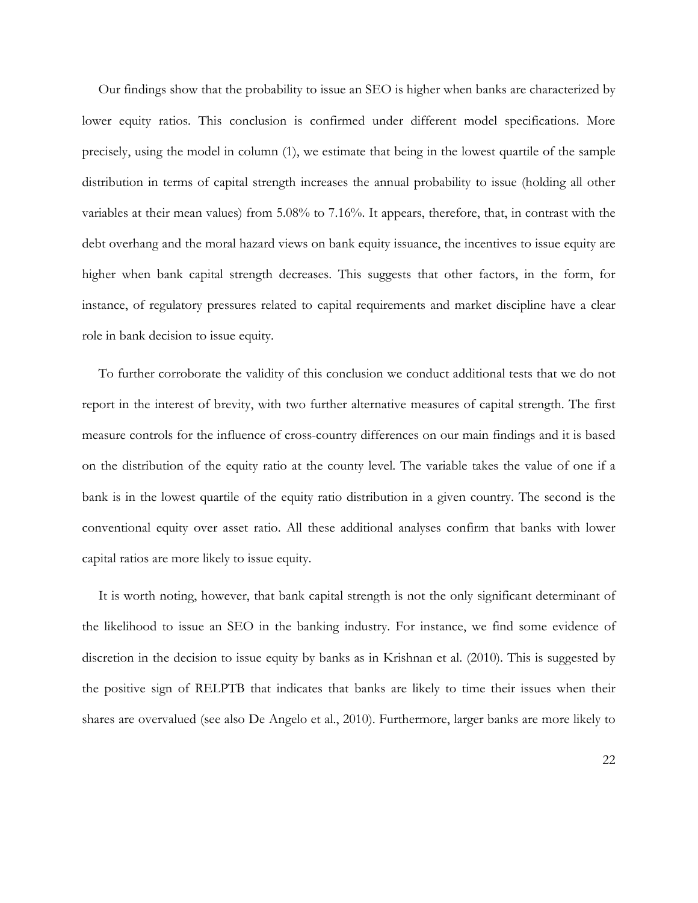Our findings show that the probability to issue an SEO is higher when banks are characterized by lower equity ratios. This conclusion is confirmed under different model specifications. More precisely, using the model in column (1), we estimate that being in the lowest quartile of the sample distribution in terms of capital strength increases the annual probability to issue (holding all other variables at their mean values) from 5.08% to 7.16%. It appears, therefore, that, in contrast with the debt overhang and the moral hazard views on bank equity issuance, the incentives to issue equity are higher when bank capital strength decreases. This suggests that other factors, in the form, for instance, of regulatory pressures related to capital requirements and market discipline have a clear role in bank decision to issue equity.

To further corroborate the validity of this conclusion we conduct additional tests that we do not report in the interest of brevity, with two further alternative measures of capital strength. The first measure controls for the influence of cross-country differences on our main findings and it is based on the distribution of the equity ratio at the county level. The variable takes the value of one if a bank is in the lowest quartile of the equity ratio distribution in a given country. The second is the conventional equity over asset ratio. All these additional analyses confirm that banks with lower capital ratios are more likely to issue equity.

It is worth noting, however, that bank capital strength is not the only significant determinant of the likelihood to issue an SEO in the banking industry. For instance, we find some evidence of discretion in the decision to issue equity by banks as in Krishnan et al. (2010). This is suggested by the positive sign of RELPTB that indicates that banks are likely to time their issues when their shares are overvalued (see also De Angelo et al., 2010). Furthermore, larger banks are more likely to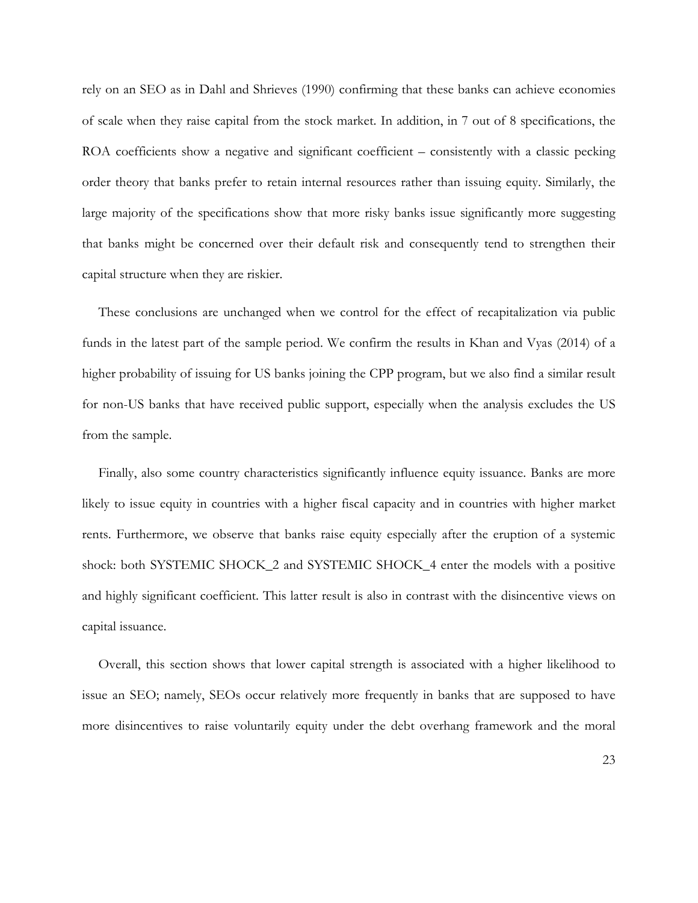rely on an SEO as in Dahl and Shrieves (1990) confirming that these banks can achieve economies of scale when they raise capital from the stock market. In addition, in 7 out of 8 specifications, the ROA coefficients show a negative and significant coefficient – consistently with a classic pecking order theory that banks prefer to retain internal resources rather than issuing equity. Similarly, the large majority of the specifications show that more risky banks issue significantly more suggesting that banks might be concerned over their default risk and consequently tend to strengthen their capital structure when they are riskier.

These conclusions are unchanged when we control for the effect of recapitalization via public funds in the latest part of the sample period. We confirm the results in Khan and Vyas (2014) of a higher probability of issuing for US banks joining the CPP program, but we also find a similar result for non-US banks that have received public support, especially when the analysis excludes the US from the sample.

Finally, also some country characteristics significantly influence equity issuance. Banks are more likely to issue equity in countries with a higher fiscal capacity and in countries with higher market rents. Furthermore, we observe that banks raise equity especially after the eruption of a systemic shock: both SYSTEMIC SHOCK\_2 and SYSTEMIC SHOCK\_4 enter the models with a positive and highly significant coefficient. This latter result is also in contrast with the disincentive views on capital issuance.

Overall, this section shows that lower capital strength is associated with a higher likelihood to issue an SEO; namely, SEOs occur relatively more frequently in banks that are supposed to have more disincentives to raise voluntarily equity under the debt overhang framework and the moral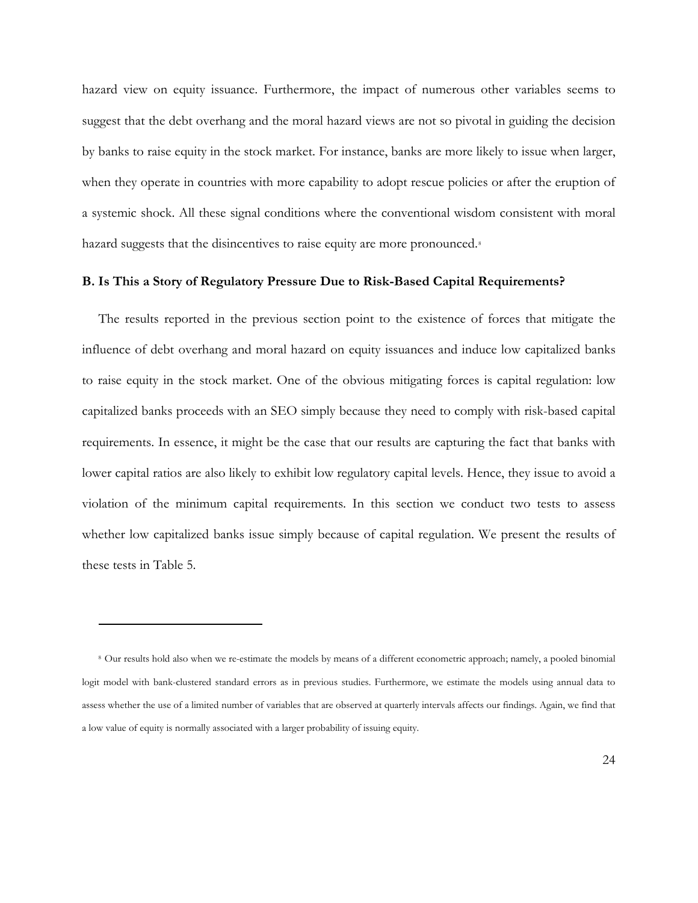hazard view on equity issuance. Furthermore, the impact of numerous other variables seems to suggest that the debt overhang and the moral hazard views are not so pivotal in guiding the decision by banks to raise equity in the stock market. For instance, banks are more likely to issue when larger, when they operate in countries with more capability to adopt rescue policies or after the eruption of a systemic shock. All these signal conditions where the conventional wisdom consistent with moral hazard suggests that the disincentives to raise equity are more pronounced.<sup>[8](#page-24-0)</sup>

## **B. Is This a Story of Regulatory Pressure Due to Risk-Based Capital Requirements?**

The results reported in the previous section point to the existence of forces that mitigate the influence of debt overhang and moral hazard on equity issuances and induce low capitalized banks to raise equity in the stock market. One of the obvious mitigating forces is capital regulation: low capitalized banks proceeds with an SEO simply because they need to comply with risk-based capital requirements. In essence, it might be the case that our results are capturing the fact that banks with lower capital ratios are also likely to exhibit low regulatory capital levels. Hence, they issue to avoid a violation of the minimum capital requirements. In this section we conduct two tests to assess whether low capitalized banks issue simply because of capital regulation. We present the results of these tests in Table 5.

 $\overline{a}$ 

<span id="page-24-0"></span><sup>8</sup> Our results hold also when we re-estimate the models by means of a different econometric approach; namely, a pooled binomial logit model with bank-clustered standard errors as in previous studies. Furthermore, we estimate the models using annual data to assess whether the use of a limited number of variables that are observed at quarterly intervals affects our findings. Again, we find that a low value of equity is normally associated with a larger probability of issuing equity.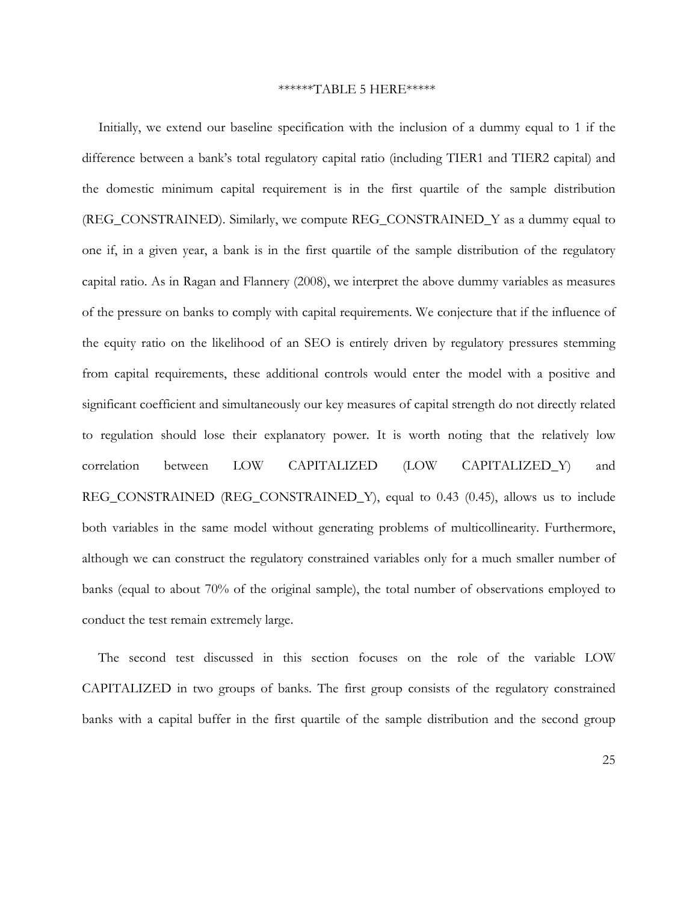### \*\*\*\*\*\*TABLE 5 HERE\*\*\*\*\*

Initially, we extend our baseline specification with the inclusion of a dummy equal to 1 if the difference between a bank's total regulatory capital ratio (including TIER1 and TIER2 capital) and the domestic minimum capital requirement is in the first quartile of the sample distribution (REG\_CONSTRAINED). Similarly, we compute REG\_CONSTRAINED\_Y as a dummy equal to one if, in a given year, a bank is in the first quartile of the sample distribution of the regulatory capital ratio. As in Ragan and Flannery (2008), we interpret the above dummy variables as measures of the pressure on banks to comply with capital requirements. We conjecture that if the influence of the equity ratio on the likelihood of an SEO is entirely driven by regulatory pressures stemming from capital requirements, these additional controls would enter the model with a positive and significant coefficient and simultaneously our key measures of capital strength do not directly related to regulation should lose their explanatory power. It is worth noting that the relatively low correlation between LOW CAPITALIZED (LOW CAPITALIZED\_Y) and REG\_CONSTRAINED (REG\_CONSTRAINED\_Y), equal to 0.43 (0.45), allows us to include both variables in the same model without generating problems of multicollinearity. Furthermore, although we can construct the regulatory constrained variables only for a much smaller number of banks (equal to about 70% of the original sample), the total number of observations employed to conduct the test remain extremely large.

The second test discussed in this section focuses on the role of the variable LOW CAPITALIZED in two groups of banks. The first group consists of the regulatory constrained banks with a capital buffer in the first quartile of the sample distribution and the second group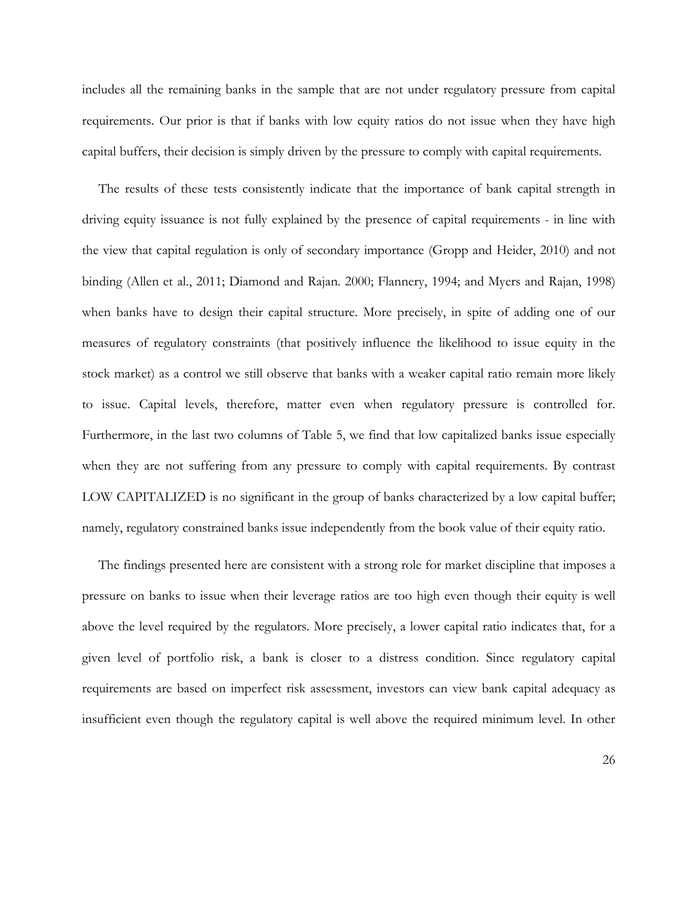includes all the remaining banks in the sample that are not under regulatory pressure from capital requirements. Our prior is that if banks with low equity ratios do not issue when they have high capital buffers, their decision is simply driven by the pressure to comply with capital requirements.

The results of these tests consistently indicate that the importance of bank capital strength in driving equity issuance is not fully explained by the presence of capital requirements - in line with the view that capital regulation is only of secondary importance (Gropp and Heider, 2010) and not binding (Allen et al., 2011; Diamond and Rajan. 2000; Flannery, 1994; and Myers and Rajan, 1998) when banks have to design their capital structure. More precisely, in spite of adding one of our measures of regulatory constraints (that positively influence the likelihood to issue equity in the stock market) as a control we still observe that banks with a weaker capital ratio remain more likely to issue. Capital levels, therefore, matter even when regulatory pressure is controlled for. Furthermore, in the last two columns of Table 5, we find that low capitalized banks issue especially when they are not suffering from any pressure to comply with capital requirements. By contrast LOW CAPITALIZED is no significant in the group of banks characterized by a low capital buffer; namely, regulatory constrained banks issue independently from the book value of their equity ratio.

The findings presented here are consistent with a strong role for market discipline that imposes a pressure on banks to issue when their leverage ratios are too high even though their equity is well above the level required by the regulators. More precisely, a lower capital ratio indicates that, for a given level of portfolio risk, a bank is closer to a distress condition. Since regulatory capital requirements are based on imperfect risk assessment, investors can view bank capital adequacy as insufficient even though the regulatory capital is well above the required minimum level. In other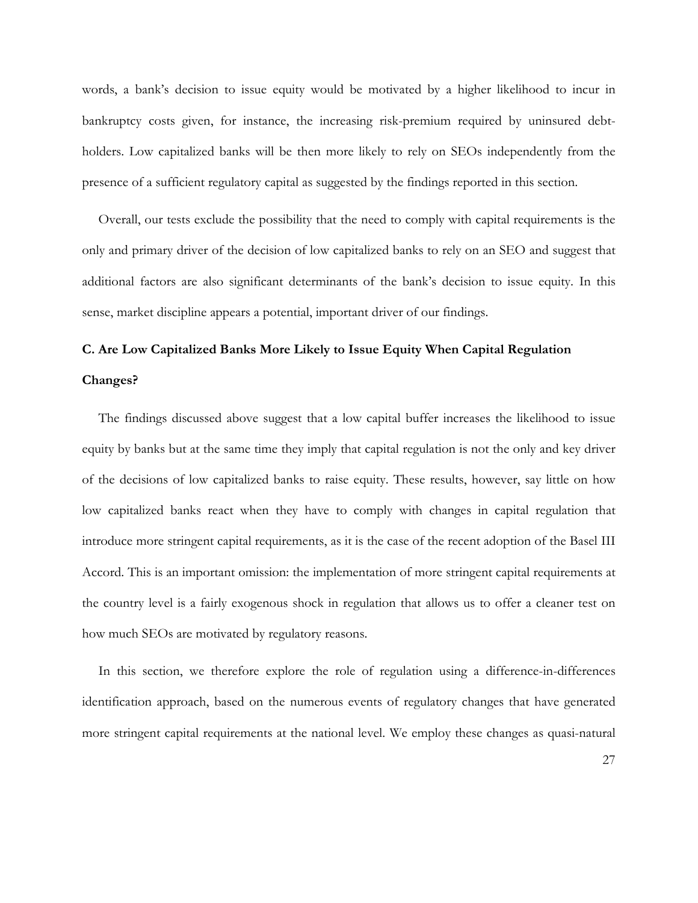words, a bank's decision to issue equity would be motivated by a higher likelihood to incur in bankruptcy costs given, for instance, the increasing risk-premium required by uninsured debtholders. Low capitalized banks will be then more likely to rely on SEOs independently from the presence of a sufficient regulatory capital as suggested by the findings reported in this section.

Overall, our tests exclude the possibility that the need to comply with capital requirements is the only and primary driver of the decision of low capitalized banks to rely on an SEO and suggest that additional factors are also significant determinants of the bank's decision to issue equity. In this sense, market discipline appears a potential, important driver of our findings.

## **C. Are Low Capitalized Banks More Likely to Issue Equity When Capital Regulation**

### **Changes?**

The findings discussed above suggest that a low capital buffer increases the likelihood to issue equity by banks but at the same time they imply that capital regulation is not the only and key driver of the decisions of low capitalized banks to raise equity. These results, however, say little on how low capitalized banks react when they have to comply with changes in capital regulation that introduce more stringent capital requirements, as it is the case of the recent adoption of the Basel III Accord. This is an important omission: the implementation of more stringent capital requirements at the country level is a fairly exogenous shock in regulation that allows us to offer a cleaner test on how much SEOs are motivated by regulatory reasons.

In this section, we therefore explore the role of regulation using a difference-in-differences identification approach, based on the numerous events of regulatory changes that have generated more stringent capital requirements at the national level. We employ these changes as quasi-natural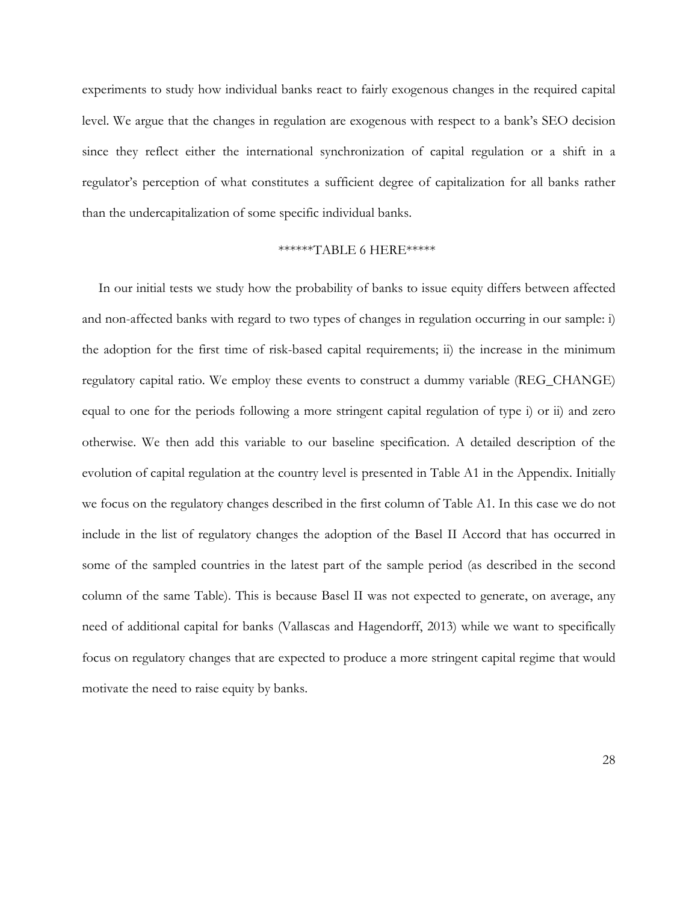experiments to study how individual banks react to fairly exogenous changes in the required capital level. We argue that the changes in regulation are exogenous with respect to a bank's SEO decision since they reflect either the international synchronization of capital regulation or a shift in a regulator's perception of what constitutes a sufficient degree of capitalization for all banks rather than the undercapitalization of some specific individual banks.

### \*\*\*\*\*\*TABLE 6 HERE\*\*\*\*\*

In our initial tests we study how the probability of banks to issue equity differs between affected and non-affected banks with regard to two types of changes in regulation occurring in our sample: i) the adoption for the first time of risk-based capital requirements; ii) the increase in the minimum regulatory capital ratio. We employ these events to construct a dummy variable (REG\_CHANGE) equal to one for the periods following a more stringent capital regulation of type i) or ii) and zero otherwise. We then add this variable to our baseline specification. A detailed description of the evolution of capital regulation at the country level is presented in Table A1 in the Appendix. Initially we focus on the regulatory changes described in the first column of Table A1. In this case we do not include in the list of regulatory changes the adoption of the Basel II Accord that has occurred in some of the sampled countries in the latest part of the sample period (as described in the second column of the same Table). This is because Basel II was not expected to generate, on average, any need of additional capital for banks (Vallascas and Hagendorff, 2013) while we want to specifically focus on regulatory changes that are expected to produce a more stringent capital regime that would motivate the need to raise equity by banks.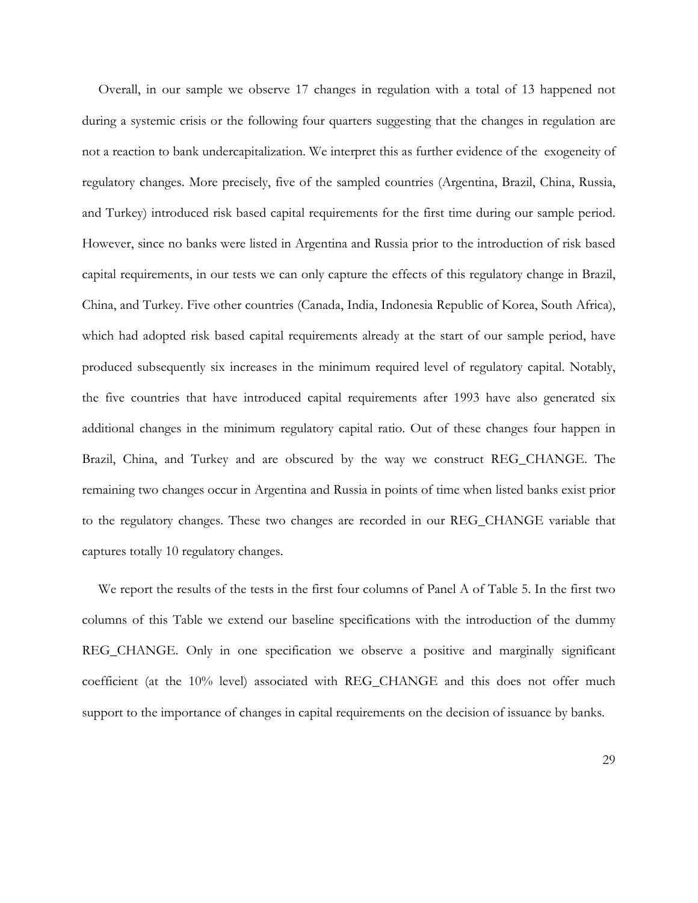Overall, in our sample we observe 17 changes in regulation with a total of 13 happened not during a systemic crisis or the following four quarters suggesting that the changes in regulation are not a reaction to bank undercapitalization. We interpret this as further evidence of the exogeneity of regulatory changes. More precisely, five of the sampled countries (Argentina, Brazil, China, Russia, and Turkey) introduced risk based capital requirements for the first time during our sample period. However, since no banks were listed in Argentina and Russia prior to the introduction of risk based capital requirements, in our tests we can only capture the effects of this regulatory change in Brazil, China, and Turkey. Five other countries (Canada, India, Indonesia Republic of Korea, South Africa), which had adopted risk based capital requirements already at the start of our sample period, have produced subsequently six increases in the minimum required level of regulatory capital. Notably, the five countries that have introduced capital requirements after 1993 have also generated six additional changes in the minimum regulatory capital ratio. Out of these changes four happen in Brazil, China, and Turkey and are obscured by the way we construct REG\_CHANGE. The remaining two changes occur in Argentina and Russia in points of time when listed banks exist prior to the regulatory changes. These two changes are recorded in our REG\_CHANGE variable that captures totally 10 regulatory changes.

We report the results of the tests in the first four columns of Panel A of Table 5. In the first two columns of this Table we extend our baseline specifications with the introduction of the dummy REG\_CHANGE. Only in one specification we observe a positive and marginally significant coefficient (at the 10% level) associated with REG\_CHANGE and this does not offer much support to the importance of changes in capital requirements on the decision of issuance by banks.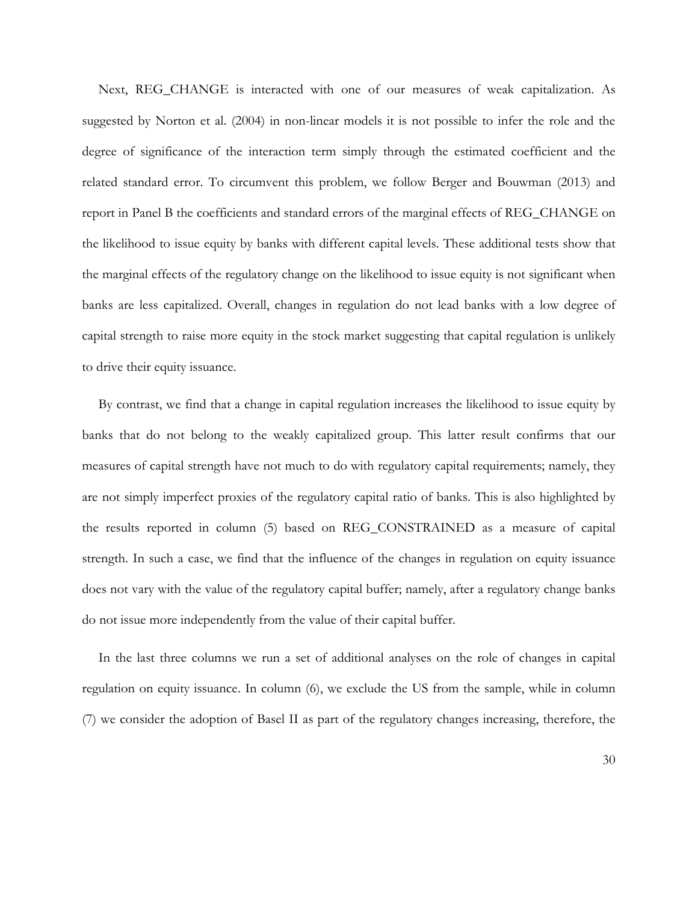Next, REG\_CHANGE is interacted with one of our measures of weak capitalization. As suggested by Norton et al. (2004) in non-linear models it is not possible to infer the role and the degree of significance of the interaction term simply through the estimated coefficient and the related standard error. To circumvent this problem, we follow Berger and Bouwman (2013) and report in Panel B the coefficients and standard errors of the marginal effects of REG\_CHANGE on the likelihood to issue equity by banks with different capital levels. These additional tests show that the marginal effects of the regulatory change on the likelihood to issue equity is not significant when banks are less capitalized. Overall, changes in regulation do not lead banks with a low degree of capital strength to raise more equity in the stock market suggesting that capital regulation is unlikely to drive their equity issuance.

By contrast, we find that a change in capital regulation increases the likelihood to issue equity by banks that do not belong to the weakly capitalized group. This latter result confirms that our measures of capital strength have not much to do with regulatory capital requirements; namely, they are not simply imperfect proxies of the regulatory capital ratio of banks. This is also highlighted by the results reported in column (5) based on REG\_CONSTRAINED as a measure of capital strength. In such a case, we find that the influence of the changes in regulation on equity issuance does not vary with the value of the regulatory capital buffer; namely, after a regulatory change banks do not issue more independently from the value of their capital buffer.

In the last three columns we run a set of additional analyses on the role of changes in capital regulation on equity issuance. In column (6), we exclude the US from the sample, while in column (7) we consider the adoption of Basel II as part of the regulatory changes increasing, therefore, the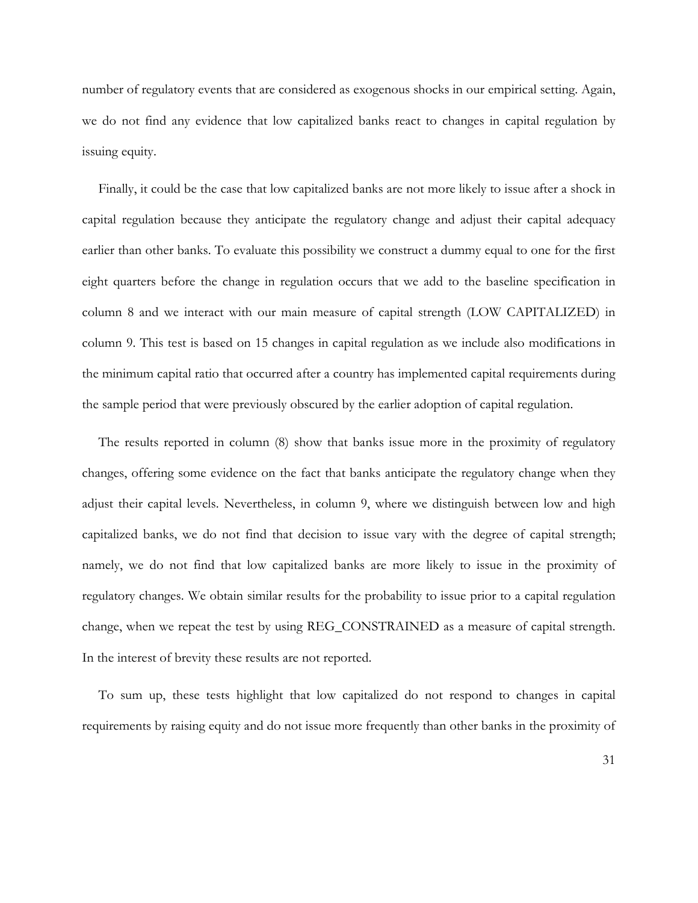number of regulatory events that are considered as exogenous shocks in our empirical setting. Again, we do not find any evidence that low capitalized banks react to changes in capital regulation by issuing equity.

Finally, it could be the case that low capitalized banks are not more likely to issue after a shock in capital regulation because they anticipate the regulatory change and adjust their capital adequacy earlier than other banks. To evaluate this possibility we construct a dummy equal to one for the first eight quarters before the change in regulation occurs that we add to the baseline specification in column 8 and we interact with our main measure of capital strength (LOW CAPITALIZED) in column 9. This test is based on 15 changes in capital regulation as we include also modifications in the minimum capital ratio that occurred after a country has implemented capital requirements during the sample period that were previously obscured by the earlier adoption of capital regulation.

The results reported in column (8) show that banks issue more in the proximity of regulatory changes, offering some evidence on the fact that banks anticipate the regulatory change when they adjust their capital levels. Nevertheless, in column 9, where we distinguish between low and high capitalized banks, we do not find that decision to issue vary with the degree of capital strength; namely, we do not find that low capitalized banks are more likely to issue in the proximity of regulatory changes. We obtain similar results for the probability to issue prior to a capital regulation change, when we repeat the test by using REG\_CONSTRAINED as a measure of capital strength. In the interest of brevity these results are not reported.

To sum up, these tests highlight that low capitalized do not respond to changes in capital requirements by raising equity and do not issue more frequently than other banks in the proximity of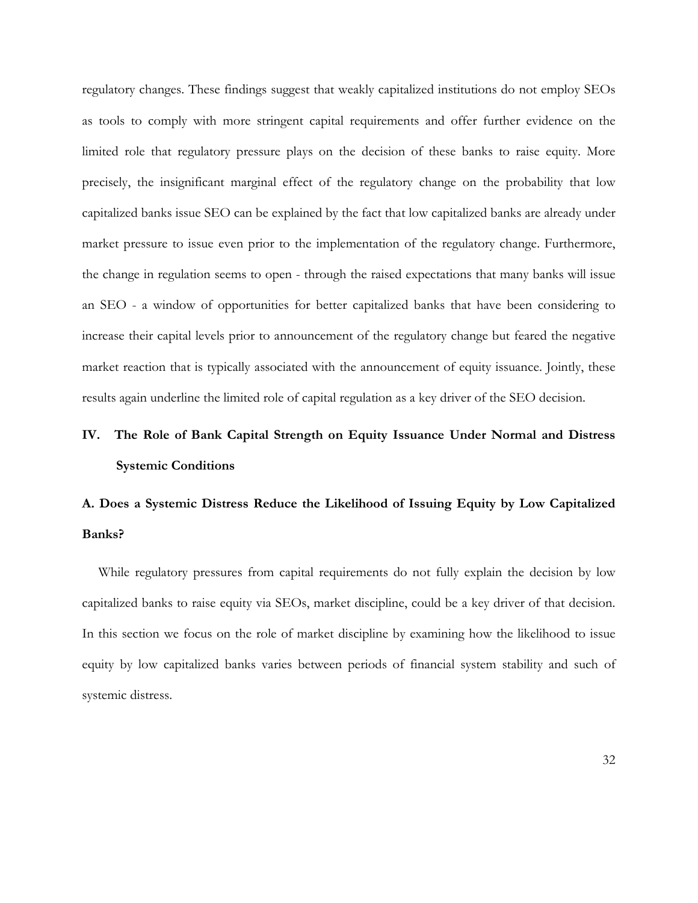regulatory changes. These findings suggest that weakly capitalized institutions do not employ SEOs as tools to comply with more stringent capital requirements and offer further evidence on the limited role that regulatory pressure plays on the decision of these banks to raise equity. More precisely, the insignificant marginal effect of the regulatory change on the probability that low capitalized banks issue SEO can be explained by the fact that low capitalized banks are already under market pressure to issue even prior to the implementation of the regulatory change. Furthermore, the change in regulation seems to open - through the raised expectations that many banks will issue an SEO - a window of opportunities for better capitalized banks that have been considering to increase their capital levels prior to announcement of the regulatory change but feared the negative market reaction that is typically associated with the announcement of equity issuance. Jointly, these results again underline the limited role of capital regulation as a key driver of the SEO decision.

# **IV. The Role of Bank Capital Strength on Equity Issuance Under Normal and Distress Systemic Conditions**

# **A. Does a Systemic Distress Reduce the Likelihood of Issuing Equity by Low Capitalized Banks?**

While regulatory pressures from capital requirements do not fully explain the decision by low capitalized banks to raise equity via SEOs, market discipline, could be a key driver of that decision. In this section we focus on the role of market discipline by examining how the likelihood to issue equity by low capitalized banks varies between periods of financial system stability and such of systemic distress.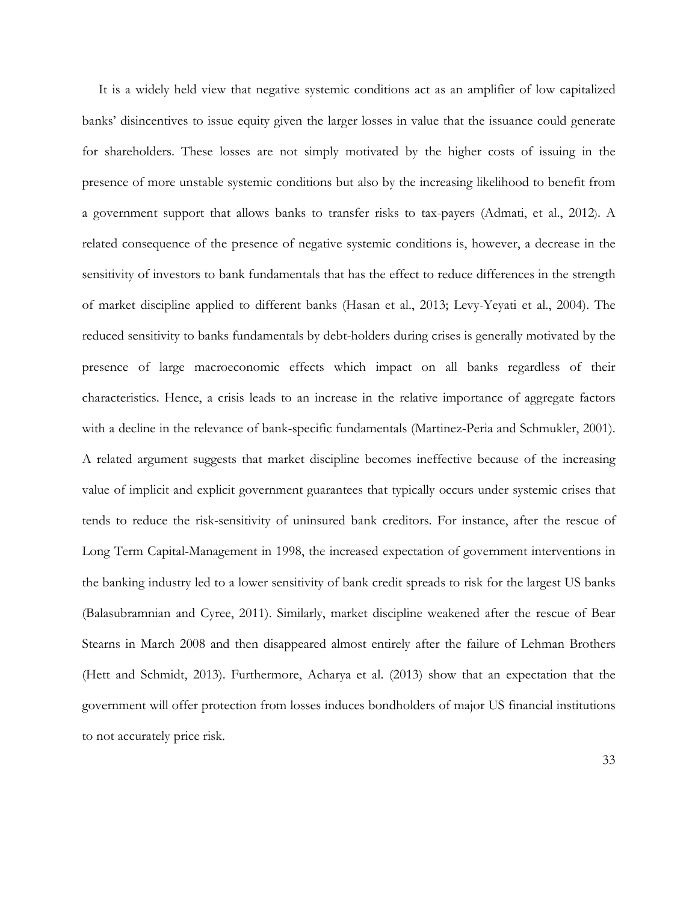It is a widely held view that negative systemic conditions act as an amplifier of low capitalized banks' disincentives to issue equity given the larger losses in value that the issuance could generate for shareholders. These losses are not simply motivated by the higher costs of issuing in the presence of more unstable systemic conditions but also by the increasing likelihood to benefit from a government support that allows banks to transfer risks to tax-payers (Admati, et al., 2012). A related consequence of the presence of negative systemic conditions is, however, a decrease in the sensitivity of investors to bank fundamentals that has the effect to reduce differences in the strength of market discipline applied to different banks (Hasan et al., 2013; Levy-Yeyati et al., 2004). The reduced sensitivity to banks fundamentals by debt-holders during crises is generally motivated by the presence of large macroeconomic effects which impact on all banks regardless of their characteristics. Hence, a crisis leads to an increase in the relative importance of aggregate factors with a decline in the relevance of bank-specific fundamentals (Martinez-Peria and Schmukler, 2001). A related argument suggests that market discipline becomes ineffective because of the increasing value of implicit and explicit government guarantees that typically occurs under systemic crises that tends to reduce the risk-sensitivity of uninsured bank creditors. For instance, after the rescue of Long Term Capital-Management in 1998, the increased expectation of government interventions in the banking industry led to a lower sensitivity of bank credit spreads to risk for the largest US banks (Balasubramnian and Cyree, 2011). Similarly, market discipline weakened after the rescue of Bear Stearns in March 2008 and then disappeared almost entirely after the failure of Lehman Brothers (Hett and Schmidt, 2013). Furthermore, Acharya et al. (2013) show that an expectation that the government will offer protection from losses induces bondholders of major US financial institutions to not accurately price risk.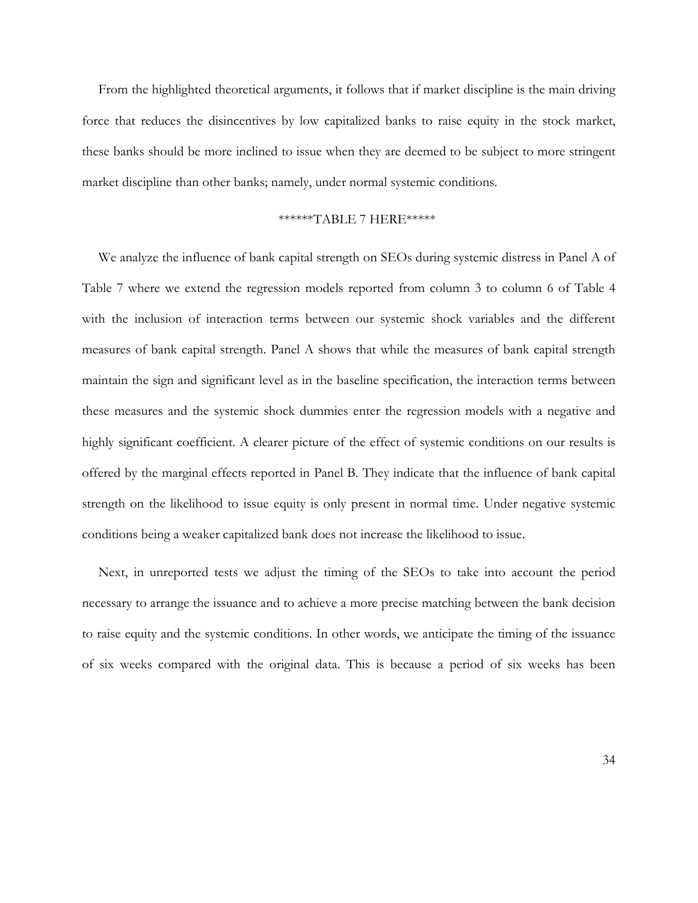From the highlighted theoretical arguments, it follows that if market discipline is the main driving force that reduces the disincentives by low capitalized banks to raise equity in the stock market, these banks should be more inclined to issue when they are deemed to be subject to more stringent market discipline than other banks; namely, under normal systemic conditions.

## \*\*\*\*\*\*TABLE 7 HERE\*\*\*\*\*

We analyze the influence of bank capital strength on SEOs during systemic distress in Panel A of Table 7 where we extend the regression models reported from column 3 to column 6 of Table 4 with the inclusion of interaction terms between our systemic shock variables and the different measures of bank capital strength. Panel A shows that while the measures of bank capital strength maintain the sign and significant level as in the baseline specification, the interaction terms between these measures and the systemic shock dummies enter the regression models with a negative and highly significant coefficient. A clearer picture of the effect of systemic conditions on our results is offered by the marginal effects reported in Panel B. They indicate that the influence of bank capital strength on the likelihood to issue equity is only present in normal time. Under negative systemic conditions being a weaker capitalized bank does not increase the likelihood to issue.

Next, in unreported tests we adjust the timing of the SEOs to take into account the period necessary to arrange the issuance and to achieve a more precise matching between the bank decision to raise equity and the systemic conditions. In other words, we anticipate the timing of the issuance of six weeks compared with the original data. This is because a period of six weeks has been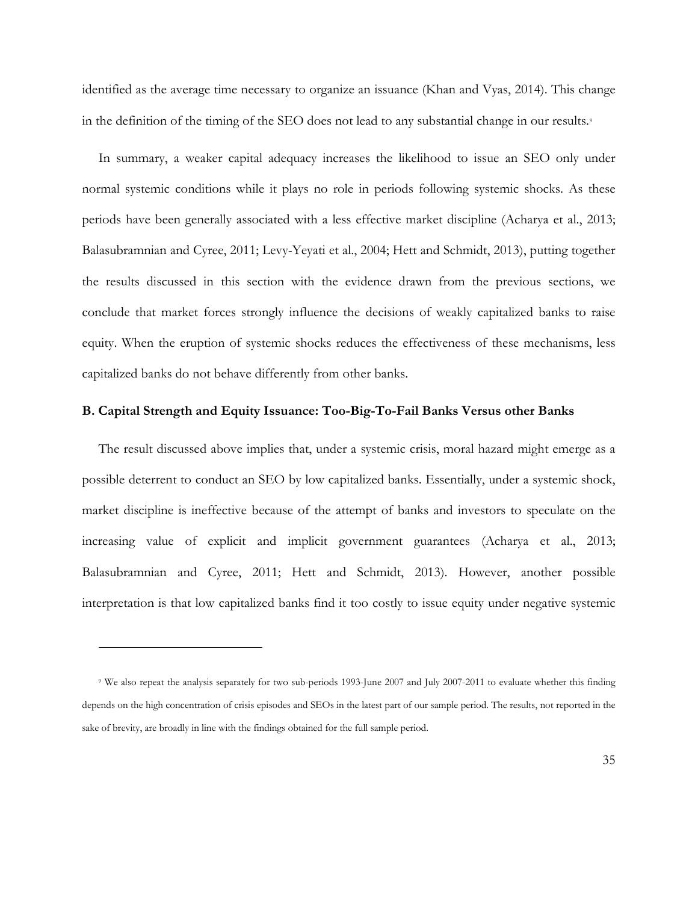identified as the average time necessary to organize an issuance (Khan and Vyas, 2014). This change in the definition of the timing of the SEO does not lead to any substantial change in our results.<sup>[9](#page-35-0)</sup>

In summary, a weaker capital adequacy increases the likelihood to issue an SEO only under normal systemic conditions while it plays no role in periods following systemic shocks. As these periods have been generally associated with a less effective market discipline (Acharya et al., 2013; Balasubramnian and Cyree, 2011; Levy-Yeyati et al., 2004; Hett and Schmidt, 2013), putting together the results discussed in this section with the evidence drawn from the previous sections, we conclude that market forces strongly influence the decisions of weakly capitalized banks to raise equity. When the eruption of systemic shocks reduces the effectiveness of these mechanisms, less capitalized banks do not behave differently from other banks.

## **B. Capital Strength and Equity Issuance: Too-Big-To-Fail Banks Versus other Banks**

The result discussed above implies that, under a systemic crisis, moral hazard might emerge as a possible deterrent to conduct an SEO by low capitalized banks. Essentially, under a systemic shock, market discipline is ineffective because of the attempt of banks and investors to speculate on the increasing value of explicit and implicit government guarantees (Acharya et al., 2013; Balasubramnian and Cyree, 2011; Hett and Schmidt, 2013). However, another possible interpretation is that low capitalized banks find it too costly to issue equity under negative systemic

 $\overline{a}$ 

<span id="page-35-0"></span><sup>9</sup> We also repeat the analysis separately for two sub-periods 1993-June 2007 and July 2007-2011 to evaluate whether this finding depends on the high concentration of crisis episodes and SEOs in the latest part of our sample period. The results, not reported in the sake of brevity, are broadly in line with the findings obtained for the full sample period.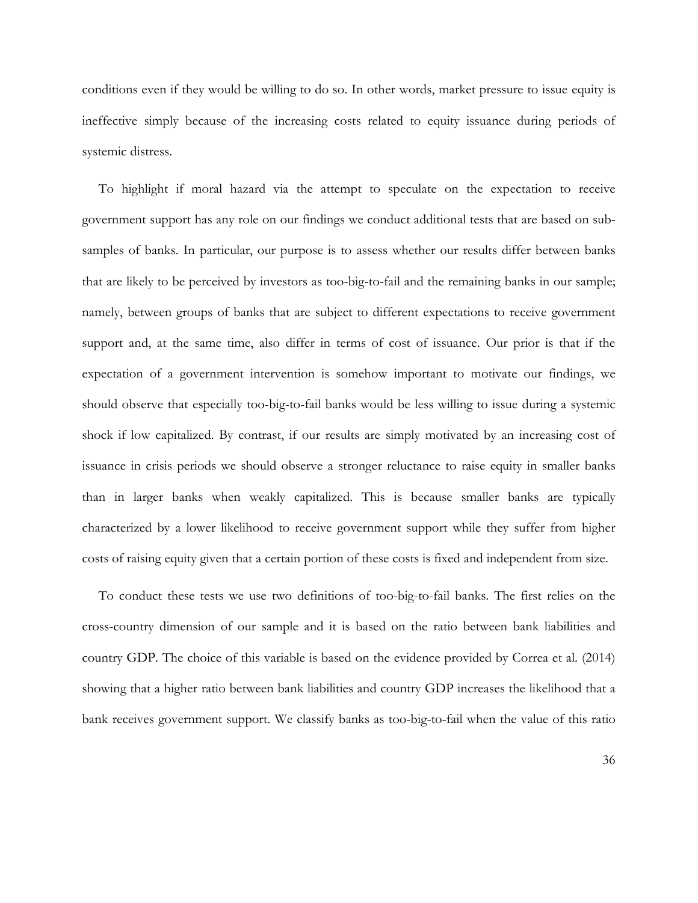conditions even if they would be willing to do so. In other words, market pressure to issue equity is ineffective simply because of the increasing costs related to equity issuance during periods of systemic distress.

To highlight if moral hazard via the attempt to speculate on the expectation to receive government support has any role on our findings we conduct additional tests that are based on subsamples of banks. In particular, our purpose is to assess whether our results differ between banks that are likely to be perceived by investors as too-big-to-fail and the remaining banks in our sample; namely, between groups of banks that are subject to different expectations to receive government support and, at the same time, also differ in terms of cost of issuance. Our prior is that if the expectation of a government intervention is somehow important to motivate our findings, we should observe that especially too-big-to-fail banks would be less willing to issue during a systemic shock if low capitalized. By contrast, if our results are simply motivated by an increasing cost of issuance in crisis periods we should observe a stronger reluctance to raise equity in smaller banks than in larger banks when weakly capitalized. This is because smaller banks are typically characterized by a lower likelihood to receive government support while they suffer from higher costs of raising equity given that a certain portion of these costs is fixed and independent from size.

To conduct these tests we use two definitions of too-big-to-fail banks. The first relies on the cross-country dimension of our sample and it is based on the ratio between bank liabilities and country GDP. The choice of this variable is based on the evidence provided by Correa et al. (2014) showing that a higher ratio between bank liabilities and country GDP increases the likelihood that a bank receives government support. We classify banks as too-big-to-fail when the value of this ratio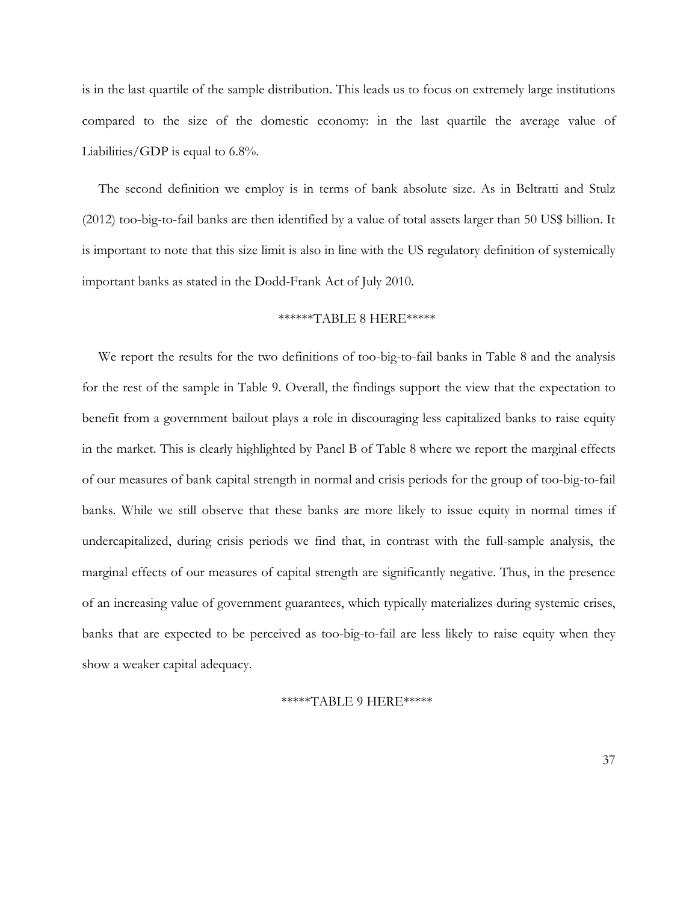is in the last quartile of the sample distribution. This leads us to focus on extremely large institutions compared to the size of the domestic economy: in the last quartile the average value of Liabilities/GDP is equal to 6.8%.

The second definition we employ is in terms of bank absolute size. As in Beltratti and Stulz (2012) too-big-to-fail banks are then identified by a value of total assets larger than 50 US\$ billion. It is important to note that this size limit is also in line with the US regulatory definition of systemically important banks as stated in the Dodd-Frank Act of July 2010.

### \*\*\*\*\*\*TABLE 8 HERE\*\*\*\*\*

We report the results for the two definitions of too-big-to-fail banks in Table 8 and the analysis for the rest of the sample in Table 9. Overall, the findings support the view that the expectation to benefit from a government bailout plays a role in discouraging less capitalized banks to raise equity in the market. This is clearly highlighted by Panel B of Table 8 where we report the marginal effects of our measures of bank capital strength in normal and crisis periods for the group of too-big-to-fail banks. While we still observe that these banks are more likely to issue equity in normal times if undercapitalized, during crisis periods we find that, in contrast with the full-sample analysis, the marginal effects of our measures of capital strength are significantly negative. Thus, in the presence of an increasing value of government guarantees, which typically materializes during systemic crises, banks that are expected to be perceived as too-big-to-fail are less likely to raise equity when they show a weaker capital adequacy.

#### \*\*\*\*\*TABLE 9 HERE\*\*\*\*\*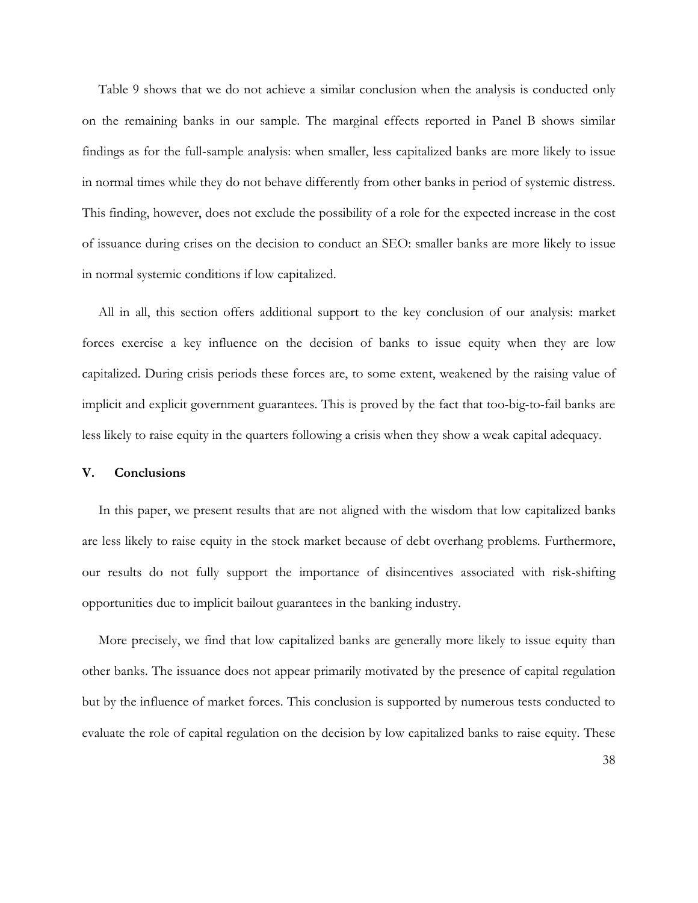Table 9 shows that we do not achieve a similar conclusion when the analysis is conducted only on the remaining banks in our sample. The marginal effects reported in Panel B shows similar findings as for the full-sample analysis: when smaller, less capitalized banks are more likely to issue in normal times while they do not behave differently from other banks in period of systemic distress. This finding, however, does not exclude the possibility of a role for the expected increase in the cost of issuance during crises on the decision to conduct an SEO: smaller banks are more likely to issue in normal systemic conditions if low capitalized.

All in all, this section offers additional support to the key conclusion of our analysis: market forces exercise a key influence on the decision of banks to issue equity when they are low capitalized. During crisis periods these forces are, to some extent, weakened by the raising value of implicit and explicit government guarantees. This is proved by the fact that too-big-to-fail banks are less likely to raise equity in the quarters following a crisis when they show a weak capital adequacy.

### **V. Conclusions**

In this paper, we present results that are not aligned with the wisdom that low capitalized banks are less likely to raise equity in the stock market because of debt overhang problems. Furthermore, our results do not fully support the importance of disincentives associated with risk-shifting opportunities due to implicit bailout guarantees in the banking industry.

More precisely, we find that low capitalized banks are generally more likely to issue equity than other banks. The issuance does not appear primarily motivated by the presence of capital regulation but by the influence of market forces. This conclusion is supported by numerous tests conducted to evaluate the role of capital regulation on the decision by low capitalized banks to raise equity. These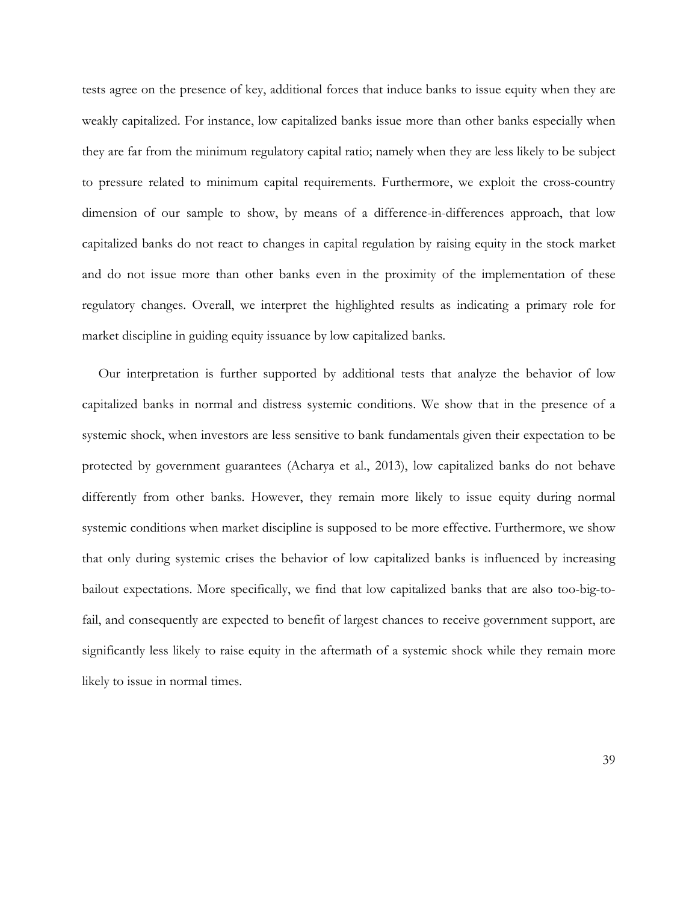tests agree on the presence of key, additional forces that induce banks to issue equity when they are weakly capitalized. For instance, low capitalized banks issue more than other banks especially when they are far from the minimum regulatory capital ratio; namely when they are less likely to be subject to pressure related to minimum capital requirements. Furthermore, we exploit the cross-country dimension of our sample to show, by means of a difference-in-differences approach, that low capitalized banks do not react to changes in capital regulation by raising equity in the stock market and do not issue more than other banks even in the proximity of the implementation of these regulatory changes. Overall, we interpret the highlighted results as indicating a primary role for market discipline in guiding equity issuance by low capitalized banks.

Our interpretation is further supported by additional tests that analyze the behavior of low capitalized banks in normal and distress systemic conditions. We show that in the presence of a systemic shock, when investors are less sensitive to bank fundamentals given their expectation to be protected by government guarantees (Acharya et al., 2013), low capitalized banks do not behave differently from other banks. However, they remain more likely to issue equity during normal systemic conditions when market discipline is supposed to be more effective. Furthermore, we show that only during systemic crises the behavior of low capitalized banks is influenced by increasing bailout expectations. More specifically, we find that low capitalized banks that are also too-big-tofail, and consequently are expected to benefit of largest chances to receive government support, are significantly less likely to raise equity in the aftermath of a systemic shock while they remain more likely to issue in normal times.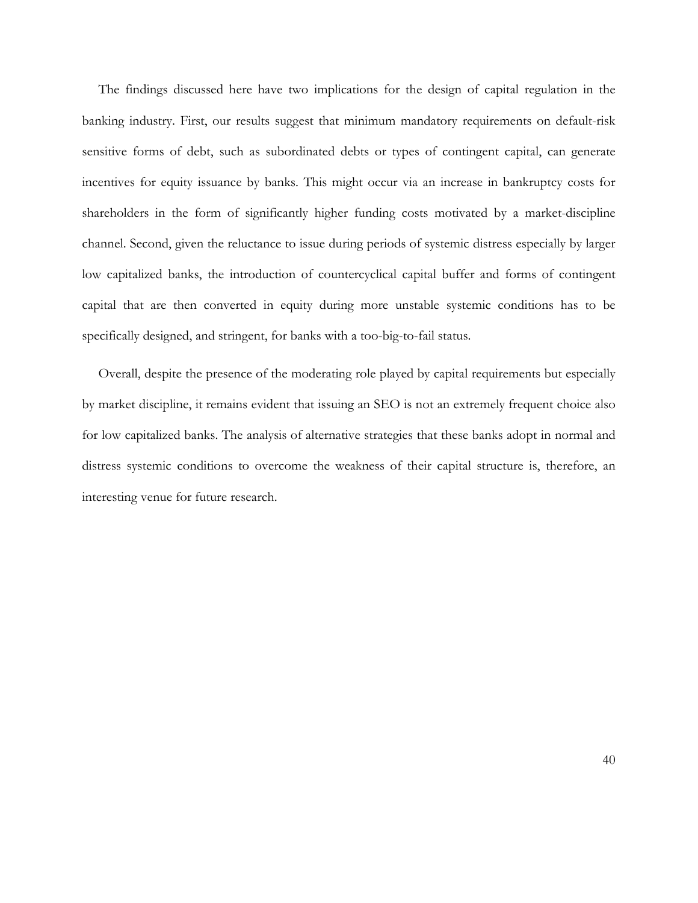The findings discussed here have two implications for the design of capital regulation in the banking industry. First, our results suggest that minimum mandatory requirements on default-risk sensitive forms of debt, such as subordinated debts or types of contingent capital, can generate incentives for equity issuance by banks. This might occur via an increase in bankruptcy costs for shareholders in the form of significantly higher funding costs motivated by a market-discipline channel. Second, given the reluctance to issue during periods of systemic distress especially by larger low capitalized banks, the introduction of countercyclical capital buffer and forms of contingent capital that are then converted in equity during more unstable systemic conditions has to be specifically designed, and stringent, for banks with a too-big-to-fail status.

Overall, despite the presence of the moderating role played by capital requirements but especially by market discipline, it remains evident that issuing an SEO is not an extremely frequent choice also for low capitalized banks. The analysis of alternative strategies that these banks adopt in normal and distress systemic conditions to overcome the weakness of their capital structure is, therefore, an interesting venue for future research.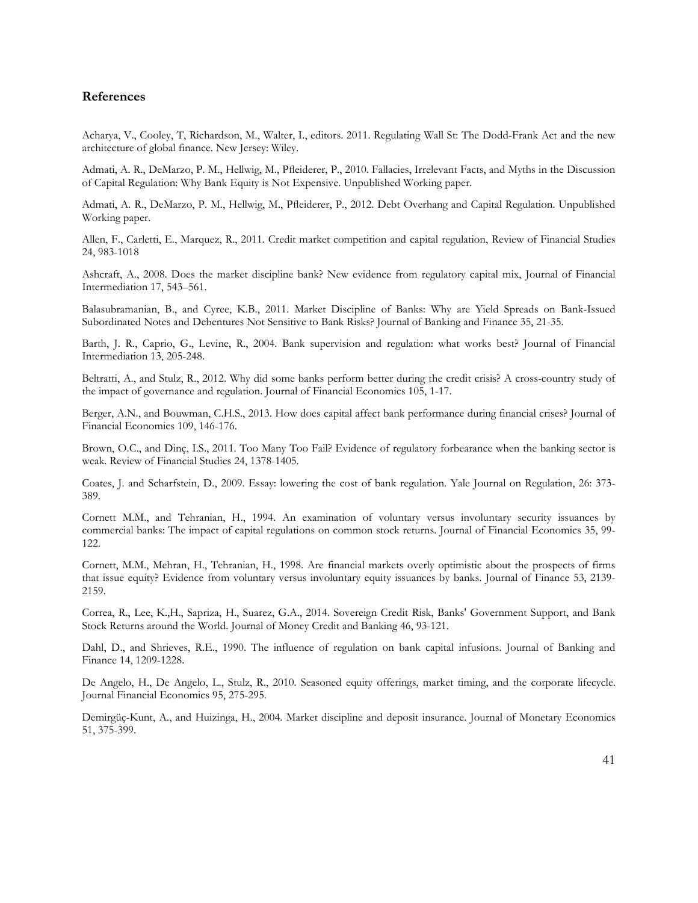## **References**

Acharya, V., Cooley, T, Richardson, M., Walter, I., editors. 2011. Regulating Wall St: The Dodd-Frank Act and the new architecture of global finance. New Jersey: Wiley.

Admati, A. R., DeMarzo, P. M., Hellwig, M., Pfleiderer, P., 2010. Fallacies, Irrelevant Facts, and Myths in the Discussion of Capital Regulation: Why Bank Equity is Not Expensive. Unpublished Working paper.

Admati, A. R., DeMarzo, P. M., Hellwig, M., Pfleiderer, P., 2012. Debt Overhang and Capital Regulation. Unpublished Working paper.

Allen, F., Carletti, E., Marquez, R., 2011. Credit market competition and capital regulation, Review of Financial Studies 24, 983-1018

Ashcraft, A., 2008. Does the market discipline bank? New evidence from regulatory capital mix, Journal of Financial Intermediation 17, 543–561.

Balasubramanian, B., and Cyree, K.B., 2011. Market Discipline of Banks: Why are Yield Spreads on Bank-Issued Subordinated Notes and Debentures Not Sensitive to Bank Risks? Journal of Banking and Finance 35, 21-35.

Barth, J. R., Caprio, G., Levine, R., 2004. Bank supervision and regulation: what works best? Journal of Financial Intermediation 13, 205-248.

Beltratti, A., and Stulz, R., 2012. Why did some banks perform better during the credit crisis? A cross-country study of the impact of governance and regulation. Journal of Financial Economics 105, 1-17.

Berger, A.N., and Bouwman, C.H.S., 2013. How does capital affect bank performance during financial crises? Journal of Financial Economics 109, 146-176.

Brown, O.C., and Dinç, I.S., 2011. Too Many Too Fail? Evidence of regulatory forbearance when the banking sector is weak. Review of Financial Studies 24, 1378-1405.

Coates, J. and Scharfstein, D., 2009. Essay: lowering the cost of bank regulation. Yale Journal on Regulation, 26: 373- 389.

Cornett M.M., and Tehranian, H., 1994. An examination of voluntary versus involuntary security issuances by commercial banks: The impact of capital regulations on common stock returns. Journal of Financial Economics 35, 99- 122.

Cornett, M.M., Mehran, H., Tehranian, H., 1998. Are financial markets overly optimistic about the prospects of firms that issue equity? Evidence from voluntary versus involuntary equity issuances by banks. Journal of Finance 53, 2139- 2159.

Correa, R., Lee, K.,H., Sapriza, H., Suarez, G.A., 2014. Sovereign Credit Risk, Banks' Government Support, and Bank Stock Returns around the World. Journal of Money Credit and Banking 46, 93-121.

Dahl, D., and Shrieves, R.E., 1990. The influence of regulation on bank capital infusions. Journal of Banking and Finance 14, 1209-1228.

De Angelo, H., De Angelo, L., Stulz, R., 2010. Seasoned equity offerings, market timing, and the corporate lifecycle. Journal Financial Economics 95, 275-295.

Demirgüç-Kunt, A., and Huizinga, H., 2004. Market discipline and deposit insurance. Journal of Monetary Economics 51, 375-399.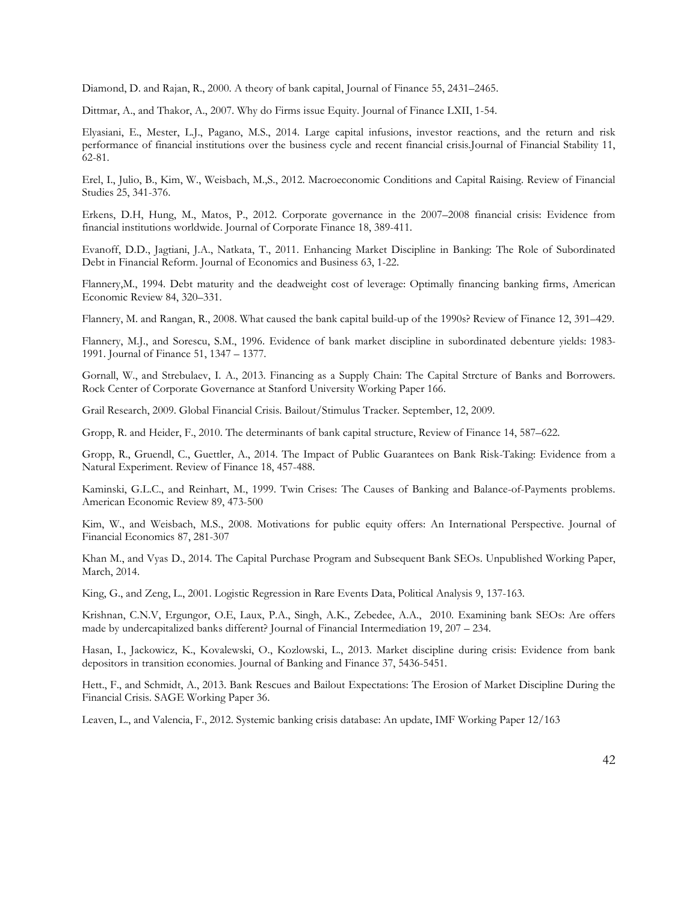Diamond, D. and Rajan, R., 2000. A theory of bank capital, Journal of Finance 55, 2431–2465.

Dittmar, A., and Thakor, A., 2007. Why do Firms issue Equity. Journal of Finance LXII, 1-54.

Elyasiani, E., Mester, L.J., Pagano, M.S., 2014. Large capital infusions, investor reactions, and the return and risk performance of financial institutions over the business cycle and recent financial crisis.Journal of Financial Stability 11, 62-81.

Erel, I., Julio, B., Kim, W., Weisbach, M.,S., 2012. Macroeconomic Conditions and Capital Raising. Review of Financial Studies 25, 341-376.

Erkens, D.H, Hung, M., Matos, P., 2012. [Corporate governance in the 2007–2008 financial crisis: Evidence from](http://www.sciencedirect.com/science/article/pii/S0929119912000077)  [financial institutions worldwide.](http://www.sciencedirect.com/science/article/pii/S0929119912000077) Journal of Corporate Finance 18, 389-411.

Evanoff, D.D., Jagtiani, J.A., Natkata, T., 2011. Enhancing Market Discipline in Banking: The Role of Subordinated Debt in Financial Reform. Journal of Economics and Business 63, 1-22.

Flannery,M., 1994. Debt maturity and the deadweight cost of leverage: Optimally financing banking firms, American Economic Review 84, 320–331.

Flannery, M. and Rangan, R., 2008. What caused the bank capital build-up of the 1990s? Review of Finance 12, 391–429.

Flannery, M.J., and Sorescu, S.M., 1996. Evidence of bank market discipline in subordinated debenture yields: 1983- 1991. Journal of Finance 51, 1347 – 1377.

Gornall, W., and Strebulaev, I. A., 2013. Financing as a Supply Chain: The Capital Strcture of Banks and Borrowers. Rock Center of Corporate Governance at Stanford University Working Paper 166.

Grail Research, 2009. Global Financial Crisis. Bailout/Stimulus Tracker. September, 12, 2009.

Gropp, R. and Heider, F., 2010. The determinants of bank capital structure, Review of Finance 14, 587–622.

Gropp, R., Gruendl, C., Guettler, A., 2014. The Impact of Public Guarantees on Bank Risk-Taking: Evidence from a Natural Experiment. Review of Finance 18, 457-488.

Kaminski, G.L.C., and Reinhart, M., 1999. Twin Crises: The Causes of Banking and Balance-of-Payments problems. American Economic Review 89, 473-500

Kim, W., and Weisbach, M.S., 2008. Motivations for public equity offers: An International Perspective. Journal of Financial Economics 87, 281-307

Khan M., and Vyas D., 2014. The Capital Purchase Program and Subsequent Bank SEOs. Unpublished Working Paper, March, 2014.

[King,](http://pan.oxfordjournals.org/search?author1=Gary+King&sortspec=date&submit=Submit) G., and [Zeng,](http://pan.oxfordjournals.org/search?author1=Langche+Zeng&sortspec=date&submit=Submit) L., 2001. Logistic Regression in Rare Events Data, Political Analysis 9, 137-163.

Krishnan, C.N.V, Ergungor, O.E, Laux, P.A., Singh, A.K., Zebedee, A.A., 2010. Examining bank SEOs: Are offers made by undercapitalized banks different? Journal of Financial Intermediation 19, 207 – 234.

Hasan, I., [Jackowicz,](http://www.sciencedirect.com/science/article/pii/S0378426613002690%23%23) K., Kovalewski, O., Kozlowski, L., 2013. Market discipline during crisis: Evidence from bank depositors in transition economies. Journal of Banking and Finance 37, 5436-5451.

Hett., F., and Schmidt, A., 2013. Bank Rescues and Bailout Expectations: The Erosion of Market Discipline During the Financial Crisis. SAGE Working Paper 36.

Leaven, L., and Valencia, F., 2012. Systemic banking crisis database: An update, IMF Working Paper 12/163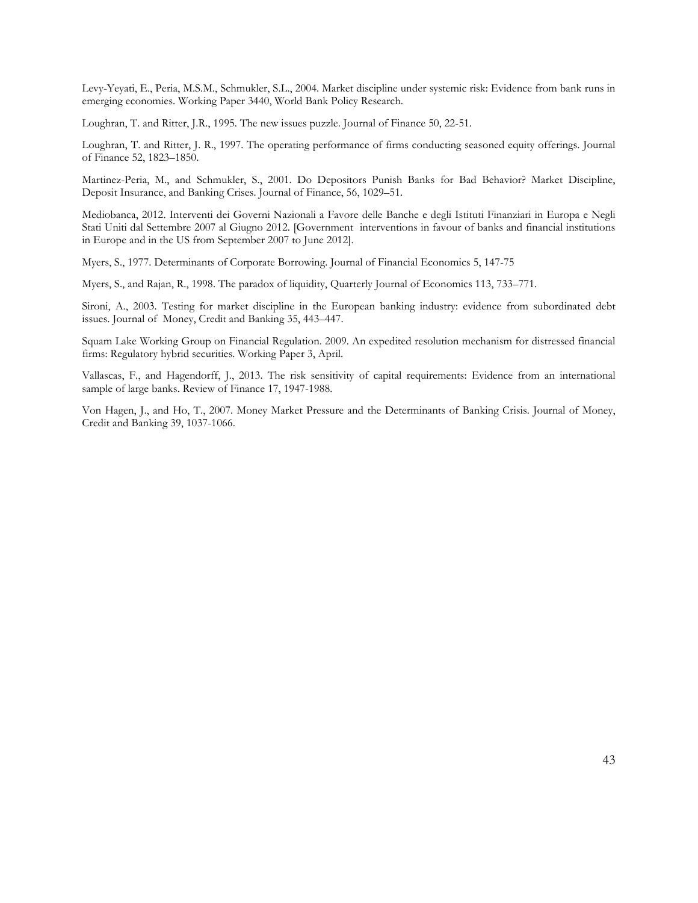Levy-Yeyati, E., Peria, M.S.M., Schmukler, S.L., 2004. Market discipline under systemic risk: Evidence from bank runs in emerging economies. Working Paper 3440, World Bank Policy Research.

Loughran, T. and Ritter, J.R., 1995. The new issues puzzle. Journal of Finance 50, 22-51.

Loughran, T. and Ritter, J. R., 1997. The operating performance of firms conducting seasoned equity offerings. Journal of Finance 52, 1823–1850.

Martinez-Peria, M., and Schmukler, S., 2001. Do Depositors Punish Banks for Bad Behavior? Market Discipline, Deposit Insurance, and Banking Crises. Journal of Finance, 56, 1029–51.

Mediobanca, 2012. Interventi dei Governi Nazionali a Favore delle Banche e degli Istituti Finanziari in Europa e Negli Stati Uniti dal Settembre 2007 al Giugno 2012. [Government interventions in favour of banks and financial institutions in Europe and in the US from September 2007 to June 2012].

Myers, S., 1977. Determinants of Corporate Borrowing. Journal of Financial Economics 5, 147-75

Myers, S., and Rajan, R., 1998. The paradox of liquidity, Quarterly Journal of Economics 113, 733–771.

Sironi, A., 2003. Testing for market discipline in the European banking industry: evidence from subordinated debt issues. Journal of Money, Credit and Banking 35, 443–447.

Squam Lake Working Group on Financial Regulation. 2009. An expedited resolution mechanism for distressed financial firms: Regulatory hybrid securities. Working Paper 3, April.

Vallascas, F., and Hagendorff, J., 2013. The risk sensitivity of capital requirements: Evidence from an international sample of large banks. Review of Finance 17, 1947-1988.

Von Hagen, J., and Ho, T., 2007. Money Market Pressure and the Determinants of Banking Crisis. Journal of Money, Credit and Banking 39, 1037-1066.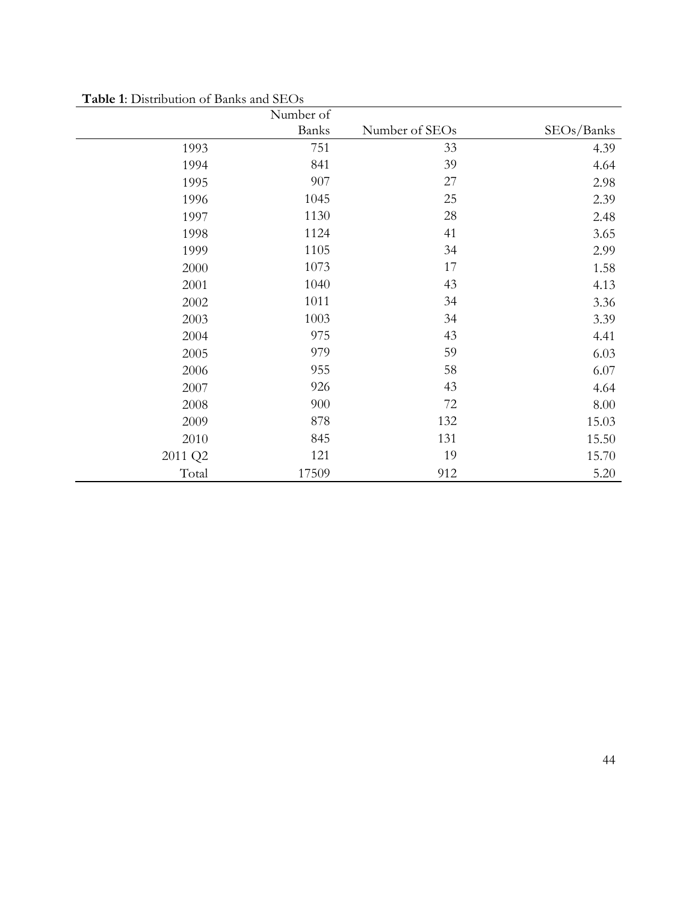|         | Number of |                |            |
|---------|-----------|----------------|------------|
|         | Banks     | Number of SEOs | SEOs/Banks |
| 1993    | 751       | 33             | 4.39       |
| 1994    | 841       | 39             | 4.64       |
| 1995    | 907       | 27             | 2.98       |
| 1996    | 1045      | 25             | 2.39       |
| 1997    | 1130      | $28\,$         | 2.48       |
| 1998    | 1124      | 41             | 3.65       |
| 1999    | 1105      | 34             | 2.99       |
| 2000    | 1073      | 17             | 1.58       |
| 2001    | 1040      | 43             | 4.13       |
| 2002    | 1011      | 34             | 3.36       |
| 2003    | 1003      | 34             | 3.39       |
| 2004    | 975       | 43             | 4.41       |
| 2005    | 979       | 59             | 6.03       |
| 2006    | 955       | 58             | 6.07       |
| 2007    | 926       | 43             | 4.64       |
| 2008    | 900       | 72             | 8.00       |
| 2009    | 878       | 132            | 15.03      |
| 2010    | 845       | 131            | 15.50      |
| 2011 Q2 | 121       | 19             | 15.70      |
| Total   | 17509     | 912            | 5.20       |

**Table 1**: Distribution of Banks and SEOs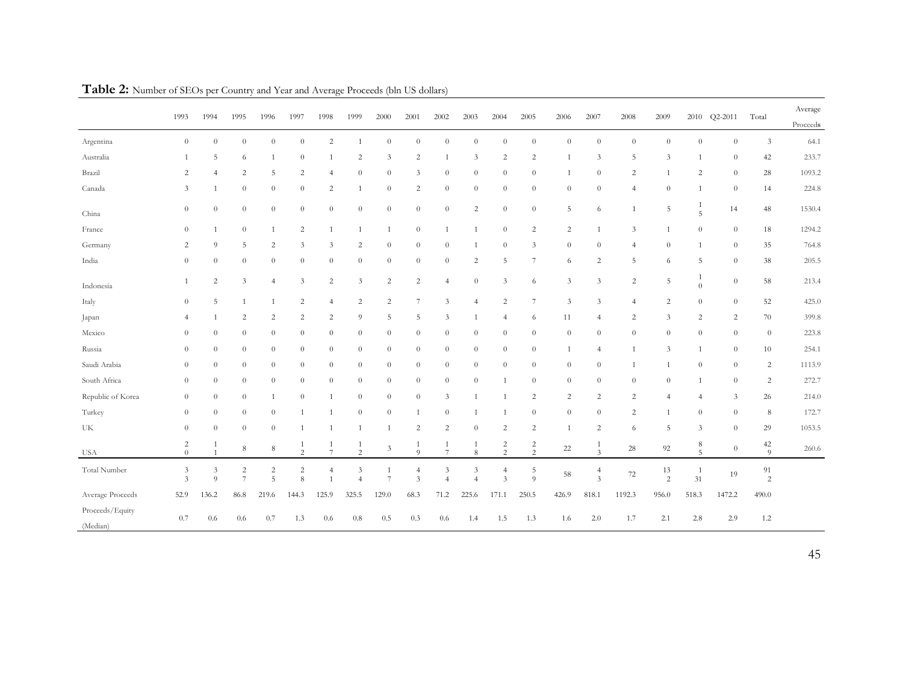|                             | 1993                         | 1994                         | 1995                                      | 1996                         | 1997                  | 1998                 | 1999                    | 2000           | 2001                | 2002                | 2003                | 2004                                      | 2005                             | 2006           | 2007                                      | 2008           | 2009                 | 2010                 | $Q2 - 2011$    | Total                | Average<br>Proceeds |
|-----------------------------|------------------------------|------------------------------|-------------------------------------------|------------------------------|-----------------------|----------------------|-------------------------|----------------|---------------------|---------------------|---------------------|-------------------------------------------|----------------------------------|----------------|-------------------------------------------|----------------|----------------------|----------------------|----------------|----------------------|---------------------|
| Argentina                   | $\theta$                     | $\theta$                     | $\theta$                                  | $\overline{0}$               | $\theta$              | 2                    | $\mathbf{1}$            | $\theta$       | $\overline{0}$      | $\theta$            | $\theta$            | $\overline{0}$                            | $\theta$                         | $\theta$       | $\theta$                                  | $\theta$       | $\theta$             | $\theta$             | $\theta$       | 3                    | 64.1                |
| Australia                   |                              | 5                            | 6                                         | 1                            | $\theta$              | $\overline{1}$       | $\overline{2}$          | 3              | $\overline{c}$      |                     | 3                   | $\overline{2}$                            | 2                                |                | 3                                         | 5              | 3                    | -1                   | $\theta$       | 42                   | 233.7               |
| Brazil                      | 2                            | $\overline{4}$               | $\overline{c}$                            | 5                            | $\overline{c}$        | $\overline{4}$       | $\theta$                | $\theta$       | 3                   | $\theta$            | $\theta$            | $\theta$                                  | $\theta$                         |                | $\theta$                                  | $\overline{c}$ |                      | $\overline{c}$       | $\theta$       | 28                   | 1093.2              |
| Canada                      | 3                            |                              | $\theta$                                  | $\theta$                     | $\theta$              | $\overline{c}$       | $\mathbf{1}$            | $\theta$       | $\overline{c}$      | $\theta$            | $\theta$            | $\theta$                                  | $\theta$                         | $\theta$       | $\theta$                                  | $\overline{4}$ | $\theta$             | 1                    | $\theta$       | 14                   | 224.8               |
| China                       | $\theta$                     | $\theta$                     | $\boldsymbol{0}$                          | $\overline{0}$               | $\boldsymbol{0}$      | $\theta$             | $\boldsymbol{0}$        | $\theta$       | $\overline{0}$      | $\theta$            | $\overline{c}$      | $\boldsymbol{0}$                          | $\,0\,$                          | 5              | 6                                         | $\mathbf{1}$   | 5                    | -1<br>5              | 14             | 48                   | 1530.4              |
| France                      | $\theta$                     | -1                           | $\boldsymbol{0}$                          | $\mathbf{1}$                 | $\overline{c}$        | $\overline{1}$       | $\mathbf{1}$            | $\overline{1}$ | $\theta$            |                     |                     | $\theta$                                  | $\sqrt{2}$                       | $\sqrt{2}$     | $\mathbf{1}$                              | 3              | $\mathbf{1}$         | $\theta$             | $\theta$       | 18                   | 1294.2              |
| Germany                     | 2                            | 9                            | 5                                         | $\overline{c}$               | $\mathfrak{Z}$        | 3                    | $\overline{c}$          | $\theta$       | $\overline{0}$      | $\theta$            |                     | $\theta$                                  | 3                                | $\theta$       | $\theta$                                  | $\overline{4}$ | $\theta$             | 1                    | $\theta$       | 35                   | 764.8               |
| India                       | $\theta$                     | $\theta$                     | $\boldsymbol{0}$                          | $\theta$                     | $\overline{0}$        | $\theta$             | $\theta$                | $\theta$       | $\overline{0}$      | $\theta$            | $\overline{c}$      | 5                                         | 7                                | 6              | $\overline{c}$                            | 5              | 6                    | 5                    | $\theta$       | 38                   | 205.5               |
| Indonesia                   |                              | $\overline{c}$               | 3                                         | $\overline{4}$               | $\mathfrak{Z}$        | $\overline{c}$       | $\overline{\mathbf{3}}$ | $\overline{c}$ | $\overline{c}$      | $\overline{4}$      | $\theta$            | 3                                         | 6                                | 3              | 3                                         | $\sqrt{2}$     | 5                    | -1<br>$\theta$       | $\theta$       | 58                   | 213.4               |
| Italy                       | $\theta$                     | 5                            |                                           | $\mathbf{1}$                 | $\sqrt{2}$            | $\overline{4}$       | $\sqrt{2}$              | $\sqrt{2}$     | $\tau$              | 3                   | $\overline{4}$      | $\overline{c}$                            | $\tau$                           | 3              | 3                                         | $\overline{4}$ | $\overline{c}$       | $\theta$             | $\theta$       | 52                   | 425.0               |
| Japan                       | $\overline{4}$               |                              | $\overline{c}$                            | $\overline{c}$               | $\overline{c}$        | $\overline{c}$       | 9                       | 5              | 5                   | 3                   |                     | $\overline{4}$                            | 6                                | 11             | $\overline{4}$                            | 2              | 3                    | $\overline{c}$       | $\overline{c}$ | 70                   | 399.8               |
| Mexico                      | $\Omega$                     | $\theta$                     | $\theta$                                  | $\theta$                     | $\overline{0}$        | $\theta$             | $\theta$                | $\theta$       | $\overline{0}$      | $\theta$            | $\theta$            | $\overline{0}$                            | $\theta$                         | $\theta$       | $\theta$                                  | $\theta$       | $\theta$             | $\theta$             | $\theta$       | $\theta$             | 223.8               |
| Russia                      | $\Omega$                     | $\theta$                     | $\theta$                                  | $\theta$                     | $\overline{0}$        | $\theta$             | $\theta$                | $\theta$       | $\overline{0}$      | $\theta$            | $\theta$            | $\theta$                                  | $\theta$                         | $\overline{1}$ | $\overline{4}$                            | $\overline{1}$ | 3                    | 1                    | $\theta$       | 10                   | 254.1               |
| Saudi Arabia                | $\theta$                     | $\theta$                     | $\theta$                                  | $\theta$                     | $\boldsymbol{0}$      | $\overline{0}$       | $\theta$                | $\theta$       | $\overline{0}$      | $\theta$            | $\theta$            | $\theta$                                  | $\theta$                         | $\theta$       | $\theta$                                  | $\mathbf{1}$   | 1                    | $\theta$             | $\theta$       | 2                    | 1113.9              |
| South Africa                | $\theta$                     | $\theta$                     | $\theta$                                  | $\theta$                     | $\theta$              | $\theta$             | $\theta$                | $\theta$       | $\overline{0}$      | $\theta$            | $\theta$            | $\mathbf{1}$                              | $\theta$                         | $\theta$       | $\theta$                                  | $\theta$       | $\theta$             | -1                   | $\theta$       | 2                    | 272.7               |
| Republic of Korea           | $\theta$                     | $\theta$                     | $\theta$                                  | 1                            | $\theta$              | $\overline{1}$       | $\theta$                | $\theta$       | $\overline{0}$      | 3                   |                     |                                           | $\overline{c}$                   | $\sqrt{2}$     | $\sqrt{2}$                                | $\overline{c}$ | $\overline{4}$       | $\overline{4}$       | 3              | 26                   | 214.0               |
| Turkey                      | $\theta$                     | $\theta$                     | $\boldsymbol{0}$                          | $\theta$                     |                       | $\mathbf{1}$         | $\theta$                | $\theta$       | 1                   | $\theta$            |                     |                                           | $\theta$                         | $\theta$       | $\boldsymbol{0}$                          | $\overline{c}$ | -1                   | $\theta$             | $\theta$       | 8                    | 172.7               |
| UK                          | $\theta$                     | $\theta$                     | $\boldsymbol{0}$                          | $\theta$                     | -1                    | $\overline{1}$       | $\overline{1}$          | $\overline{1}$ | $\sqrt{2}$          | $\overline{c}$      | $\theta$            | $\overline{c}$                            | $\sqrt{2}$                       | $\overline{1}$ | $\sqrt{2}$                                | 6              | 5                    | $\mathfrak{Z}$       | $\theta$       | 29                   | 1053.5              |
| <b>USA</b>                  | $\overline{c}$<br>$\theta$   |                              | 8                                         | 8                            | 1<br>$\overline{2}$   | -1<br>$\overline{7}$ | $\mathbf{1}$<br>2       | 3              | 1<br>9              | 1<br>7              | -1<br>8             | $\overline{c}$<br>2                       | $\overline{c}$<br>$\overline{2}$ | 22             | -1<br>3                                   | 28             | 92                   | 8<br>$\overline{5}$  | $\theta$       | 42<br>$\Omega$       | 260.6               |
| Total Number                | 3<br>$\overline{\mathbf{3}}$ | $\overline{\mathbf{3}}$<br>9 | $\overline{\mathbf{c}}$<br>$\overline{7}$ | $\overline{\mathbf{c}}$<br>5 | $\sqrt{2}$<br>$\,8\,$ | 4<br>$\overline{1}$  | 3<br>$\overline{4}$     | $\overline{7}$ | $\overline{4}$<br>3 | 3<br>$\overline{4}$ | 3<br>$\overline{4}$ | $\overline{4}$<br>$\overline{\mathbf{3}}$ | 5<br>$\overline{9}$              | 58             | $\overline{4}$<br>$\overline{\mathbf{3}}$ | $72\,$         | 13<br>$\overline{c}$ | $\overline{1}$<br>31 | 19             | 91<br>$\overline{c}$ |                     |
| Average Proceeds            | 52.9                         | 136.2                        | 86.8                                      | 219.6                        | 144.3                 | 125.9                | 325.5                   | 129.0          | 68.3                | 71.2                | 225.6               | 171.1                                     | 250.5                            | 426.9          | 818.1                                     | 1192.3         | 956.0                | 518.3                | 1472.2         | 490.0                |                     |
| Proceeds/Equity<br>(Median) | 0.7                          | 0.6                          | 0.6                                       | 0.7                          | 1.3                   | 0.6                  | 0.8                     | 0.5            | 0.3                 | 0.6                 | 1.4                 | 1.5                                       | 1.3                              | 1.6            | 2.0                                       | 1.7            | 2.1                  | 2.8                  | 2.9            | 1.2                  |                     |

**Table 2:** Number of SEOs per Country and Year and Average Proceeds (bln US dollars)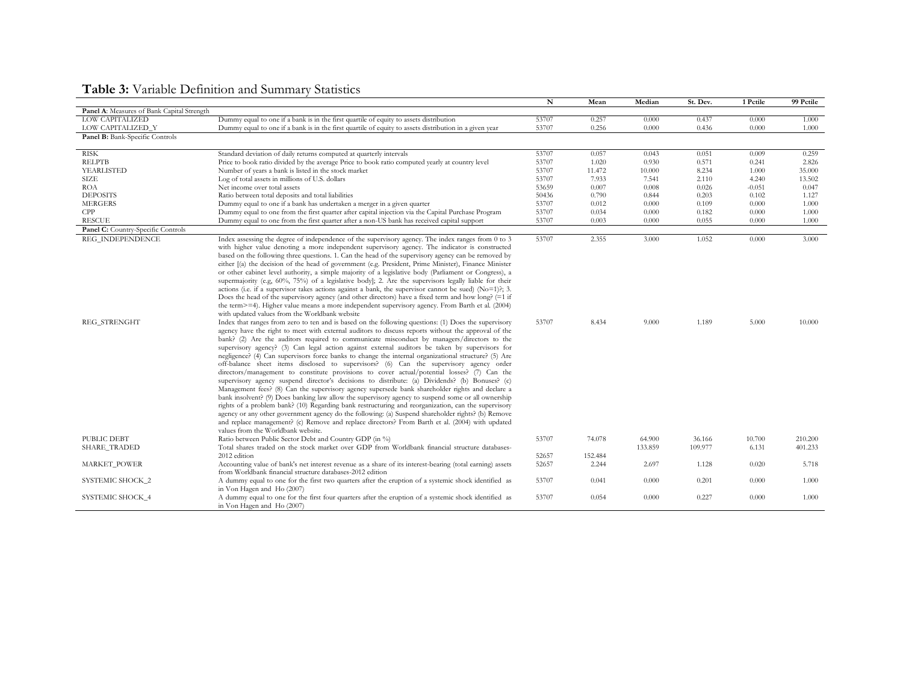|                                            |                                                                                                                                                                   | $\mathbf N$ | Mean    | Median  | St. Dev. | 1 Pctile | 99 Pctile |
|--------------------------------------------|-------------------------------------------------------------------------------------------------------------------------------------------------------------------|-------------|---------|---------|----------|----------|-----------|
| Panel A: Measures of Bank Capital Strength |                                                                                                                                                                   |             |         |         |          |          |           |
| LOW CAPITALIZED                            | Dummy equal to one if a bank is in the first quartile of equity to assets distribution                                                                            | 53707       | 0.257   | 0.000   | 0.437    | 0.000    | 1.000     |
| LOW CAPITALIZED_Y                          | Dummy equal to one if a bank is in the first quartile of equity to assets distribution in a given year                                                            | 53707       | 0.256   | 0.000   | 0.436    | 0.000    | 1.000     |
| Panel B: Bank-Specific Controls            |                                                                                                                                                                   |             |         |         |          |          |           |
| <b>RISK</b>                                | Standard deviation of daily returns computed at quarterly intervals                                                                                               | 53707       | 0.057   | 0.043   | 0.051    | 0.009    | 0.259     |
| <b>RELPTB</b>                              | Price to book ratio divided by the average Price to book ratio computed yearly at country level                                                                   | 53707       | 1.020   | 0.930   | 0.571    | 0.241    | 2.826     |
| YEARLISTED                                 | Number of years a bank is listed in the stock market                                                                                                              | 53707       | 11.472  | 10.000  | 8.234    | 1.000    | 35.000    |
| SIZE                                       | Log of total assets in millions of U.S. dollars                                                                                                                   | 53707       | 7.933   | 7.541   | 2.110    | 4.240    | 13.502    |
| <b>ROA</b>                                 | Net income over total assets                                                                                                                                      | 53659       | 0.007   | 0.008   | 0.026    | $-0.051$ | 0.047     |
| <b>DEPOSITS</b>                            | Ratio between total deposits and total liabilities                                                                                                                | 50436       | 0.790   | 0.844   | 0.203    | 0.102    | 1.127     |
| <b>MERGERS</b>                             | Dummy equal to one if a bank has undertaken a merger in a given quarter                                                                                           | 53707       | 0.012   | 0.000   | 0.109    | 0.000    | 1.000     |
| CPP                                        | Dummy equal to one from the first quarter after capital injection via the Capital Purchase Program                                                                | 53707       | 0.034   | 0.000   | 0.182    | 0.000    | 1.000     |
| <b>RESCUE</b>                              | Dummy equal to one from the first quarter after a non-US bank has received capital support                                                                        | 53707       | 0.003   | 0.000   | 0.055    | 0.000    | 1.000     |
| Panel C: Country-Specific Controls         |                                                                                                                                                                   |             |         |         |          |          |           |
| REG INDEPENDENCE                           | Index assessing the degree of independence of the supervisory agency. The index ranges from 0 to 3                                                                | 53707       | 2.355   | 3.000   | 1.052    | 0.000    | 3,000     |
|                                            | with higher value denoting a more independent supervisory agency. The indicator is constructed                                                                    |             |         |         |          |          |           |
|                                            | based on the following three questions. 1. Can the head of the supervisory agency can be removed by                                                               |             |         |         |          |          |           |
|                                            | either [(a) the decision of the head of government (e.g. President, Prime Minister), Finance Minister                                                             |             |         |         |          |          |           |
|                                            | or other cabinet level authority, a simple majority of a legislative body (Parliament or Congress), a                                                             |             |         |         |          |          |           |
|                                            | supermajority (e.g, 60%, 75%) of a legislative body]; 2. Are the supervisors legally liable for their                                                             |             |         |         |          |          |           |
|                                            | actions (i.e. if a supervisor takes actions against a bank, the supervisor cannot be sued) ( $No=1$ )?; 3.                                                        |             |         |         |          |          |           |
|                                            | Does the head of the supervisory agency (and other directors) have a fixed term and how long? $(=1 \text{ if } )$                                                 |             |         |         |          |          |           |
|                                            | the term>=4). Higher value means a more independent supervisory agency. From Barth et al. (2004)<br>with updated values from the Worldbank website                |             |         |         |          |          |           |
| REG_STRENGHT                               | Index that ranges from zero to ten and is based on the following questions: (1) Does the supervisory                                                              | 53707       | 8.434   | 9.000   | 1.189    | 5.000    | 10.000    |
|                                            | agency have the right to meet with external auditors to discuss reports without the approval of the                                                               |             |         |         |          |          |           |
|                                            | bank? (2) Are the auditors required to communicate misconduct by managers/directors to the                                                                        |             |         |         |          |          |           |
|                                            | supervisory agency? (3) Can legal action against external auditors be taken by supervisors for                                                                    |             |         |         |          |          |           |
|                                            | negligence? (4) Can supervisors force banks to change the internal organizational structure? (5) Are                                                              |             |         |         |          |          |           |
|                                            | off-balance sheet items disclosed to supervisors? (6) Can the supervisory agency order                                                                            |             |         |         |          |          |           |
|                                            | directors/management to constitute provisions to cover actual/potential losses? (7) Can the                                                                       |             |         |         |          |          |           |
|                                            | supervisory agency suspend director's decisions to distribute: (a) Dividends? (b) Bonuses? (c)                                                                    |             |         |         |          |          |           |
|                                            | Management fees? (8) Can the supervisory agency supersede bank shareholder rights and declare a                                                                   |             |         |         |          |          |           |
|                                            | bank insolvent? (9) Does banking law allow the supervisory agency to suspend some or all ownership                                                                |             |         |         |          |          |           |
|                                            | rights of a problem bank? (10) Regarding bank restructuring and reorganization, can the supervisory                                                               |             |         |         |          |          |           |
|                                            | agency or any other government agency do the following: (a) Suspend shareholder rights? (b) Remove                                                                |             |         |         |          |          |           |
|                                            | and replace management? (c) Remove and replace directors? From Barth et al. (2004) with updated                                                                   |             |         |         |          |          |           |
|                                            | values from the Worldbank website.                                                                                                                                |             |         |         |          |          |           |
| PUBLIC DEBT                                | Ratio between Public Sector Debt and Country GDP (in %)                                                                                                           | 53707       | 74.078  | 64.900  | 36.166   | 10.700   | 210.200   |
| SHARE_TRADED                               | Total shares traded on the stock market over GDP from Worldbank financial structure databases-                                                                    |             |         | 133.859 | 109.977  | 6.131    | 401.233   |
|                                            | 2012 edition                                                                                                                                                      | 52657       | 152.484 |         |          |          |           |
| MARKET_POWER                               | Accounting value of bank's net interest revenue as a share of its interest-bearing (total earning) assets                                                         | 52657       | 2.244   | 2.697   | 1.128    | 0.020    | 5.718     |
| SYSTEMIC SHOCK_2                           | from Worldbank financial structure databases-2012 edition<br>A dummy equal to one for the first two quarters after the eruption of a systemic shock identified as | 53707       | 0.041   | 0.000   | 0.201    | 0.000    | 1.000     |
|                                            | in Von Hagen and Ho (2007)                                                                                                                                        |             |         |         |          |          |           |
| SYSTEMIC SHOCK_4                           | A dummy equal to one for the first four quarters after the eruption of a systemic shock identified as                                                             | 53707       | 0.054   | 0.000   | 0.227    | 0.000    | 1.000     |
|                                            | in Von Hagen and Ho (2007)                                                                                                                                        |             |         |         |          |          |           |

## **Table 3:** Variable Definition and Summary Statistics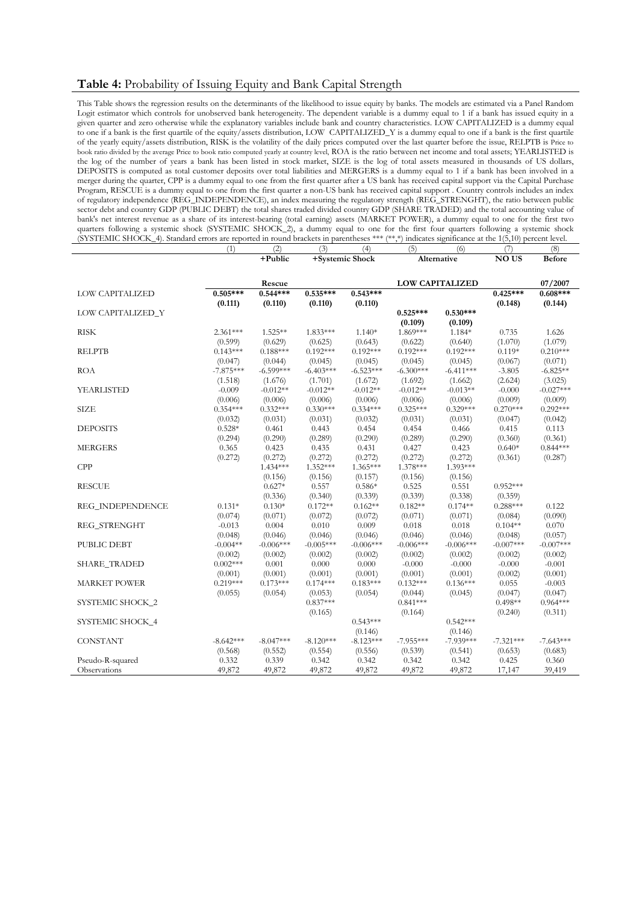## **Table 4:** Probability of Issuing Equity and Bank Capital Strength

**+Public**

This Table shows the regression results on the determinants of the likelihood to issue equity by banks. The models are estimated via a Panel Random Logit estimator which controls for unobserved bank heterogeneity. The dependent variable is a dummy equal to 1 if a bank has issued equity in a given quarter and zero otherwise while the explanatory variables include bank and country characteristics. LOW CAPITALIZED is a dummy equal to one if a bank is the first quartile of the equity/assets distribution, LOW CAPITALIZED\_Y is a dummy equal to one if a bank is the first quartile of the yearly equity/assets distribution, RISK is the volatility of the daily prices computed over the last quarter before the issue, RELPTB is Price to book ratio divided by the average Price to book ratio computed yearly at country level, ROA is the ratio between net income and total assets; YEARLISTED is the log of the number of years a bank has been listed in stock market, SIZE is the log of total assets measured in thousands of US dollars, DEPOSITS is computed as total customer deposits over total liabilities and MERGERS is a dummy equal to 1 if a bank has been involved in a merger during the quarter, CPP is a dummy equal to one from the first quarter after a US bank has received capital support via the Capital Purchase Program, RESCUE is a dummy equal to one from the first quarter a non-US bank has received capital support . Country controls includes an index of regulatory independence (REG\_INDEPENDENCE), an index measuring the regulatory strength (REG\_STRENGHT), the ratio between public sector debt and country GDP (PUBLIC DEBT) the total shares traded divided country GDP (SHARE TRADED) and the total accounting value of bank's net interest revenue as a share of its interest-bearing (total earning) assets (MARKET POWER), a dummy equal to one for the first two quarters following a systemic shock (SYSTEMIC SHOCK\_2), a dummy equal to one for the first four quarters following a systemic shock (SYSTEMIC SHOCK\_4). Standard errors are reported in round brackets in parentheses \*\*\* (\*\*,\*) indicates significance at the 1(5,10) percent level.

(1) (2) (3) (4) (5) (6) (7) (8)

**NO US Before**

**+Systemic Shock Alternative** 

|                        |             |             |             | . oyotemic onoen |             |                        |             |             |
|------------------------|-------------|-------------|-------------|------------------|-------------|------------------------|-------------|-------------|
|                        |             | Rescue      |             |                  |             | <b>LOW CAPITALIZED</b> |             | 07/2007     |
| <b>LOW CAPITALIZED</b> | $0.505***$  | $0.544***$  | $0.535***$  | $0.543***$       |             |                        | $0.425***$  | $0.608***$  |
|                        | (0.111)     | (0.110)     | (0.110)     | (0.110)          |             |                        | (0.148)     | (0.144)     |
| LOW CAPITALIZED_Y      |             |             |             |                  | $0.525***$  | $0.530***$             |             |             |
|                        |             |             |             |                  | (0.109)     | (0.109)                |             |             |
| <b>RISK</b>            | $2.361***$  | $1.525**$   | $1.833***$  | $1.140*$         | 1.869***    | 1.184*                 | 0.735       | 1.626       |
|                        | (0.599)     | (0.629)     | (0.625)     | (0.643)          | (0.622)     | (0.640)                | (1.070)     | (1.079)     |
| <b>RELPTB</b>          | $0.143***$  | $0.188***$  | $0.192***$  | $0.192***$       | $0.192***$  | $0.192***$             | $0.119*$    | $0.210***$  |
|                        | (0.047)     | (0.044)     | (0.045)     | (0.045)          | (0.045)     | (0.045)                | (0.067)     | (0.071)     |
| <b>ROA</b>             | $-7.875***$ | $-6.599***$ | $-6.403***$ | $-6.523***$      | $-6.300***$ | $-6.411***$            | $-3.805$    | $-6.825**$  |
|                        | (1.518)     | (1.676)     | (1.701)     | (1.672)          | (1.692)     | (1.662)                | (2.624)     | (3.025)     |
| YEARLISTED             | $-0.009$    | $-0.012**$  | $-0.012**$  | $-0.012**$       | $-0.012**$  | $-0.013**$             | $-0.000$    | $-0.027***$ |
|                        | (0.006)     | (0.006)     | (0.006)     | (0.006)          | (0.006)     | (0.006)                | (0.009)     | (0.009)     |
| <b>SIZE</b>            | $0.354***$  | $0.332***$  | $0.330***$  | $0.334***$       | $0.325***$  | $0.329***$             | $0.270***$  | $0.292***$  |
|                        | (0.032)     | (0.031)     | (0.031)     | (0.032)          | (0.031)     | (0.031)                | (0.047)     | (0.042)     |
| <b>DEPOSITS</b>        | $0.528*$    | 0.461       | 0.443       | 0.454            | 0.454       | 0.466                  | 0.415       | 0.113       |
|                        | (0.294)     | (0.290)     | (0.289)     | (0.290)          | (0.289)     | (0.290)                | (0.360)     | (0.361)     |
| <b>MERGERS</b>         | 0.365       | 0.423       | 0.435       | 0.431            | 0.427       | 0.423                  | $0.640*$    | $0.844***$  |
|                        | (0.272)     | (0.272)     | (0.272)     | (0.272)          | (0.272)     | (0.272)                | (0.361)     | (0.287)     |
| CPP                    |             | $1.434***$  | 1.352***    | $1.365***$       | 1.378***    | $1.393***$             |             |             |
|                        |             | (0.156)     | (0.156)     | (0.157)          | (0.156)     | (0.156)                |             |             |
| <b>RESCUE</b>          |             | $0.627*$    | 0.557       | $0.586*$         | 0.525       | 0.551                  | $0.952***$  |             |
|                        |             | (0.336)     | (0.340)     | (0.339)          | (0.339)     | (0.338)                | (0.359)     |             |
| REG_INDEPENDENCE       | $0.131*$    | $0.130*$    | $0.172**$   | $0.162**$        | $0.182**$   | $0.174**$              | $0.288***$  | 0.122       |
|                        | (0.074)     | (0.071)     | (0.072)     | (0.072)          | (0.071)     | (0.071)                | (0.084)     | (0.090)     |
| REG_STRENGHT           | $-0.013$    | 0.004       | 0.010       | 0.009            | 0.018       | 0.018                  | $0.104**$   | 0.070       |
|                        | (0.048)     | (0.046)     | (0.046)     | (0.046)          | (0.046)     | (0.046)                | (0.048)     | (0.057)     |
| PUBLIC DEBT            | $-0.004**$  | $-0.006***$ | $-0.005***$ | $-0.006***$      | $-0.006***$ | $-0.006***$            | $-0.007***$ | $-0.007***$ |
|                        | (0.002)     | (0.002)     | (0.002)     | (0.002)          | (0.002)     | (0.002)                | (0.002)     | (0.002)     |
| <b>SHARE_TRADED</b>    | $0.002***$  | 0.001       | 0.000       | 0.000            | $-0.000$    | $-0.000$               | $-0.000$    | $-0.001$    |
|                        | (0.001)     | (0.001)     | (0.001)     | (0.001)          | (0.001)     | (0.001)                | (0.002)     | (0.001)     |
| <b>MARKET POWER</b>    | $0.219***$  | $0.173***$  | $0.174***$  | $0.183***$       | $0.132***$  | $0.136***$             | 0.055       | $-0.003$    |
|                        | (0.055)     | (0.054)     | (0.053)     | (0.054)          | (0.044)     | (0.045)                | (0.047)     | (0.047)     |
| SYSTEMIC SHOCK_2       |             |             | $0.837***$  |                  | $0.841***$  |                        | $0.498**$   | $0.964***$  |
|                        |             |             | (0.165)     |                  | (0.164)     |                        | (0.240)     | (0.311)     |
| SYSTEMIC SHOCK_4       |             |             |             | $0.543***$       |             | $0.542***$             |             |             |
|                        |             |             |             | (0.146)          |             | (0.146)                |             |             |
| <b>CONSTANT</b>        | $-8.642***$ | $-8.047***$ | $-8.120***$ | $-8.123***$      | $-7.955***$ | $-7.939***$            | $-7.321***$ | $-7.643***$ |
|                        | (0.568)     | (0.552)     | (0.554)     | (0.556)          | (0.539)     | (0.541)                | (0.653)     | (0.683)     |
| Pseudo-R-squared       | 0.332       | 0.339       | 0.342       | 0.342            | 0.342       | 0.342                  | 0.425       | 0.360       |
| Observations           | 49,872      | 49,872      | 49,872      | 49,872           | 49,872      | 49,872                 | 17,147      | 39,419      |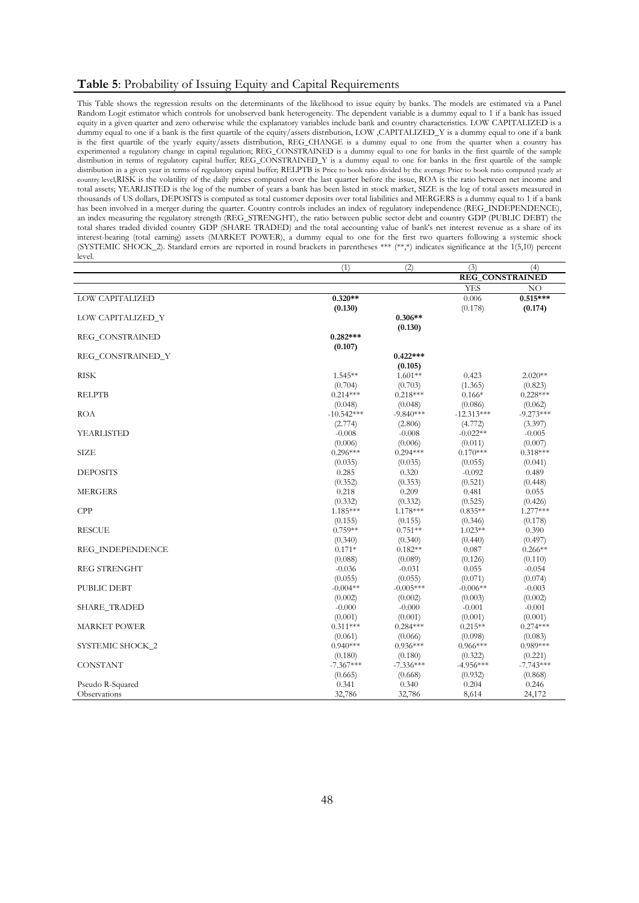### **Table 5**: Probability of Issuing Equity and Capital Requirements

This Table shows the regression results on the determinants of the likelihood to issue equity by banks. The models are estimated via a Panel Random Logit estimator which controls for unobserved bank heterogeneity. The dependent variable is a dummy equal to 1 if a bank has issued equity in a given quarter and zero otherwise while the explanatory variables include bank and country characteristics. LOW CAPITALIZED is a dummy equal to one if a bank is the first quartile of the equity/assets distribution, LOW ,CAPITALIZED\_Y is a dummy equal to one if a bank is the first quartile of the yearly equity/assets distribution, REG\_CHANGE is a dummy equal to one from the quarter when a country has experimented a regulatory change in capital regulation; REG\_CONSTRAINED is a dummy equal to one for banks in the first quartile of the sample distribution in terms of regulatory capital buffer; REG\_CONSTRAINED\_Y is a dummy equal to one for banks in the first quartile of the sample distribution in a given year in terms of regulatory capital buffer; RELPTB is Price to book ratio divided by the average Price to book ratio computed yearly at country level,RISK is the volatility of the daily prices computed over the last quarter before the issue, ROA is the ratio between net income and total assets; YEARLISTED is the log of the number of years a bank has been listed in stock market, SIZE is the log of total assets measured in thousands of US dollars, DEPOSITS is computed as total customer deposits over total liabilities and MERGERS is a dummy equal to 1 if a bank has been involved in a merger during the quarter. Country controls includes an index of regulatory independence (REG\_INDEPENDENCE), an index measuring the regulatory strength (REG\_STRENGHT), the ratio between public sector debt and country GDP (PUBLIC DEBT) the total shares traded divided country GDP (SHARE TRADED) and the total accounting value of bank's net interest revenue as a share of its interest-bearing (total earning) assets (MARKET POWER), a dummy equal to one for the first two quarters following a systemic shock (SYSTEMIC SHOCK\_2). Standard errors are reported in round brackets in parentheses \*\*\* (\*\*,\*) indicates significance at the 1(5,10) percent level.

| <b>REG CONSTRAINED</b><br><b>YES</b><br>NO<br><b>LOW CAPITALIZED</b><br>$0.320**$<br>$0.515***$<br>0.006<br>(0.130)<br>(0.178)<br>(0.174)<br>$0.306**$<br>LOW CAPITALIZED_Y<br>(0.130)<br>REG_CONSTRAINED<br>$0.282***$<br>(0.107)<br>$0.422***$<br>REG_CONSTRAINED_Y<br>(0.105)<br><b>RISK</b><br>$1.601**$<br>$1.545**$<br>0.423<br>$2.020**$<br>(0.703)<br>(1.365)<br>(0.704)<br>(0.823)<br><b>RELPTB</b><br>$0.214***$<br>$0.218***$<br>$0.166*$<br>$0.228***$<br>(0.048)<br>(0.048)<br>(0.086)<br>(0.062)<br><b>ROA</b><br>$-10.542***$<br>$-9.840***$<br>$-12.313***$<br>$-9.273***$<br>(2.774)<br>(2.806)<br>(4.772)<br>(3.397)<br><b>YEARLISTED</b><br>$-0.008$<br>$-0.008$<br>$-0.022**$<br>$-0.005$<br>(0.006)<br>(0.006)<br>(0.011)<br>(0.007)<br>$0.296***$<br>$0.170***$<br>$0.318***$<br>SIZE<br>$0.294***$<br>(0.035)<br>(0.035)<br>(0.055)<br>(0.041)<br><b>DEPOSITS</b><br>0.285<br>0.320<br>$-0.092$<br>0.489<br>(0.352)<br>(0.521)<br>(0.353)<br>(0.448)<br>0.218<br>0.209<br>0.481<br><b>MERGERS</b><br>0.055<br>(0.332)<br>(0.332)<br>(0.525)<br>(0.426)<br>CPP<br>1.185***<br>1.178***<br>$0.835**$<br>$1.277***$<br>(0.346)<br>(0.178)<br>(0.155)<br>(0.155)<br>$0.759**$<br>$1.023**$<br><b>RESCUE</b><br>$0.751**$<br>0.390<br>(0.497)<br>(0.340)<br>(0.340)<br>(0.440)<br>REG_INDEPENDENCE<br>$0.171*$<br>$0.182**$<br>0.087<br>$0.266**$<br>(0.088)<br>(0.126)<br>(0.089)<br>(0.110)<br><b>REG STRENGHT</b><br>$-0.036$<br>$-0.031$<br>0.055<br>$-0.054$<br>(0.071)<br>(0.074)<br>(0.055)<br>(0.055)<br>PUBLIC DEBT<br>$-0.004**$<br>$-0.005***$<br>$-0.006**$<br>$-0.003$<br>(0.002)<br>(0.002)<br>(0.003)<br>(0.002)<br><b>SHARE_TRADED</b><br>$-0.000$<br>$-0.000$<br>$-0.001$<br>$-0.001$<br>(0.001)<br>(0.001)<br>(0.001)<br>(0.001)<br><b>MARKET POWER</b><br>$0.274***$<br>$0.311***$<br>$0.284***$<br>$0.215**$<br>(0.083)<br>(0.061)<br>(0.066)<br>(0.098)<br>$0.989***$<br>$0.940***$<br>$0.936***$<br>$0.966***$<br>SYSTEMIC SHOCK_2<br>(0.180)<br>(0.322)<br>(0.221)<br>(0.180)<br><b>CONSTANT</b><br>$-7.367***$<br>$-7.743***$<br>$-7.336***$<br>$-4.956***$<br>(0.932)<br>(0.868)<br>(0.665)<br>(0.668)<br>Pseudo R-Squared<br>0.341<br>0.340<br>0.204<br>0.246<br>32,786<br>32,786<br>24,172<br>Observations<br>8,614 | (1) | (2) | (3) | (4) |
|------------------------------------------------------------------------------------------------------------------------------------------------------------------------------------------------------------------------------------------------------------------------------------------------------------------------------------------------------------------------------------------------------------------------------------------------------------------------------------------------------------------------------------------------------------------------------------------------------------------------------------------------------------------------------------------------------------------------------------------------------------------------------------------------------------------------------------------------------------------------------------------------------------------------------------------------------------------------------------------------------------------------------------------------------------------------------------------------------------------------------------------------------------------------------------------------------------------------------------------------------------------------------------------------------------------------------------------------------------------------------------------------------------------------------------------------------------------------------------------------------------------------------------------------------------------------------------------------------------------------------------------------------------------------------------------------------------------------------------------------------------------------------------------------------------------------------------------------------------------------------------------------------------------------------------------------------------------------------------------------------------------------------------------------------------------------------------------------------------------------------------------------------------------------------------------------------------------------------------------------------------------|-----|-----|-----|-----|
|                                                                                                                                                                                                                                                                                                                                                                                                                                                                                                                                                                                                                                                                                                                                                                                                                                                                                                                                                                                                                                                                                                                                                                                                                                                                                                                                                                                                                                                                                                                                                                                                                                                                                                                                                                                                                                                                                                                                                                                                                                                                                                                                                                                                                                                                  |     |     |     |     |
|                                                                                                                                                                                                                                                                                                                                                                                                                                                                                                                                                                                                                                                                                                                                                                                                                                                                                                                                                                                                                                                                                                                                                                                                                                                                                                                                                                                                                                                                                                                                                                                                                                                                                                                                                                                                                                                                                                                                                                                                                                                                                                                                                                                                                                                                  |     |     |     |     |
|                                                                                                                                                                                                                                                                                                                                                                                                                                                                                                                                                                                                                                                                                                                                                                                                                                                                                                                                                                                                                                                                                                                                                                                                                                                                                                                                                                                                                                                                                                                                                                                                                                                                                                                                                                                                                                                                                                                                                                                                                                                                                                                                                                                                                                                                  |     |     |     |     |
|                                                                                                                                                                                                                                                                                                                                                                                                                                                                                                                                                                                                                                                                                                                                                                                                                                                                                                                                                                                                                                                                                                                                                                                                                                                                                                                                                                                                                                                                                                                                                                                                                                                                                                                                                                                                                                                                                                                                                                                                                                                                                                                                                                                                                                                                  |     |     |     |     |
|                                                                                                                                                                                                                                                                                                                                                                                                                                                                                                                                                                                                                                                                                                                                                                                                                                                                                                                                                                                                                                                                                                                                                                                                                                                                                                                                                                                                                                                                                                                                                                                                                                                                                                                                                                                                                                                                                                                                                                                                                                                                                                                                                                                                                                                                  |     |     |     |     |
|                                                                                                                                                                                                                                                                                                                                                                                                                                                                                                                                                                                                                                                                                                                                                                                                                                                                                                                                                                                                                                                                                                                                                                                                                                                                                                                                                                                                                                                                                                                                                                                                                                                                                                                                                                                                                                                                                                                                                                                                                                                                                                                                                                                                                                                                  |     |     |     |     |
|                                                                                                                                                                                                                                                                                                                                                                                                                                                                                                                                                                                                                                                                                                                                                                                                                                                                                                                                                                                                                                                                                                                                                                                                                                                                                                                                                                                                                                                                                                                                                                                                                                                                                                                                                                                                                                                                                                                                                                                                                                                                                                                                                                                                                                                                  |     |     |     |     |
|                                                                                                                                                                                                                                                                                                                                                                                                                                                                                                                                                                                                                                                                                                                                                                                                                                                                                                                                                                                                                                                                                                                                                                                                                                                                                                                                                                                                                                                                                                                                                                                                                                                                                                                                                                                                                                                                                                                                                                                                                                                                                                                                                                                                                                                                  |     |     |     |     |
|                                                                                                                                                                                                                                                                                                                                                                                                                                                                                                                                                                                                                                                                                                                                                                                                                                                                                                                                                                                                                                                                                                                                                                                                                                                                                                                                                                                                                                                                                                                                                                                                                                                                                                                                                                                                                                                                                                                                                                                                                                                                                                                                                                                                                                                                  |     |     |     |     |
|                                                                                                                                                                                                                                                                                                                                                                                                                                                                                                                                                                                                                                                                                                                                                                                                                                                                                                                                                                                                                                                                                                                                                                                                                                                                                                                                                                                                                                                                                                                                                                                                                                                                                                                                                                                                                                                                                                                                                                                                                                                                                                                                                                                                                                                                  |     |     |     |     |
|                                                                                                                                                                                                                                                                                                                                                                                                                                                                                                                                                                                                                                                                                                                                                                                                                                                                                                                                                                                                                                                                                                                                                                                                                                                                                                                                                                                                                                                                                                                                                                                                                                                                                                                                                                                                                                                                                                                                                                                                                                                                                                                                                                                                                                                                  |     |     |     |     |
|                                                                                                                                                                                                                                                                                                                                                                                                                                                                                                                                                                                                                                                                                                                                                                                                                                                                                                                                                                                                                                                                                                                                                                                                                                                                                                                                                                                                                                                                                                                                                                                                                                                                                                                                                                                                                                                                                                                                                                                                                                                                                                                                                                                                                                                                  |     |     |     |     |
|                                                                                                                                                                                                                                                                                                                                                                                                                                                                                                                                                                                                                                                                                                                                                                                                                                                                                                                                                                                                                                                                                                                                                                                                                                                                                                                                                                                                                                                                                                                                                                                                                                                                                                                                                                                                                                                                                                                                                                                                                                                                                                                                                                                                                                                                  |     |     |     |     |
|                                                                                                                                                                                                                                                                                                                                                                                                                                                                                                                                                                                                                                                                                                                                                                                                                                                                                                                                                                                                                                                                                                                                                                                                                                                                                                                                                                                                                                                                                                                                                                                                                                                                                                                                                                                                                                                                                                                                                                                                                                                                                                                                                                                                                                                                  |     |     |     |     |
|                                                                                                                                                                                                                                                                                                                                                                                                                                                                                                                                                                                                                                                                                                                                                                                                                                                                                                                                                                                                                                                                                                                                                                                                                                                                                                                                                                                                                                                                                                                                                                                                                                                                                                                                                                                                                                                                                                                                                                                                                                                                                                                                                                                                                                                                  |     |     |     |     |
|                                                                                                                                                                                                                                                                                                                                                                                                                                                                                                                                                                                                                                                                                                                                                                                                                                                                                                                                                                                                                                                                                                                                                                                                                                                                                                                                                                                                                                                                                                                                                                                                                                                                                                                                                                                                                                                                                                                                                                                                                                                                                                                                                                                                                                                                  |     |     |     |     |
|                                                                                                                                                                                                                                                                                                                                                                                                                                                                                                                                                                                                                                                                                                                                                                                                                                                                                                                                                                                                                                                                                                                                                                                                                                                                                                                                                                                                                                                                                                                                                                                                                                                                                                                                                                                                                                                                                                                                                                                                                                                                                                                                                                                                                                                                  |     |     |     |     |
|                                                                                                                                                                                                                                                                                                                                                                                                                                                                                                                                                                                                                                                                                                                                                                                                                                                                                                                                                                                                                                                                                                                                                                                                                                                                                                                                                                                                                                                                                                                                                                                                                                                                                                                                                                                                                                                                                                                                                                                                                                                                                                                                                                                                                                                                  |     |     |     |     |
|                                                                                                                                                                                                                                                                                                                                                                                                                                                                                                                                                                                                                                                                                                                                                                                                                                                                                                                                                                                                                                                                                                                                                                                                                                                                                                                                                                                                                                                                                                                                                                                                                                                                                                                                                                                                                                                                                                                                                                                                                                                                                                                                                                                                                                                                  |     |     |     |     |
|                                                                                                                                                                                                                                                                                                                                                                                                                                                                                                                                                                                                                                                                                                                                                                                                                                                                                                                                                                                                                                                                                                                                                                                                                                                                                                                                                                                                                                                                                                                                                                                                                                                                                                                                                                                                                                                                                                                                                                                                                                                                                                                                                                                                                                                                  |     |     |     |     |
|                                                                                                                                                                                                                                                                                                                                                                                                                                                                                                                                                                                                                                                                                                                                                                                                                                                                                                                                                                                                                                                                                                                                                                                                                                                                                                                                                                                                                                                                                                                                                                                                                                                                                                                                                                                                                                                                                                                                                                                                                                                                                                                                                                                                                                                                  |     |     |     |     |
|                                                                                                                                                                                                                                                                                                                                                                                                                                                                                                                                                                                                                                                                                                                                                                                                                                                                                                                                                                                                                                                                                                                                                                                                                                                                                                                                                                                                                                                                                                                                                                                                                                                                                                                                                                                                                                                                                                                                                                                                                                                                                                                                                                                                                                                                  |     |     |     |     |
|                                                                                                                                                                                                                                                                                                                                                                                                                                                                                                                                                                                                                                                                                                                                                                                                                                                                                                                                                                                                                                                                                                                                                                                                                                                                                                                                                                                                                                                                                                                                                                                                                                                                                                                                                                                                                                                                                                                                                                                                                                                                                                                                                                                                                                                                  |     |     |     |     |
|                                                                                                                                                                                                                                                                                                                                                                                                                                                                                                                                                                                                                                                                                                                                                                                                                                                                                                                                                                                                                                                                                                                                                                                                                                                                                                                                                                                                                                                                                                                                                                                                                                                                                                                                                                                                                                                                                                                                                                                                                                                                                                                                                                                                                                                                  |     |     |     |     |
|                                                                                                                                                                                                                                                                                                                                                                                                                                                                                                                                                                                                                                                                                                                                                                                                                                                                                                                                                                                                                                                                                                                                                                                                                                                                                                                                                                                                                                                                                                                                                                                                                                                                                                                                                                                                                                                                                                                                                                                                                                                                                                                                                                                                                                                                  |     |     |     |     |
|                                                                                                                                                                                                                                                                                                                                                                                                                                                                                                                                                                                                                                                                                                                                                                                                                                                                                                                                                                                                                                                                                                                                                                                                                                                                                                                                                                                                                                                                                                                                                                                                                                                                                                                                                                                                                                                                                                                                                                                                                                                                                                                                                                                                                                                                  |     |     |     |     |
|                                                                                                                                                                                                                                                                                                                                                                                                                                                                                                                                                                                                                                                                                                                                                                                                                                                                                                                                                                                                                                                                                                                                                                                                                                                                                                                                                                                                                                                                                                                                                                                                                                                                                                                                                                                                                                                                                                                                                                                                                                                                                                                                                                                                                                                                  |     |     |     |     |
|                                                                                                                                                                                                                                                                                                                                                                                                                                                                                                                                                                                                                                                                                                                                                                                                                                                                                                                                                                                                                                                                                                                                                                                                                                                                                                                                                                                                                                                                                                                                                                                                                                                                                                                                                                                                                                                                                                                                                                                                                                                                                                                                                                                                                                                                  |     |     |     |     |
|                                                                                                                                                                                                                                                                                                                                                                                                                                                                                                                                                                                                                                                                                                                                                                                                                                                                                                                                                                                                                                                                                                                                                                                                                                                                                                                                                                                                                                                                                                                                                                                                                                                                                                                                                                                                                                                                                                                                                                                                                                                                                                                                                                                                                                                                  |     |     |     |     |
|                                                                                                                                                                                                                                                                                                                                                                                                                                                                                                                                                                                                                                                                                                                                                                                                                                                                                                                                                                                                                                                                                                                                                                                                                                                                                                                                                                                                                                                                                                                                                                                                                                                                                                                                                                                                                                                                                                                                                                                                                                                                                                                                                                                                                                                                  |     |     |     |     |
|                                                                                                                                                                                                                                                                                                                                                                                                                                                                                                                                                                                                                                                                                                                                                                                                                                                                                                                                                                                                                                                                                                                                                                                                                                                                                                                                                                                                                                                                                                                                                                                                                                                                                                                                                                                                                                                                                                                                                                                                                                                                                                                                                                                                                                                                  |     |     |     |     |
|                                                                                                                                                                                                                                                                                                                                                                                                                                                                                                                                                                                                                                                                                                                                                                                                                                                                                                                                                                                                                                                                                                                                                                                                                                                                                                                                                                                                                                                                                                                                                                                                                                                                                                                                                                                                                                                                                                                                                                                                                                                                                                                                                                                                                                                                  |     |     |     |     |
|                                                                                                                                                                                                                                                                                                                                                                                                                                                                                                                                                                                                                                                                                                                                                                                                                                                                                                                                                                                                                                                                                                                                                                                                                                                                                                                                                                                                                                                                                                                                                                                                                                                                                                                                                                                                                                                                                                                                                                                                                                                                                                                                                                                                                                                                  |     |     |     |     |
|                                                                                                                                                                                                                                                                                                                                                                                                                                                                                                                                                                                                                                                                                                                                                                                                                                                                                                                                                                                                                                                                                                                                                                                                                                                                                                                                                                                                                                                                                                                                                                                                                                                                                                                                                                                                                                                                                                                                                                                                                                                                                                                                                                                                                                                                  |     |     |     |     |
|                                                                                                                                                                                                                                                                                                                                                                                                                                                                                                                                                                                                                                                                                                                                                                                                                                                                                                                                                                                                                                                                                                                                                                                                                                                                                                                                                                                                                                                                                                                                                                                                                                                                                                                                                                                                                                                                                                                                                                                                                                                                                                                                                                                                                                                                  |     |     |     |     |
|                                                                                                                                                                                                                                                                                                                                                                                                                                                                                                                                                                                                                                                                                                                                                                                                                                                                                                                                                                                                                                                                                                                                                                                                                                                                                                                                                                                                                                                                                                                                                                                                                                                                                                                                                                                                                                                                                                                                                                                                                                                                                                                                                                                                                                                                  |     |     |     |     |
|                                                                                                                                                                                                                                                                                                                                                                                                                                                                                                                                                                                                                                                                                                                                                                                                                                                                                                                                                                                                                                                                                                                                                                                                                                                                                                                                                                                                                                                                                                                                                                                                                                                                                                                                                                                                                                                                                                                                                                                                                                                                                                                                                                                                                                                                  |     |     |     |     |
|                                                                                                                                                                                                                                                                                                                                                                                                                                                                                                                                                                                                                                                                                                                                                                                                                                                                                                                                                                                                                                                                                                                                                                                                                                                                                                                                                                                                                                                                                                                                                                                                                                                                                                                                                                                                                                                                                                                                                                                                                                                                                                                                                                                                                                                                  |     |     |     |     |
|                                                                                                                                                                                                                                                                                                                                                                                                                                                                                                                                                                                                                                                                                                                                                                                                                                                                                                                                                                                                                                                                                                                                                                                                                                                                                                                                                                                                                                                                                                                                                                                                                                                                                                                                                                                                                                                                                                                                                                                                                                                                                                                                                                                                                                                                  |     |     |     |     |
|                                                                                                                                                                                                                                                                                                                                                                                                                                                                                                                                                                                                                                                                                                                                                                                                                                                                                                                                                                                                                                                                                                                                                                                                                                                                                                                                                                                                                                                                                                                                                                                                                                                                                                                                                                                                                                                                                                                                                                                                                                                                                                                                                                                                                                                                  |     |     |     |     |
|                                                                                                                                                                                                                                                                                                                                                                                                                                                                                                                                                                                                                                                                                                                                                                                                                                                                                                                                                                                                                                                                                                                                                                                                                                                                                                                                                                                                                                                                                                                                                                                                                                                                                                                                                                                                                                                                                                                                                                                                                                                                                                                                                                                                                                                                  |     |     |     |     |
|                                                                                                                                                                                                                                                                                                                                                                                                                                                                                                                                                                                                                                                                                                                                                                                                                                                                                                                                                                                                                                                                                                                                                                                                                                                                                                                                                                                                                                                                                                                                                                                                                                                                                                                                                                                                                                                                                                                                                                                                                                                                                                                                                                                                                                                                  |     |     |     |     |
|                                                                                                                                                                                                                                                                                                                                                                                                                                                                                                                                                                                                                                                                                                                                                                                                                                                                                                                                                                                                                                                                                                                                                                                                                                                                                                                                                                                                                                                                                                                                                                                                                                                                                                                                                                                                                                                                                                                                                                                                                                                                                                                                                                                                                                                                  |     |     |     |     |
|                                                                                                                                                                                                                                                                                                                                                                                                                                                                                                                                                                                                                                                                                                                                                                                                                                                                                                                                                                                                                                                                                                                                                                                                                                                                                                                                                                                                                                                                                                                                                                                                                                                                                                                                                                                                                                                                                                                                                                                                                                                                                                                                                                                                                                                                  |     |     |     |     |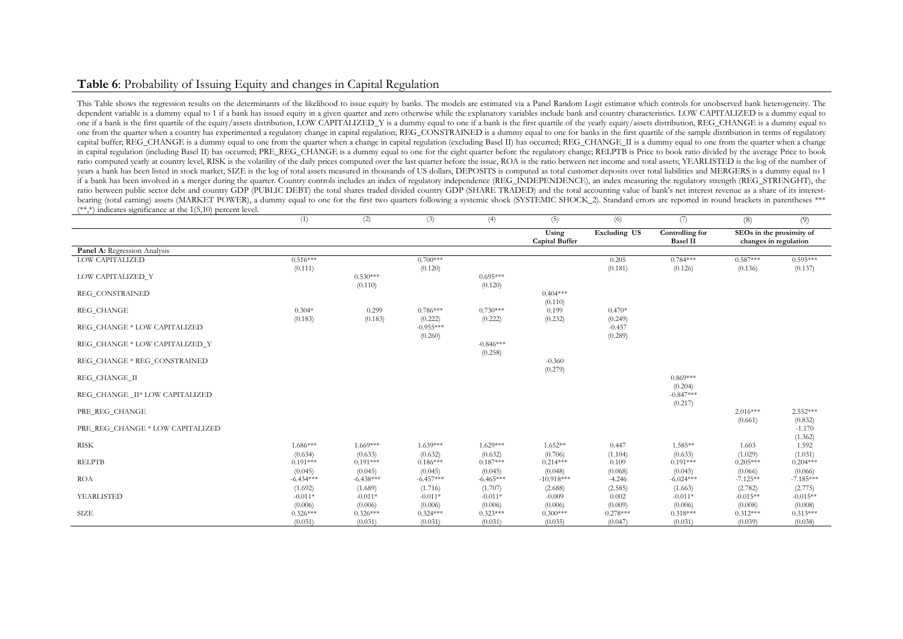## **Table 6**: Probability of Issuing Equity and changes in Capital Regulation

This Table shows the regression results on the determinants of the likelihood to issue equity by banks. The models are estimated via a Panel Random Logit estimator which controls for unobserved bank heterogeneity. The dependent variable is a dummy equal to 1 if a bank has issued equity in a given quarter and zero otherwise while the explanatory variables include bank and country characteristics. LOW CAPITALIZED is a dummy equal to one if a bank is the first quartile of the equity/assets distribution, LOW CAPITALIZED\_Y is a dummy equal to one if a bank is the first quartile of the yearly equity/assets distribution, REG\_CHANGE is a dummy equal to one from the quarter when a country has experimented a regulatory change in capital regulation; REG\_CONSTRAINED is a dummy equal to one for banks in the first quartile of the sample distribution in terms of regulatory capital buffer; REG\_CHANGE is a dummy equal to one from the quarter when a change in capital regulation (excluding Basel II) has occurred; REG\_CHANGE\_II is a dummy equal to one from the quarter when a change in capital regulation (including Basel II) has occurred; PRE\_REG\_CHANGE is a dummy equal to one for the eight quarter before the regulatory change; RELPTB is Price to book ratio divided by the average Price to book ratio computed yearly at country level, RISK is the volatility of the daily prices computed over the last quarter before the issue, ROA is the ratio between net income and total assets; YEARLISTED is the log of the number years a bank has been listed in stock market, SIZE is the log of total assets measured in thousands of US dollars, DEPOSITS is computed as total customer deposits over total liabilities and MERGERS is a dummy equal to 1 if a bank has been involved in a merger during the quarter. Country controls includes an index of regulatory independence (REG\_INDEPENDENCE), an index measuring the regulatory strength (REG\_STRENGHT), the ratio between public sector debt and country GDP (PUBLIC DEBT) the total shares traded divided country GDP (SHARE TRADED) and the total accounting value of bank's net interest revenue as a share of its interestbearing (total earning) assets (MARKET POWER), a dummy equal to one for the first two quarters following a systemic shock (SYSTEMIC SHOCK\_2). Standard errors are reported in round brackets in parentheses \*\*\*  $(**,*)$  indicates significance at the 1(5,10) percent level.

|                                  | (1)                    | (2)                    | (3)                    | (4)                    | (5)                            | (6)                   | (7)                                | (8)                                               | (9)                    |
|----------------------------------|------------------------|------------------------|------------------------|------------------------|--------------------------------|-----------------------|------------------------------------|---------------------------------------------------|------------------------|
|                                  |                        |                        |                        |                        | Using<br><b>Capital Buffer</b> | <b>Excluding US</b>   | Controlling for<br><b>Basel II</b> | SEOs in the proximity of<br>changes in regulation |                        |
| Panel A: Regression Analysis     |                        |                        |                        |                        |                                |                       |                                    |                                                   |                        |
| LOW CAPITALIZED                  | $0.516***$<br>(0.111)  |                        | $0.700***$<br>(0.120)  |                        |                                | 0.205<br>(0.181)      | $0.784***$<br>(0.126)              | $0.587***$<br>(0.136)                             | $0.595***$<br>(0.137)  |
| LOW CAPITALIZED Y                |                        | $0.530***$<br>(0.110)  |                        | $0.695***$<br>(0.120)  |                                |                       |                                    |                                                   |                        |
| REG CONSTRAINED                  |                        |                        |                        |                        | $0.404***$<br>(0.110)          |                       |                                    |                                                   |                        |
| REG_CHANGE                       | $0.304*$<br>(0.183)    | 0.299<br>(0.183)       | $0.786***$<br>(0.222)  | $0.730***$<br>(0.222)  | 0.199<br>(0.232)               | $0.470*$<br>(0.249)   |                                    |                                                   |                        |
| REG CHANGE * LOW CAPITALIZED     |                        |                        | $-0.955***$<br>(0.260) |                        |                                | $-0.457$<br>(0.289)   |                                    |                                                   |                        |
| REG_CHANGE * LOW CAPITALIZED_Y   |                        |                        |                        | $-0.846***$<br>(0.258) |                                |                       |                                    |                                                   |                        |
| REG_CHANGE * REG_CONSTRAINED     |                        |                        |                        |                        | $-0.360$<br>(0.279)            |                       |                                    |                                                   |                        |
| REG_CHANGE_II                    |                        |                        |                        |                        |                                |                       | $0.869***$<br>(0.204)              |                                                   |                        |
| REG CHANGE II* LOW CAPITALIZED   |                        |                        |                        |                        |                                |                       | $-0.847***$<br>(0.217)             |                                                   |                        |
| PRE_REG_CHANGE                   |                        |                        |                        |                        |                                |                       |                                    | $2.016***$<br>(0.661)                             | $2.552***$<br>(0.832)  |
| PRE REG CHANGE * LOW CAPITALIZED |                        |                        |                        |                        |                                |                       |                                    |                                                   | $-1.170$<br>(1.362)    |
| <b>RISK</b>                      | $1.686***$<br>(0.634)  | $1.669***$<br>(0.633)  | $1.639***$<br>(0.632)  | $1.629***$<br>(0.632)  | $1.652**$<br>(0.706)           | 0.447<br>(1.104)      | 1.585**<br>(0.633)                 | 1.603<br>(1.029)                                  | 1.592<br>(1.031)       |
| <b>RELPTB</b>                    | $0.191***$<br>(0.045)  | $0.191***$<br>(0.045)  | $0.186***$<br>(0.045)  | $0.187***$<br>(0.045)  | $0.214***$<br>(0.048)          | 0.109<br>(0.068)      | $0.191***$<br>(0.045)              | $0.205***$<br>(0.066)                             | $0.204***$<br>(0.066)  |
| <b>ROA</b>                       | $-6.434***$<br>(1.692) | $-6.438***$<br>(1.689) | $-6.457***$<br>(1.716) | $-6.465***$<br>(1.707) | $-10.918***$<br>(2.688)        | $-4.246$<br>(2.585)   | $-6.024***$<br>(1.663)             | $-7.125**$<br>(2.782)                             | $-7.185***$<br>(2.775) |
| YEARLISTED                       | $-0.011*$<br>(0.006)   | $-0.011*$<br>(0.006)   | $-0.011*$<br>(0.006)   | $-0.011*$<br>(0.006)   | $-0.009$<br>(0.006)            | 0.002<br>(0.009)      | $-0.011*$<br>(0.006)               | $-0.015**$<br>(0.008)                             | $-0.015**$<br>(0.008)  |
| <b>SIZE</b>                      | $0.326***$<br>(0.031)  | $0.326***$<br>(0.031)  | $0.324***$<br>(0.031)  | $0.323***$<br>(0.031)  | $0.300***$<br>(0.035)          | $0.278***$<br>(0.047) | $0.318***$<br>(0.031)              | $0.312***$<br>(0.039)                             | $0.313***$<br>(0.038)  |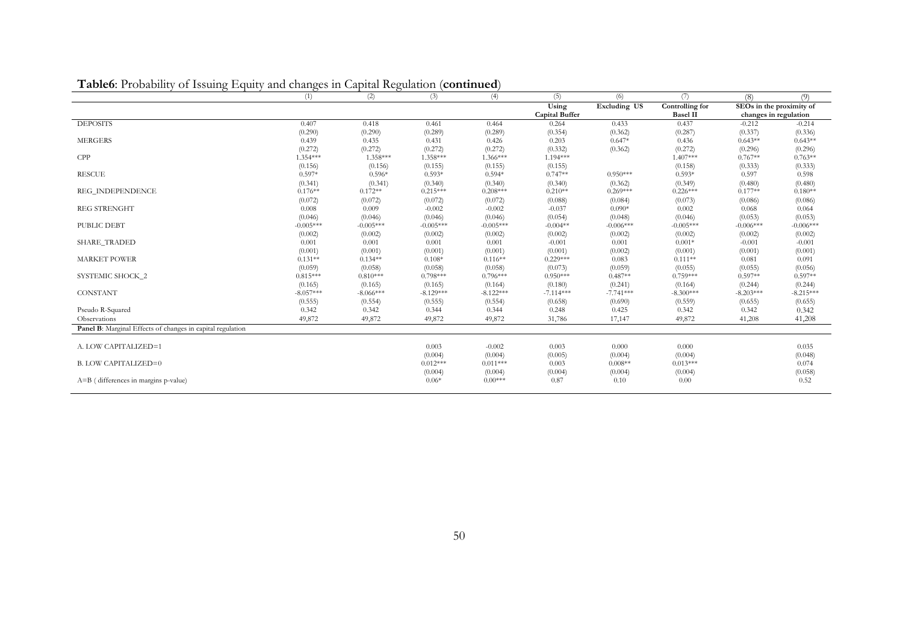| $\mathbf{1}$ abico. I foodbines<br>$\sigma$ <i>cosally</i> | Liquity and changes in Capital Regulation<br>(1) | (2)         | (3)         | commune<br>(4) | (5)                   | (6)                 | (7)             | (8)                      | (9)         |
|------------------------------------------------------------|--------------------------------------------------|-------------|-------------|----------------|-----------------------|---------------------|-----------------|--------------------------|-------------|
|                                                            |                                                  |             |             |                | Using                 | <b>Excluding US</b> | Controlling for | SEOs in the proximity of |             |
|                                                            |                                                  |             |             |                | <b>Capital Buffer</b> |                     | <b>Basel II</b> | changes in regulation    |             |
| <b>DEPOSITS</b>                                            | 0.407                                            | 0.418       | 0.461       | 0.464          | 0.264                 | 0.433               | 0.437           | $-0.212$                 | $-0.214$    |
|                                                            | (0.290)                                          | (0.290)     | (0.289)     | (0.289)        | (0.354)               | (0.362)             | (0.287)         | (0.337)                  | (0.336)     |
| <b>MERGERS</b>                                             | 0.439                                            | 0.435       | 0.431       | 0.426          | 0.203                 | $0.647*$            | 0.436           | $0.643**$                | $0.643**$   |
|                                                            | (0.272)                                          | (0.272)     | (0.272)     | (0.272)        | (0.332)               | (0.362)             | (0.272)         | (0.296)                  | (0.296)     |
| <b>CPP</b>                                                 | $1.354***$                                       | 1.358***    | 1.358***    | 1.366***       | $1.194***$            |                     | $1.407***$      | $0.767**$                | $0.763**$   |
|                                                            | (0.156)                                          | (0.156)     | (0.155)     | (0.155)        | (0.155)               |                     | (0.158)         | (0.333)                  | (0.333)     |
| <b>RESCUE</b>                                              | $0.597*$                                         | $0.596*$    | $0.593*$    | $0.594*$       | $0.747**$             | $0.950***$          | $0.593*$        | 0.597                    | 0.598       |
|                                                            | (0.341)                                          | (0.341)     | (0.340)     | (0.340)        | (0.340)               | (0.362)             | (0.349)         | (0.480)                  | (0.480)     |
| REG INDEPENDENCE                                           | $0.176**$                                        | $0.172**$   | $0.215***$  | $0.208***$     | $0.210**$             | $0.269***$          | $0.226***$      | $0.177**$                | $0.180**$   |
|                                                            | (0.072)                                          | (0.072)     | (0.072)     | (0.072)        | (0.088)               | (0.084)             | (0.073)         | (0.086)                  | (0.086)     |
| <b>REG STRENGHT</b>                                        | 0.008                                            | 0.009       | $-0.002$    | $-0.002$       | $-0.037$              | $0.090*$            | 0.002           | 0.068                    | 0.064       |
|                                                            | (0.046)                                          | (0.046)     | (0.046)     | (0.046)        | (0.054)               | (0.048)             | (0.046)         | (0.053)                  | (0.053)     |
| PUBLIC DEBT                                                | $-0.005***$                                      | $-0.005***$ | $-0.005***$ | $-0.005***$    | $-0.004**$            | $-0.006***$         | $-0.005***$     | $-0.006***$              | $-0.006***$ |
|                                                            | (0.002)                                          | (0.002)     | (0.002)     | (0.002)        | (0.002)               | (0.002)             | (0.002)         | (0.002)                  | (0.002)     |
| <b>SHARE_TRADED</b>                                        | 0.001                                            | 0.001       | 0.001       | 0.001          | $-0.001$              | 0.001               | $0.001*$        | $-0.001$                 | $-0.001$    |
|                                                            | (0.001)                                          | (0.001)     | (0.001)     | (0.001)        | (0.001)               | (0.002)             | (0.001)         | (0.001)                  | (0.001)     |
| <b>MARKET POWER</b>                                        | $0.131**$                                        | $0.134**$   | $0.108*$    | $0.116**$      | $0.229***$            | 0.083               | $0.111**$       | 0.081                    | 0.091       |
|                                                            | (0.059)                                          | (0.058)     | (0.058)     | (0.058)        | (0.073)               | (0.059)             | (0.055)         | (0.055)                  | (0.056)     |
| SYSTEMIC SHOCK_2                                           | $0.815***$                                       | $0.810***$  | $0.798***$  | $0.796***$     | $0.950***$            | $0.487**$           | $0.759***$      | $0.597**$                | $0.597**$   |
|                                                            | (0.165)                                          | (0.165)     | (0.165)     | (0.164)        | (0.180)               | (0.241)             | (0.164)         | (0.244)                  | (0.244)     |
| CONSTANT                                                   | $-8.057***$                                      | $-8.066***$ | $-8.129***$ | $-8.122***$    | $-7.114***$           | $-7.741***$         | $-8.300***$     | $-8.203***$              | $-8.215***$ |
|                                                            | (0.555)                                          | (0.554)     | (0.555)     | (0.554)        | (0.658)               | (0.690)             | (0.559)         | (0.655)                  | (0.655)     |
| Pseudo R-Squared                                           | 0.342                                            | 0.342       | 0.344       | 0.344          | 0.248                 | 0.425               | 0.342           | 0.342                    | 0.342       |
| Observations                                               | 49,872                                           | 49,872      | 49,872      | 49,872         | 31,786                | 17,147              | 49,872          | 41,208                   | 41,208      |
| Panel B: Marginal Effects of changes in capital regulation |                                                  |             |             |                |                       |                     |                 |                          |             |
|                                                            |                                                  |             |             |                |                       |                     |                 |                          |             |
| A. LOW CAPITALIZED=1                                       |                                                  |             | 0.003       | $-0.002$       | 0.003                 | 0.000               | 0.000           |                          | 0.035       |
|                                                            |                                                  |             | (0.004)     | (0.004)        | (0.005)               | (0.004)             | (0.004)         |                          | (0.048)     |
| <b>B. LOW CAPITALIZED=0</b>                                |                                                  |             | $0.012***$  | $0.011***$     | 0.003                 | $0.008**$           | $0.013***$      |                          | 0.074       |
|                                                            |                                                  |             | (0.004)     | (0.004)        | (0.004)               | (0.004)             | (0.004)         |                          | (0.058)     |
| $A=B$ (differences in margins p-value)                     |                                                  |             | $0.06*$     | $0.00***$      | 0.87                  | 0.10                | 0.00            |                          | 0.52        |
|                                                            |                                                  |             |             |                |                       |                     |                 |                          |             |

**Table6**: Probability of Issuing Equity and changes in Capital Regulation (**continued**)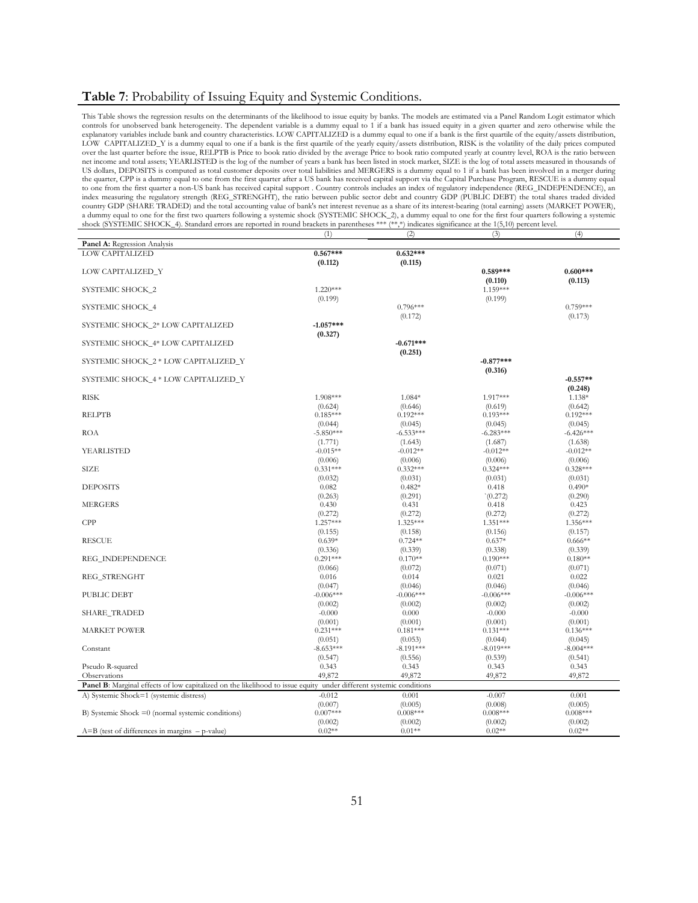### **Table 7**: Probability of Issuing Equity and Systemic Conditions.

This Table shows the regression results on the determinants of the likelihood to issue equity by banks. The models are estimated via a Panel Random Logit estimator which controls for unobserved bank heterogeneity. The dependent variable is a dummy equal to 1 if a bank has issued equity in a given quarter and zero otherwise while the explanatory variables include bank and country characteristics. LOW CAPITALIZED is a dummy equal to one if a bank is the first quartile of the equity/assets distribution, LOW CAPITALIZED\_Y is a dummy equal to one if a bank is the first quartile of the yearly equity/assets distribution, RISK is the volatility of the daily prices computed over the last quarter before the issue, RELPTB is Price to book ratio divided by the average Price to book ratio computed yearly at country level, ROA is the ratio between net income and total assets; YEARLISTED is the log of the number of years a bank has been listed in stock market, SIZE is the log of total assets measured in thousands of US dollars, DEPOSITS is computed as total customer deposits over total liabilities and MERGERS is a dummy equal to 1 if a bank has been involved in a merger during the quarter, CPP is a dummy equal to one from the first quarter after a US bank has received capital support via the Capital Purchase Program, RESCUE is a dummy equal to one from the first quarter a non-US bank has received capital support . Country controls includes an index of regulatory independence (REG\_INDEPENDENCE), an<br>index measuring the regulatory strength (REG\_STRENGHT), the ra country GDP (SHARE TRADED) and the total accounting value of bank's net interest revenue as a share of its interest-bearing (total earning) assets (MARKET POWER), a dummy equal to one for the first two quarters following a systemic shock (SYSTEMIC SHOCK\_2), a dummy equal to one for the first four quarters following a systemic shock (SYSTEMIC SHOCK\_4). Standard errors are reported in round brackets in parentheses \*\*\* (\*\*,\*) indicates significance at the 1(5,10) percent level.

 $(1)$   $(2)$   $(3)$   $(4)$ 

| Panel A: Regression Analysis                                                                                       |                  |                     |                  |                     |
|--------------------------------------------------------------------------------------------------------------------|------------------|---------------------|------------------|---------------------|
| LOW CAPITALIZED                                                                                                    | $0.567***$       | $0.632***$          |                  |                     |
|                                                                                                                    | (0.112)          | (0.115)             |                  |                     |
| LOW CAPITALIZED_Y                                                                                                  |                  |                     | $0.589***$       | $0.600***$          |
|                                                                                                                    |                  |                     | (0.110)          | (0.113)             |
| SYSTEMIC SHOCK_2                                                                                                   | $1.220***$       |                     | 1.159***         |                     |
|                                                                                                                    | (0.199)          |                     | (0.199)          |                     |
| SYSTEMIC SHOCK_4                                                                                                   |                  | $0.796***$          |                  | $0.759***$          |
|                                                                                                                    |                  | (0.172)             |                  | (0.173)             |
| SYSTEMIC SHOCK_2* LOW CAPITALIZED                                                                                  | $-1.057***$      |                     |                  |                     |
|                                                                                                                    | (0.327)          |                     |                  |                     |
| SYSTEMIC SHOCK_4* LOW CAPITALIZED                                                                                  |                  | $-0.671***$         |                  |                     |
|                                                                                                                    |                  | (0.251)             |                  |                     |
| SYSTEMIC SHOCK_2 * LOW CAPITALIZED_Y                                                                               |                  |                     | $-0.877***$      |                     |
|                                                                                                                    |                  |                     | (0.316)          |                     |
| SYSTEMIC SHOCK_4 * LOW CAPITALIZED_Y                                                                               |                  |                     |                  | $-0.557**$          |
|                                                                                                                    |                  |                     |                  | (0.248)             |
| <b>RISK</b>                                                                                                        | 1.908***         | 1.084*              | 1.917***         | 1.138*              |
|                                                                                                                    | (0.624)          | (0.646)             | (0.619)          | (0.642)             |
| <b>RELPTB</b>                                                                                                      | $0.185***$       | $0.192***$          | $0.193***$       | $0.192***$          |
|                                                                                                                    | (0.044)          | (0.045)             | (0.045)          | (0.045)             |
| <b>ROA</b>                                                                                                         | $-5.850***$      | $-6.533***$         | $-6.283***$      | $-6.426***$         |
|                                                                                                                    | (1.771)          | (1.643)             | (1.687)          | (1.638)             |
| YEARLISTED                                                                                                         | $-0.015**$       | $-0.012**$          | $-0.012**$       | $-0.012**$          |
|                                                                                                                    | (0.006)          | (0.006)             | (0.006)          | (0.006)             |
| <b>SIZE</b>                                                                                                        | $0.331***$       | $0.332***$          | $0.324***$       | $0.328***$          |
|                                                                                                                    | (0.032)          |                     | (0.031)          |                     |
| <b>DEPOSITS</b>                                                                                                    | 0.082            | (0.031)<br>$0.482*$ | 0.418            | (0.031)<br>$0.490*$ |
|                                                                                                                    |                  |                     |                  |                     |
| <b>MERGERS</b>                                                                                                     | (0.263)<br>0.430 | (0.291)             | (0.272)<br>0.418 | (0.290)             |
|                                                                                                                    |                  | 0.431               |                  | 0.423               |
|                                                                                                                    | (0.272)          | (0.272)             | (0.272)          | (0.272)             |
| CPP                                                                                                                | $1.257***$       | 1.325***            | $1.351***$       | 1.356***            |
|                                                                                                                    | (0.155)          | (0.158)             | (0.156)          | (0.157)             |
| <b>RESCUE</b>                                                                                                      | $0.639*$         | $0.724**$           | $0.637*$         | $0.666**$           |
|                                                                                                                    | (0.336)          | (0.339)             | (0.338)          | (0.339)             |
| REG_INDEPENDENCE                                                                                                   | $0.291***$       | $0.170**$           | $0.190***$       | $0.180**$           |
|                                                                                                                    | (0.066)          | (0.072)             | (0.071)          | (0.071)             |
| REG_STRENGHT                                                                                                       | 0.016            | 0.014               | 0.021            | 0.022               |
|                                                                                                                    | (0.047)          | (0.046)             | (0.046)          | (0.046)             |
| PUBLIC DEBT                                                                                                        | $-0.006***$      | $-0.006***$         | $-0.006***$      | $-0.006***$         |
|                                                                                                                    | (0.002)          | (0.002)             | (0.002)          | (0.002)             |
| <b>SHARE_TRADED</b>                                                                                                | $-0.000$         | 0.000               | $-0.000$         | $-0.000$            |
|                                                                                                                    | (0.001)          | (0.001)             | (0.001)          | (0.001)             |
| <b>MARKET POWER</b>                                                                                                | $0.231***$       | $0.181***$          | $0.131***$       | $0.136***$          |
|                                                                                                                    | (0.051)          | (0.053)             | (0.044)          | (0.045)             |
| Constant                                                                                                           | $-8.653***$      | $-8.191***$         | $-8.019***$      | $-8.004***$         |
|                                                                                                                    | (0.547)          | (0.556)             | (0.539)          | (0.541)             |
| Pseudo R-squared                                                                                                   | 0.343            | 0.343               | 0.343            | 0.343               |
| Observations                                                                                                       | 49,872           | 49,872              | 49,872           | 49,872              |
| Panel B: Marginal effects of low capitalized on the likelihood to issue equity under different systemic conditions |                  |                     |                  |                     |
| A) Systemic Shock=1 (systemic distress)                                                                            | $-0.012$         | 0.001               | $-0.007$         | 0.001               |
|                                                                                                                    | (0.007)          | (0.005)             | (0.008)          | (0.005)             |
| B) Systemic Shock $=0$ (normal systemic conditions)                                                                | $0.007***$       | $0.008***$          | $0.008***$       | $0.008***$          |
|                                                                                                                    | (0.002)          | (0.002)             | (0.002)          | (0.002)             |
| $A=B$ (test of differences in margins $-p$ -value)                                                                 | $0.02**$         | $0.01**$            | $0.02**$         | $0.02**$            |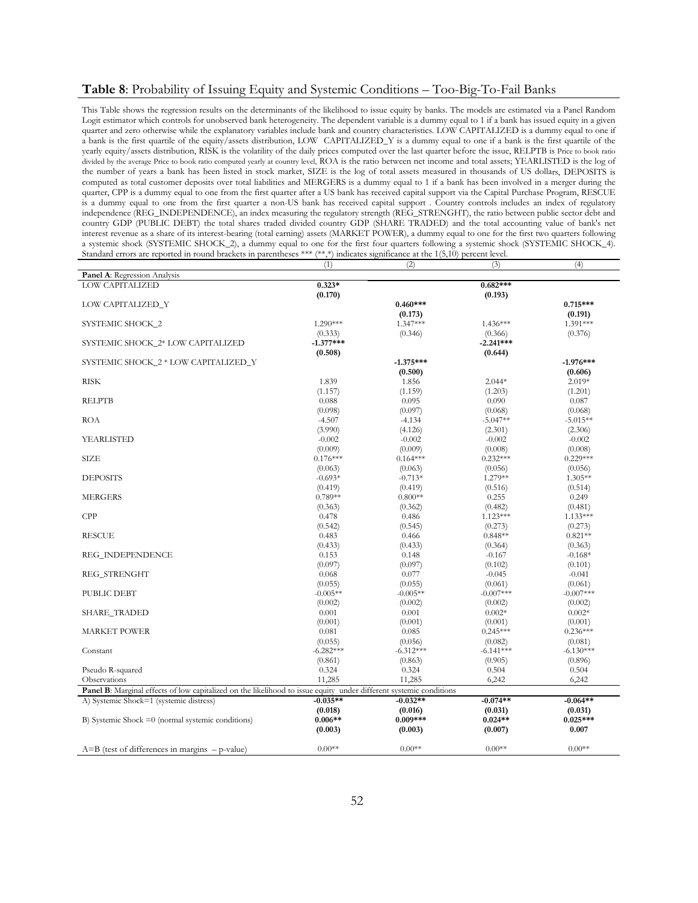### **Table 8**: Probability of Issuing Equity and Systemic Conditions – Too-Big-To-Fail Banks

This Table shows the regression results on the determinants of the likelihood to issue equity by banks. The models are estimated via a Panel Random Logit estimator which controls for unobserved bank heterogeneity. The dependent variable is a dummy equal to 1 if a bank has issued equity in a given quarter and zero otherwise while the explanatory variables include bank and country characteristics. LOW CAPITALIZED is a dummy equal to one if a bank is the first quartile of the equity/assets distribution, LOW CAPITALIZED\_Y is a dummy equal to one if a bank is the first quartile of the yearly equity/assets distribution, RISK is the volatility of the daily prices computed over the last quarter before the issue, RELPTB is Price to book ratio divided by the average Price to book ratio computed yearly at country level, ROA is the ratio between net income and total assets; YEARLISTED is the log of the number of years a bank has been listed in stock market, SIZE is the log of total assets measured in thousands of US dollars, DEPOSITS is computed as total customer deposits over total liabilities and MERGERS is a dummy equal to 1 if a bank has been involved in a merger during the quarter, CPP is a dummy equal to one from the first quarter after a US bank has received capital support via the Capital Purchase Program, RESCUE is a dummy equal to one from the first quarter a non-US bank has received capital support . Country controls includes an index of regulatory independence (REG\_INDEPENDENCE), an index measuring the regulatory strength (REG\_STRENGHT), the ratio between public sector debt and country GDP (PUBLIC DEBT) the total shares traded divided country GDP (SHARE TRADED) and the total accounting value of bank's net interest revenue as a share of its interest-bearing (total earning) assets (MARKET POWER), a dummy equal to one for the first two quarters following a systemic shock (SYSTEMIC SHOCK\_2), a dummy equal to one for the first four quarters following a systemic shock (SYSTEMIC SHOCK\_4). Standard errors are reported in round brackets in parentheses \*\*\* (\*\*,\*) indicates significance at the 1(5,10) percent level.

|                                                                                                                    | (1)         | (2)         | (3)         | (4)         |
|--------------------------------------------------------------------------------------------------------------------|-------------|-------------|-------------|-------------|
| Panel A: Regression Analysis                                                                                       |             |             |             |             |
| <b>LOW CAPITALIZED</b>                                                                                             | $0.323*$    |             | $0.682***$  |             |
|                                                                                                                    | (0.170)     |             | (0.193)     |             |
| LOW CAPITALIZED_Y                                                                                                  |             | $0.460***$  |             | $0.715***$  |
|                                                                                                                    |             | (0.173)     |             | (0.191)     |
| SYSTEMIC SHOCK_2                                                                                                   | $1.290***$  | 1.347***    | $1.436***$  | 1.391***    |
|                                                                                                                    | (0.333)     | (0.346)     | (0.366)     | (0.376)     |
| SYSTEMIC SHOCK 2* LOW CAPITALIZED                                                                                  | $-1.377***$ |             | $-2.241***$ |             |
|                                                                                                                    | (0.508)     |             | (0.644)     |             |
| SYSTEMIC SHOCK_2 * LOW CAPITALIZED_Y                                                                               |             | $-1.375***$ |             | $-1.976***$ |
|                                                                                                                    |             | (0.500)     |             | (0.606)     |
| <b>RISK</b>                                                                                                        | 1.839       | 1.856       | $2.044*$    | $2.019*$    |
|                                                                                                                    | (1.157)     | (1.159)     | (1.203)     | (1.201)     |
| <b>RELPTB</b>                                                                                                      | 0.088       | 0.095       | 0.090       | 0.087       |
|                                                                                                                    | (0.098)     | (0.097)     | (0.068)     | (0.068)     |
| <b>ROA</b>                                                                                                         | $-4.507$    | $-4.134$    | $-5.047**$  | $-5.015**$  |
|                                                                                                                    | (3.990)     | (4.126)     | (2.301)     | (2.306)     |
| YEARLISTED                                                                                                         | $-0.002$    | $-0.002$    | $-0.002$    | $-0.002$    |
|                                                                                                                    | (0.009)     | (0.009)     | (0.008)     | (0.008)     |
| <b>SIZE</b>                                                                                                        | $0.176***$  | $0.164***$  | $0.232***$  | $0.229***$  |
|                                                                                                                    | (0.063)     | (0.063)     | (0.056)     | (0.056)     |
| <b>DEPOSITS</b>                                                                                                    | $-0.693*$   | $-0.713*$   | 1.279**     | $1.305**$   |
|                                                                                                                    | (0.419)     | (0.419)     | (0.516)     | (0.514)     |
| <b>MERGERS</b>                                                                                                     | $0.789**$   | $0.800**$   | 0.255       | 0.249       |
|                                                                                                                    | (0.363)     | (0.362)     | (0.482)     | (0.481)     |
| CPP                                                                                                                | 0.478       | 0.486       | $1.123***$  | $1.133***$  |
|                                                                                                                    | (0.542)     | (0.545)     | (0.273)     | (0.273)     |
| <b>RESCUE</b>                                                                                                      | 0.483       | 0.466       | $0.848**$   | $0.821**$   |
|                                                                                                                    | (0.433)     | (0.433)     | (0.364)     | (0.363)     |
| REG_INDEPENDENCE                                                                                                   | 0.153       | 0.148       | $-0.167$    | $-0.168*$   |
|                                                                                                                    | (0.097)     | (0.097)     | (0.102)     | (0.101)     |
| REG_STRENGHT                                                                                                       | 0.068       | 0.077       | $-0.045$    | $-0.041$    |
|                                                                                                                    | (0.055)     | (0.055)     | (0.061)     | (0.061)     |
| PUBLIC DEBT                                                                                                        | $-0.005**$  | $-0.005**$  | $-0.007***$ | $-0.007***$ |
|                                                                                                                    | (0.002)     | (0.002)     | (0.002)     | (0.002)     |
| <b>SHARE_TRADED</b>                                                                                                | 0.001       | 0.001       | $0.002*$    | $0.002*$    |
|                                                                                                                    | (0.001)     | (0.001)     | (0.001)     | (0.001)     |
| <b>MARKET POWER</b>                                                                                                | 0.081       | 0.085       | $0.245***$  | $0.236***$  |
|                                                                                                                    | (0.055)     | (0.056)     | (0.082)     | (0.081)     |
| Constant                                                                                                           | $-6.282***$ | $-6.312***$ | $-6.141***$ | $-6.130***$ |
|                                                                                                                    | (0.861)     | (0.863)     | (0.905)     | (0.896)     |
| Pseudo R-squared                                                                                                   | 0.324       | 0.324       | 0.504       | 0.504       |
| Observations                                                                                                       | 11,285      | 11,285      | 6,242       | 6,242       |
| Panel B: Marginal effects of low capitalized on the likelihood to issue equity under different systemic conditions |             |             |             |             |
| A) Systemic Shock=1 (systemic distress)                                                                            | $-0.035**$  | $-0.032**$  | $-0.074**$  | $-0.064**$  |
|                                                                                                                    | (0.018)     | (0.016)     | (0.031)     | (0.031)     |
| B) Systemic Shock $=0$ (normal systemic conditions)                                                                | $0.006**$   | $0.009***$  | $0.024**$   | $0.025***$  |
|                                                                                                                    | (0.003)     | (0.003)     | (0.007)     | 0.007       |
|                                                                                                                    |             |             |             |             |
| $A=B$ (test of differences in margins $-p$ -value)                                                                 | $0.00**$    | $0.00**$    | $0.00**$    | $0.00**$    |
|                                                                                                                    |             |             |             |             |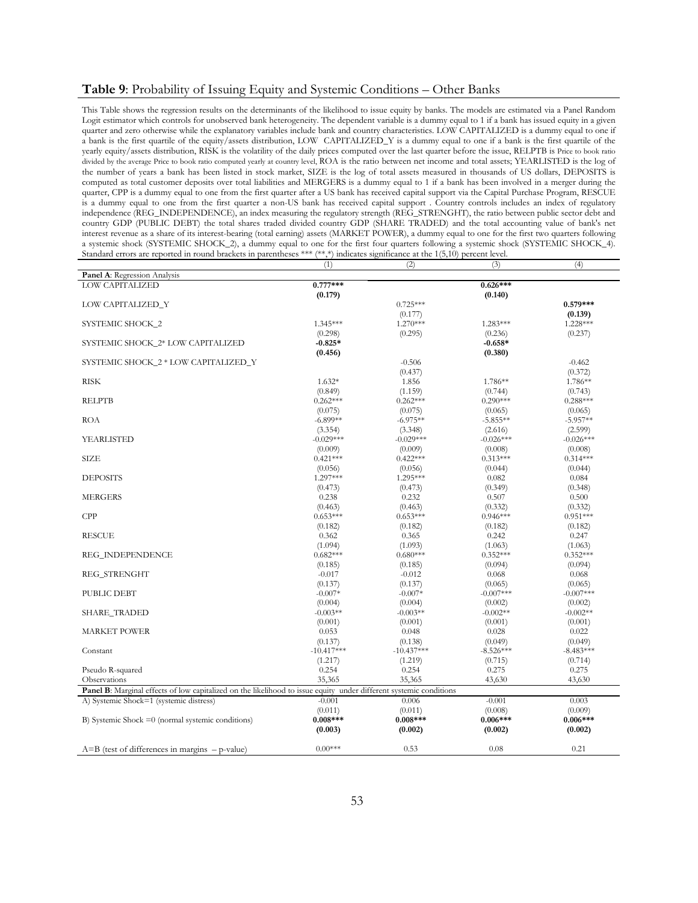### **Table 9**: Probability of Issuing Equity and Systemic Conditions – Other Banks

This Table shows the regression results on the determinants of the likelihood to issue equity by banks. The models are estimated via a Panel Random Logit estimator which controls for unobserved bank heterogeneity. The dependent variable is a dummy equal to 1 if a bank has issued equity in a given quarter and zero otherwise while the explanatory variables include bank and country characteristics. LOW CAPITALIZED is a dummy equal to one if a bank is the first quartile of the equity/assets distribution, LOW CAPITALIZED\_Y is a dummy equal to one if a bank is the first quartile of the yearly equity/assets distribution, RISK is the volatility of the daily prices computed over the last quarter before the issue, RELPTB is Price to book ratio divided by the average Price to book ratio computed yearly at country level, ROA is the ratio between net income and total assets; YEARLISTED is the log of the number of years a bank has been listed in stock market, SIZE is the log of total assets measured in thousands of US dollars, DEPOSITS is computed as total customer deposits over total liabilities and MERGERS is a dummy equal to 1 if a bank has been involved in a merger during the quarter, CPP is a dummy equal to one from the first quarter after a US bank has received capital support via the Capital Purchase Program, RESCUE is a dummy equal to one from the first quarter a non-US bank has received capital support . Country controls includes an index of regulatory independence (REG\_INDEPENDENCE), an index measuring the regulatory strength (REG\_STRENGHT), the ratio between public sector debt and country GDP (PUBLIC DEBT) the total shares traded divided country GDP (SHARE TRADED) and the total accounting value of bank's net interest revenue as a share of its interest-bearing (total earning) assets (MARKET POWER), a dummy equal to one for the first two quarters following a systemic shock (SYSTEMIC SHOCK\_2), a dummy equal to one for the first four quarters following a systemic shock (SYSTEMIC SHOCK\_4). Standard errors are reported in round brackets in parentheses \*\*\* (\*\*,\*) indicates significance at the 1(5,10) percent level.

|                                                                                                                    | (1)          | (2)          | (3)         | (4)         |
|--------------------------------------------------------------------------------------------------------------------|--------------|--------------|-------------|-------------|
| Panel A: Regression Analysis                                                                                       |              |              |             |             |
| <b>LOW CAPITALIZED</b>                                                                                             | $0.777***$   |              | $0.626***$  |             |
|                                                                                                                    | (0.179)      |              | (0.140)     |             |
| LOW CAPITALIZED_Y                                                                                                  |              | $0.725***$   |             | $0.579***$  |
|                                                                                                                    |              | (0.177)      |             | (0.139)     |
| SYSTEMIC SHOCK_2                                                                                                   | 1.345***     | 1.270***     | $1.283***$  | 1.228 ***   |
|                                                                                                                    | (0.298)      | (0.295)      | (0.236)     | (0.237)     |
| SYSTEMIC SHOCK 2* LOW CAPITALIZED                                                                                  | $-0.825*$    |              | $-0.658*$   |             |
|                                                                                                                    | (0.456)      |              | (0.380)     |             |
| SYSTEMIC SHOCK_2 * LOW CAPITALIZED_Y                                                                               |              | $-0.506$     |             | $-0.462$    |
|                                                                                                                    |              | (0.437)      |             | (0.372)     |
| <b>RISK</b>                                                                                                        | $1.632*$     | 1.856        | 1.786**     | 1.786**     |
|                                                                                                                    | (0.849)      | (1.159)      | (0.744)     | (0.743)     |
| <b>RELPTB</b>                                                                                                      | $0.262***$   | $0.262***$   | $0.290***$  | $0.288***$  |
|                                                                                                                    | (0.075)      | (0.075)      | (0.065)     | (0.065)     |
| <b>ROA</b>                                                                                                         | $-6.899**$   | $-6.975**$   | $-5.855**$  | $-5.957**$  |
|                                                                                                                    | (3.354)      | (3.348)      | (2.616)     | (2.599)     |
| YEARLISTED                                                                                                         | $-0.029***$  | $-0.029***$  | $-0.026***$ | $-0.026***$ |
|                                                                                                                    | (0.009)      | (0.009)      | (0.008)     | (0.008)     |
| <b>SIZE</b>                                                                                                        | $0.421***$   | $0.422***$   | $0.313***$  | $0.314***$  |
|                                                                                                                    | (0.056)      | (0.056)      | (0.044)     | (0.044)     |
| <b>DEPOSITS</b>                                                                                                    | 1.297***     | 1.295***     | 0.082       | 0.084       |
|                                                                                                                    | (0.473)      | (0.473)      | (0.349)     | (0.348)     |
| <b>MERGERS</b>                                                                                                     | 0.238        | 0.232        | 0.507       | 0.500       |
|                                                                                                                    | (0.463)      | (0.463)      | (0.332)     | (0.332)     |
| CPP                                                                                                                | $0.653***$   | $0.653***$   | $0.946***$  | $0.951***$  |
|                                                                                                                    | (0.182)      | (0.182)      | (0.182)     | (0.182)     |
| <b>RESCUE</b>                                                                                                      | 0.362        | 0.365        | 0.242       | 0.247       |
|                                                                                                                    | (1.094)      | (1.093)      | (1.063)     | (1.063)     |
| REG_INDEPENDENCE                                                                                                   | $0.682***$   | $0.680***$   | $0.352***$  | $0.352***$  |
|                                                                                                                    | (0.185)      | (0.185)      | (0.094)     | (0.094)     |
| REG_STRENGHT                                                                                                       | $-0.017$     | $-0.012$     | 0.068       | 0.068       |
|                                                                                                                    | (0.137)      | (0.137)      | (0.065)     | (0.065)     |
| PUBLIC DEBT                                                                                                        | $-0.007*$    | $-0.007*$    | $-0.007***$ | $-0.007***$ |
|                                                                                                                    | (0.004)      | (0.004)      | (0.002)     | (0.002)     |
| <b>SHARE_TRADED</b>                                                                                                | $-0.003**$   | $-0.003**$   | $-0.002**$  | $-0.002**$  |
|                                                                                                                    | (0.001)      | (0.001)      | (0.001)     | (0.001)     |
| <b>MARKET POWER</b>                                                                                                | 0.053        | 0.048        | 0.028       | 0.022       |
|                                                                                                                    | (0.137)      | (0.138)      | (0.049)     | (0.049)     |
| Constant                                                                                                           | $-10.417***$ | $-10.437***$ | $-8.526***$ | $-8.483***$ |
|                                                                                                                    | (1.217)      | (1.219)      | (0.715)     | (0.714)     |
| Pseudo R-squared                                                                                                   | 0.254        | 0.254        | 0.275       | 0.275       |
| Observations                                                                                                       | 35,365       | 35,365       | 43,630      | 43,630      |
| Panel B: Marginal effects of low capitalized on the likelihood to issue equity under different systemic conditions |              |              |             |             |
| A) Systemic Shock=1 (systemic distress)                                                                            | $-0.001$     | 0.006        | $-0.001$    | 0.003       |
|                                                                                                                    | (0.011)      | (0.011)      | (0.008)     | (0.009)     |
| B) Systemic Shock $=0$ (normal systemic conditions)                                                                | $0.008***$   | $0.008***$   | $0.006***$  | $0.006***$  |
|                                                                                                                    | (0.003)      | (0.002)      | (0.002)     | (0.002)     |
|                                                                                                                    |              |              |             |             |
| $A=B$ (test of differences in margins $-p$ -value)                                                                 | $0.00***$    | 0.53         | 0.08        | 0.21        |
|                                                                                                                    |              |              |             |             |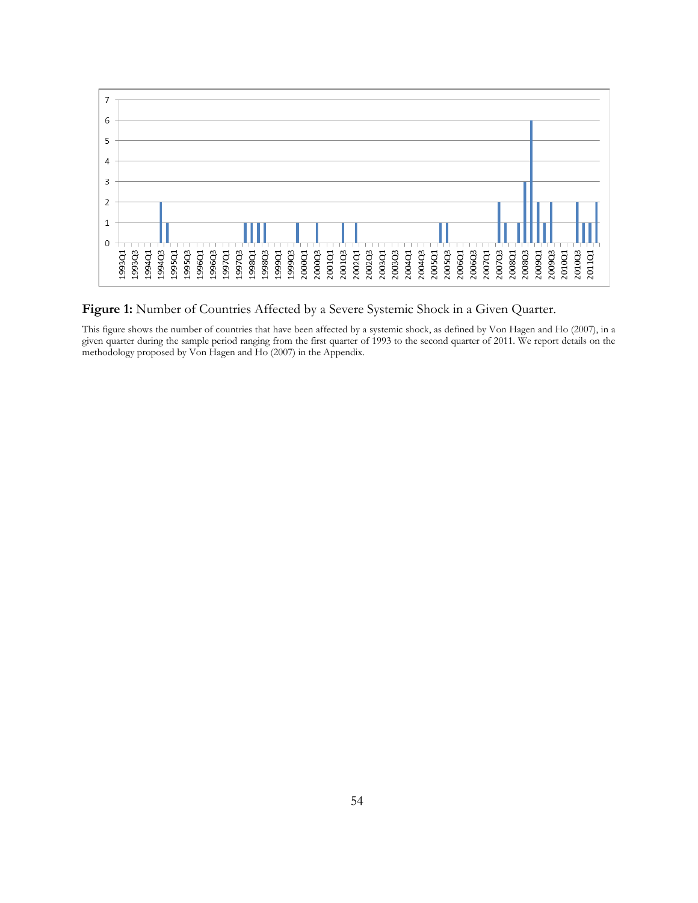

Figure 1: Number of Countries Affected by a Severe Systemic Shock in a Given Quarter.

This figure shows the number of countries that have been affected by a systemic shock, as defined by Von Hagen and Ho (2007), in a given quarter during the sample period ranging from the first quarter of 1993 to the second quarter of 2011. We report details on the methodology proposed by Von Hagen and Ho (2007) in the Appendix.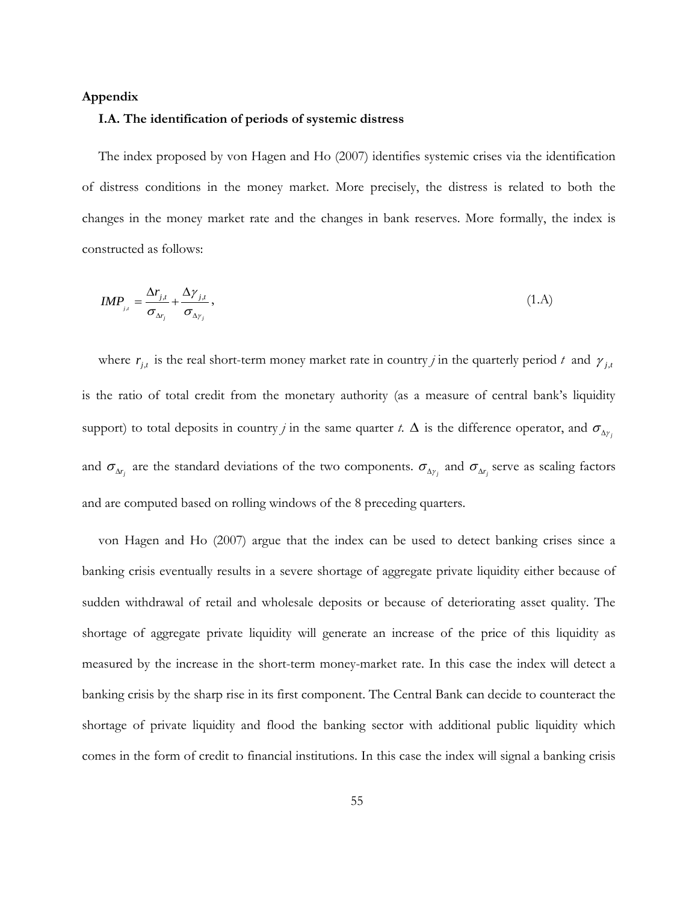## **Appendix**

### **I.A. The identification of periods of systemic distress**

The index proposed by von Hagen and Ho (2007) identifies systemic crises via the identification of distress conditions in the money market. More precisely, the distress is related to both the changes in the money market rate and the changes in bank reserves. More formally, the index is constructed as follows:

$$
IMP_{j,i} = \frac{\Delta r_{j,i}}{\sigma_{\Delta r_j}} + \frac{\Delta \gamma_{j,i}}{\sigma_{\Delta \gamma_j}}\,,\tag{1.A}
$$

where  $r_{j,t}$  is the real short-term money market rate in country *j* in the quarterly period *t* and  $\gamma_{j,t}$ is the ratio of total credit from the monetary authority (as a measure of central bank's liquidity support) to total deposits in country *j* in the same quarter *t*.  $\Delta$  is the difference operator, and  $\sigma_{\Delta y_i}$ and  $\sigma_{\Delta r_i}$  are the standard deviations of the two components.  $\sigma_{\Delta r_i}$  and  $\sigma_{\Delta r_i}$  serve as scaling factors and are computed based on rolling windows of the 8 preceding quarters.

von Hagen and Ho (2007) argue that the index can be used to detect banking crises since a banking crisis eventually results in a severe shortage of aggregate private liquidity either because of sudden withdrawal of retail and wholesale deposits or because of deteriorating asset quality. The shortage of aggregate private liquidity will generate an increase of the price of this liquidity as measured by the increase in the short-term money-market rate. In this case the index will detect a banking crisis by the sharp rise in its first component. The Central Bank can decide to counteract the shortage of private liquidity and flood the banking sector with additional public liquidity which comes in the form of credit to financial institutions. In this case the index will signal a banking crisis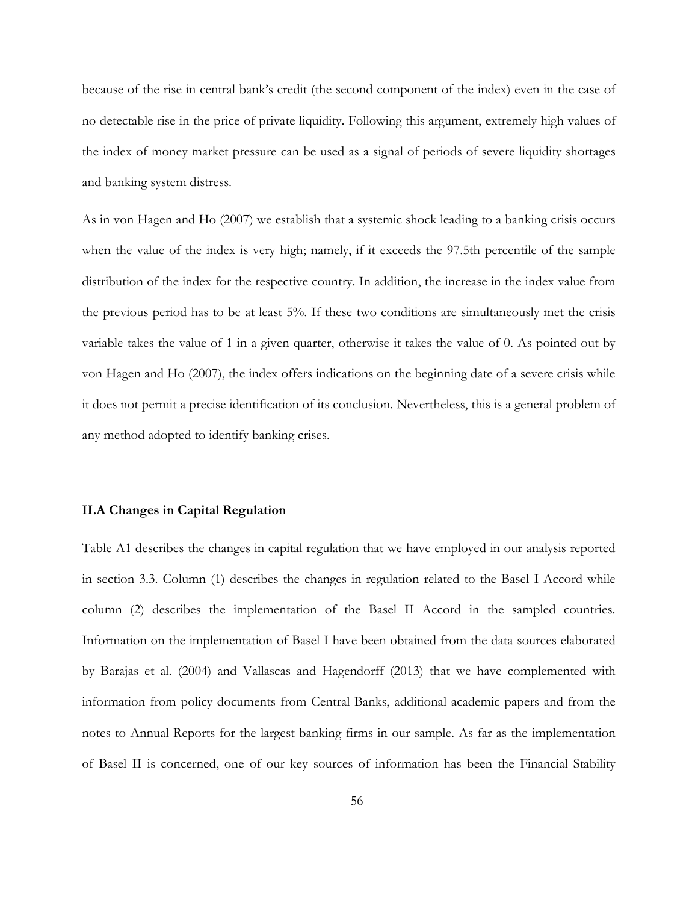because of the rise in central bank's credit (the second component of the index) even in the case of no detectable rise in the price of private liquidity. Following this argument, extremely high values of the index of money market pressure can be used as a signal of periods of severe liquidity shortages and banking system distress.

As in von Hagen and Ho (2007) we establish that a systemic shock leading to a banking crisis occurs when the value of the index is very high; namely, if it exceeds the 97.5th percentile of the sample distribution of the index for the respective country. In addition, the increase in the index value from the previous period has to be at least 5%. If these two conditions are simultaneously met the crisis variable takes the value of 1 in a given quarter, otherwise it takes the value of 0. As pointed out by von Hagen and Ho (2007), the index offers indications on the beginning date of a severe crisis while it does not permit a precise identification of its conclusion. Nevertheless, this is a general problem of any method adopted to identify banking crises.

## **II.A Changes in Capital Regulation**

Table A1 describes the changes in capital regulation that we have employed in our analysis reported in section 3.3. Column (1) describes the changes in regulation related to the Basel I Accord while column (2) describes the implementation of the Basel II Accord in the sampled countries. Information on the implementation of Basel I have been obtained from the data sources elaborated by Barajas et al. (2004) and Vallascas and Hagendorff (2013) that we have complemented with information from policy documents from Central Banks, additional academic papers and from the notes to Annual Reports for the largest banking firms in our sample. As far as the implementation of Basel II is concerned, one of our key sources of information has been the Financial Stability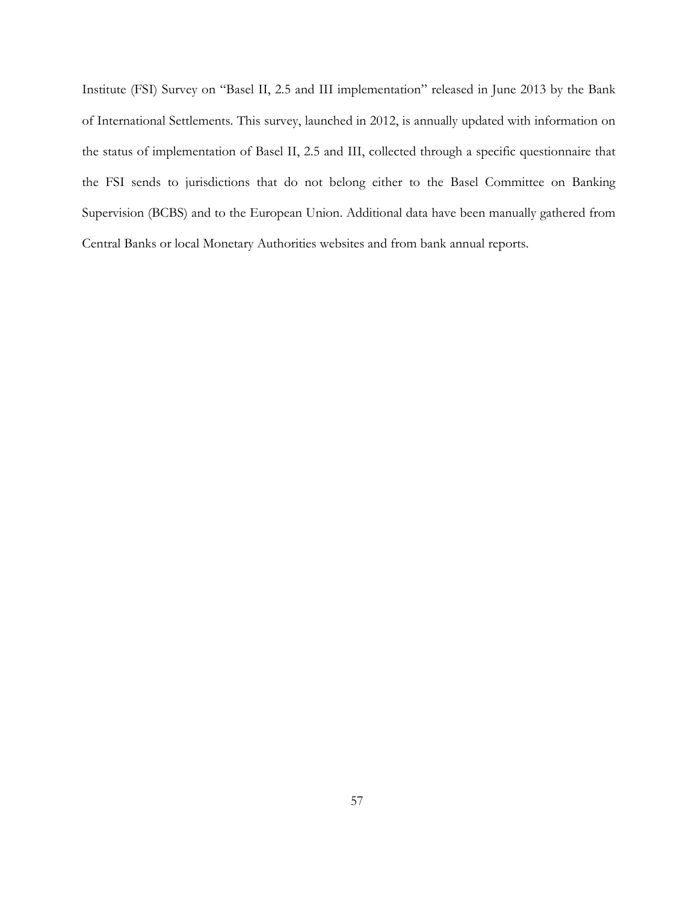Institute (FSI) Survey on "Basel II, 2.5 and III implementation" released in June 2013 by the Bank of International Settlements. This survey, launched in 2012, is annually updated with information on the status of implementation of Basel II, 2.5 and III, collected through a specific questionnaire that the FSI sends to jurisdictions that do not belong either to the Basel Committee on Banking Supervision (BCBS) and to the European Union. Additional data have been manually gathered from Central Banks or local Monetary Authorities websites and from bank annual reports.